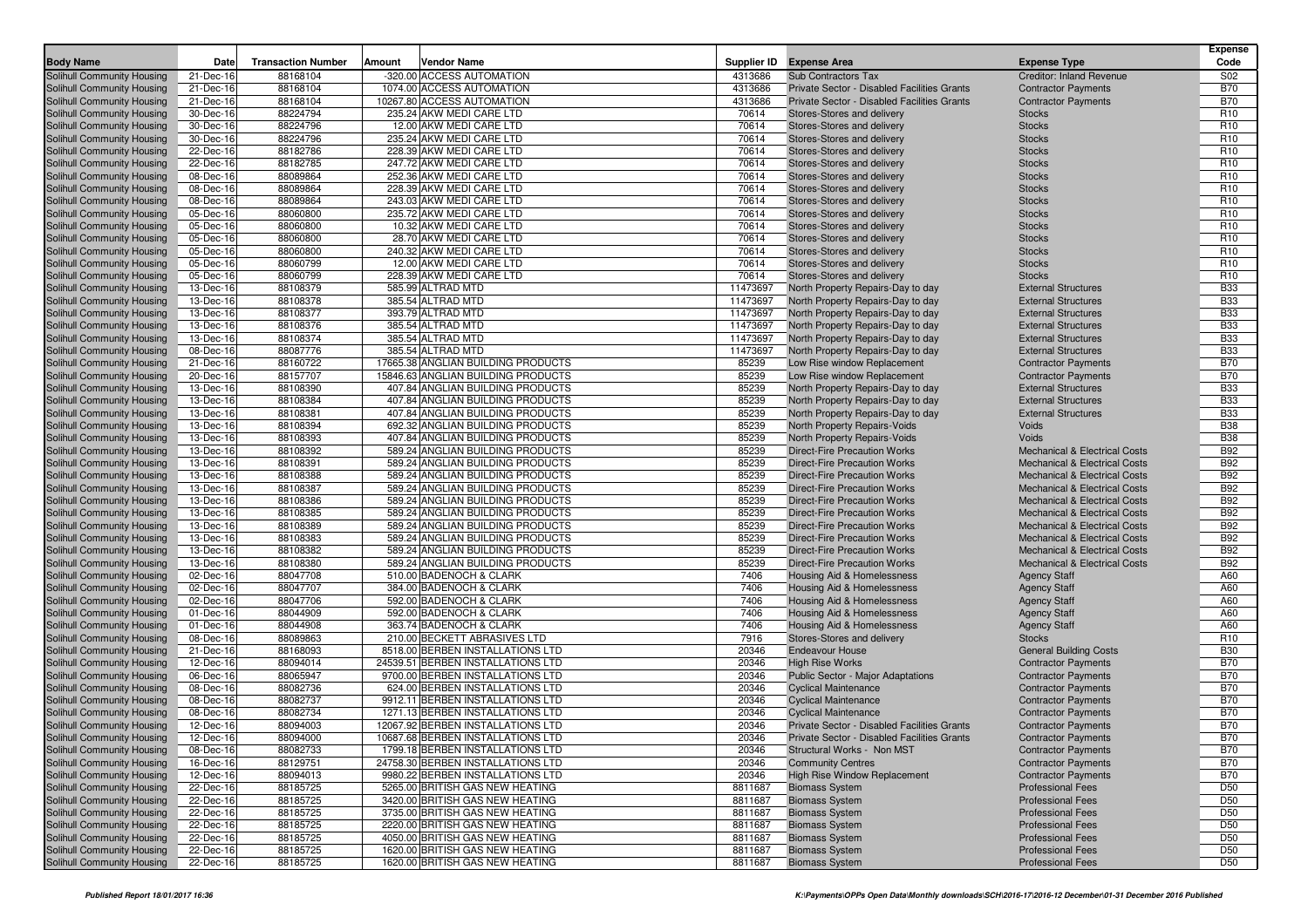| <b>Body Name</b>                                         | Date                   | <b>Transaction Number</b> | Amount | <b>Vendor Name</b>                                                    |                | Supplier ID Expense Area                                                   | <b>Expense Type</b>                                                       | <b>Expense</b><br>Code             |
|----------------------------------------------------------|------------------------|---------------------------|--------|-----------------------------------------------------------------------|----------------|----------------------------------------------------------------------------|---------------------------------------------------------------------------|------------------------------------|
| Solihull Community Housing                               | 21-Dec-16              | 88168104                  |        | -320.00 ACCESS AUTOMATION                                             | 4313686        | Sub Contractors Tax                                                        | <b>Creditor: Inland Revenue</b>                                           | S02                                |
| Solihull Community Housing                               | 21-Dec-16              | 88168104                  |        | 1074.00 ACCESS AUTOMATION                                             | 4313686        | Private Sector - Disabled Facilities Grants                                | <b>Contractor Payments</b>                                                | <b>B70</b>                         |
| Solihull Community Housing                               | 21-Dec-16              | 88168104                  |        | 10267.80 ACCESS AUTOMATION                                            | 4313686        | Private Sector - Disabled Facilities Grants                                | <b>Contractor Payments</b>                                                | <b>B70</b>                         |
| Solihull Community Housing                               | 30-Dec-16              | 88224794                  |        | 235.24 AKW MEDI CARE LTD                                              | 70614          | Stores-Stores and delivery                                                 | <b>Stocks</b>                                                             | R <sub>10</sub>                    |
| Solihull Community Housing                               | 30-Dec-16              | 88224796                  |        | 12.00 AKW MEDI CARE LTD                                               | 70614          | Stores-Stores and delivery                                                 | <b>Stocks</b>                                                             | R <sub>10</sub>                    |
| Solihull Community Housing                               | 30-Dec-16              | 88224796                  |        | 235.24 AKW MEDI CARE LTD                                              | 70614          | Stores-Stores and delivery                                                 | <b>Stocks</b>                                                             | R <sub>10</sub>                    |
| Solihull Community Housing                               | 22-Dec-16              | 88182786                  |        | 228.39 AKW MEDI CARE LTD                                              | 70614          | Stores-Stores and delivery                                                 | <b>Stocks</b>                                                             | R <sub>10</sub>                    |
| Solihull Community Housing                               | 22-Dec-16              | 88182785                  |        | 247.72 AKW MEDI CARE LTD                                              | 70614          | Stores-Stores and delivery                                                 | <b>Stocks</b>                                                             | R <sub>10</sub>                    |
| Solihull Community Housing                               | 08-Dec-16              | 88089864                  |        | 252.36 AKW MEDI CARE LTD                                              | 70614          | Stores-Stores and delivery                                                 | <b>Stocks</b>                                                             | R <sub>10</sub>                    |
| Solihull Community Housing<br>Solihull Community Housing | 08-Dec-16              | 88089864                  |        | 228.39 AKW MEDI CARE LTD                                              | 70614          | Stores-Stores and delivery                                                 | <b>Stocks</b>                                                             | R <sub>10</sub><br>R <sub>10</sub> |
|                                                          | 08-Dec-16              | 88089864<br>88060800      |        | 243.03 AKW MEDI CARE LTD<br>235.72 AKW MEDI CARE LTD                  | 70614<br>70614 | Stores-Stores and delivery                                                 | <b>Stocks</b>                                                             | R <sub>10</sub>                    |
| Solihull Community Housing<br>Solihull Community Housing | 05-Dec-16<br>05-Dec-16 | 88060800                  |        | 10.32 AKW MEDI CARE LTD                                               | 70614          | Stores-Stores and delivery<br>Stores-Stores and delivery                   | <b>Stocks</b><br><b>Stocks</b>                                            | R <sub>10</sub>                    |
| Solihull Community Housing                               | 05-Dec-16              | 88060800                  |        | 28.70 AKW MEDI CARE LTD                                               | 70614          | Stores-Stores and delivery                                                 | <b>Stocks</b>                                                             | R <sub>10</sub>                    |
| Solihull Community Housing                               | 05-Dec-16              | 88060800                  |        | 240.32 AKW MEDI CARE LTD                                              | 70614          | Stores-Stores and delivery                                                 | <b>Stocks</b>                                                             | R <sub>10</sub>                    |
| Solihull Community Housing                               | 05-Dec-16              | 88060799                  |        | 12.00 AKW MEDI CARE LTD                                               | 70614          | Stores-Stores and delivery                                                 | <b>Stocks</b>                                                             | R <sub>10</sub>                    |
| Solihull Community Housing                               | 05-Dec-16              | 88060799                  |        | 228.39 AKW MEDI CARE LTD                                              | 70614          | Stores-Stores and delivery                                                 | <b>Stocks</b>                                                             | R <sub>10</sub>                    |
| Solihull Community Housing                               | 13-Dec-16              | 88108379                  |        | 585.99 ALTRAD MTD                                                     | 11473697       | North Property Repairs-Day to day                                          | <b>External Structures</b>                                                | <b>B33</b>                         |
| Solihull Community Housing                               | 13-Dec-16              | 88108378                  |        | 385.54 ALTRAD MTD                                                     | 11473697       | North Property Repairs-Day to day                                          | <b>External Structures</b>                                                | <b>B33</b>                         |
| Solihull Community Housing                               | 13-Dec-16              | 88108377                  |        | 393.79 ALTRAD MTD                                                     | 11473697       | North Property Repairs-Day to day                                          | <b>External Structures</b>                                                | <b>B33</b>                         |
| Solihull Community Housing                               | 13-Dec-16              | 88108376                  |        | 385.54 ALTRAD MTD                                                     | 11473697       | North Property Repairs-Day to day                                          | <b>External Structures</b>                                                | <b>B33</b>                         |
| Solihull Community Housing                               | 13-Dec-16              | 88108374                  |        | 385.54 ALTRAD MTD                                                     | 11473697       | North Property Repairs-Day to day                                          | <b>External Structures</b>                                                | <b>B33</b>                         |
| Solihull Community Housing                               | 08-Dec-16              | 88087776                  |        | 385.54 ALTRAD MTD                                                     | 11473697       | North Property Repairs-Day to day                                          | <b>External Structures</b>                                                | <b>B33</b>                         |
| Solihull Community Housing                               | 21-Dec-16              | 88160722                  |        | 17665.38 ANGLIAN BUILDING PRODUCTS                                    | 85239          | Low Rise window Replacement                                                | <b>Contractor Payments</b>                                                | <b>B70</b>                         |
| Solihull Community Housing                               | 20-Dec-16              | 88157707                  |        | 15846.63 ANGLIAN BUILDING PRODUCTS                                    | 85239          | Low Rise window Replacement                                                | <b>Contractor Payments</b>                                                | <b>B70</b>                         |
| Solihull Community Housing                               | 13-Dec-16              | 88108390                  |        | 407.84 ANGLIAN BUILDING PRODUCTS                                      | 85239          | North Property Repairs-Day to day                                          | <b>External Structures</b>                                                | <b>B33</b>                         |
| Solihull Community Housing                               | 13-Dec-16              | 88108384                  |        | 407.84 ANGLIAN BUILDING PRODUCTS                                      | 85239          | North Property Repairs-Day to day                                          | <b>External Structures</b>                                                | <b>B33</b>                         |
| Solihull Community Housing                               | 13-Dec-16              | 88108381                  |        | 407.84 ANGLIAN BUILDING PRODUCTS                                      | 85239          | North Property Repairs-Day to day                                          | <b>External Structures</b>                                                | <b>B33</b>                         |
| Solihull Community Housing                               | 13-Dec-16              | 88108394                  |        | 692.32 ANGLIAN BUILDING PRODUCTS                                      | 85239          | North Property Repairs-Voids                                               | Voids                                                                     | <b>B38</b>                         |
| Solihull Community Housing                               | 13-Dec-16              | 88108393                  |        | 407.84 ANGLIAN BUILDING PRODUCTS                                      | 85239          | North Property Repairs-Voids                                               | Voids                                                                     | <b>B38</b>                         |
| Solihull Community Housing                               | 13-Dec-16              | 88108392                  |        | 589.24 ANGLIAN BUILDING PRODUCTS                                      | 85239          | <b>Direct-Fire Precaution Works</b>                                        | <b>Mechanical &amp; Electrical Costs</b>                                  | <b>B92</b>                         |
| Solihull Community Housing<br>Solihull Community Housing | 13-Dec-16              | 88108391                  |        | 589.24 ANGLIAN BUILDING PRODUCTS                                      | 85239<br>85239 | <b>Direct-Fire Precaution Works</b>                                        | Mechanical & Electrical Costs<br><b>Mechanical &amp; Electrical Costs</b> | <b>B92</b><br><b>B92</b>           |
|                                                          | 13-Dec-16              | 88108388<br>88108387      |        | 589.24 ANGLIAN BUILDING PRODUCTS<br>589.24 ANGLIAN BUILDING PRODUCTS  | 85239          | <b>Direct-Fire Precaution Works</b><br><b>Direct-Fire Precaution Works</b> | <b>Mechanical &amp; Electrical Costs</b>                                  | <b>B92</b>                         |
| Solihull Community Housing<br>Solihull Community Housing | 13-Dec-16<br>13-Dec-16 | 88108386                  |        | 589.24 ANGLIAN BUILDING PRODUCTS                                      | 85239          | <b>Direct-Fire Precaution Works</b>                                        | <b>Mechanical &amp; Electrical Costs</b>                                  | <b>B92</b>                         |
| Solihull Community Housing                               | 13-Dec-16              | 88108385                  |        | 589.24 ANGLIAN BUILDING PRODUCTS                                      | 85239          | <b>Direct-Fire Precaution Works</b>                                        | <b>Mechanical &amp; Electrical Costs</b>                                  | <b>B92</b>                         |
| Solihull Community Housing                               | 13-Dec-16              | 88108389                  |        | 589.24 ANGLIAN BUILDING PRODUCTS                                      | 85239          | <b>Direct-Fire Precaution Works</b>                                        | <b>Mechanical &amp; Electrical Costs</b>                                  | <b>B92</b>                         |
| Solihull Community Housing                               | 13-Dec-16              | 88108383                  |        | 589.24 ANGLIAN BUILDING PRODUCTS                                      | 85239          | <b>Direct-Fire Precaution Works</b>                                        | <b>Mechanical &amp; Electrical Costs</b>                                  | <b>B92</b>                         |
| Solihull Community Housing                               | 13-Dec-16              | 88108382                  |        | 589.24 ANGLIAN BUILDING PRODUCTS                                      | 85239          | <b>Direct-Fire Precaution Works</b>                                        | <b>Mechanical &amp; Electrical Costs</b>                                  | <b>B92</b>                         |
| Solihull Community Housing                               | 13-Dec-16              | 88108380                  |        | 589.24 ANGLIAN BUILDING PRODUCTS                                      | 85239          | <b>Direct-Fire Precaution Works</b>                                        | <b>Mechanical &amp; Electrical Costs</b>                                  | <b>B92</b>                         |
| Solihull Community Housing                               | 02-Dec-16              | 88047708                  |        | 510.00 BADENOCH & CLARK                                               | 7406           | Housing Aid & Homelessness                                                 | <b>Agency Staff</b>                                                       | A60                                |
| Solihull Community Housing                               | 02-Dec-16              | 88047707                  |        | 384.00 BADENOCH & CLARK                                               | 7406           | Housing Aid & Homelessness                                                 | <b>Agency Staff</b>                                                       | A60                                |
| Solihull Community Housing                               | 02-Dec-16              | 88047706                  |        | 592.00 BADENOCH & CLARK                                               | 7406           | Housing Aid & Homelessness                                                 | <b>Agency Staff</b>                                                       | A60                                |
| Solihull Community Housing                               | 01-Dec-16              | 88044909                  |        | 592.00 BADENOCH & CLARK                                               | 7406           | Housing Aid & Homelessness                                                 | <b>Agency Staff</b>                                                       | A60                                |
| Solihull Community Housing                               | 01-Dec-16              | 88044908                  |        | 363.74 BADENOCH & CLARK                                               | 7406           | Housing Aid & Homelessness                                                 | <b>Agency Staff</b>                                                       | A60                                |
| Solihull Community Housing                               | 08-Dec-16              | 88089863                  |        | 210.00 BECKETT ABRASIVES LTD                                          | 7916           | Stores-Stores and delivery                                                 | <b>Stocks</b>                                                             | R <sub>10</sub>                    |
| Solihull Community Housing                               | 21-Dec-16              | 88168093                  |        | 8518.00 BERBEN INSTALLATIONS LTD                                      | 20346          | <b>Endeavour House</b>                                                     | <b>General Building Costs</b>                                             | <b>B30</b>                         |
| Solihull Community Housing                               | 12-Dec-16              | 88094014                  |        | 24539.51 BERBEN INSTALLATIONS LTD                                     | 20346          | <b>High Rise Works</b>                                                     | <b>Contractor Payments</b>                                                | <b>B70</b>                         |
| Solihull Community Housing                               | 06-Dec-16              | 88065947                  |        | 9700.00 BERBEN INSTALLATIONS LTD                                      | 20346          | Public Sector - Major Adaptations                                          | <b>Contractor Payments</b>                                                | <b>B70</b>                         |
| Solihull Community Housing                               | 08-Dec-16              | 88082736                  |        | 624.00 BERBEN INSTALLATIONS LTD                                       | 20346          | <b>Cyclical Maintenance</b>                                                | <b>Contractor Payments</b>                                                | <b>B70</b>                         |
| Solihull Community Housing                               | 08-Dec-16              | 88082737                  |        | 9912.11 BERBEN INSTALLATIONS LTD                                      | 20346          | <b>Cyclical Maintenance</b>                                                | <b>Contractor Payments</b>                                                | <b>B70</b>                         |
| Solihull Community Housing                               | 08-Dec-16              | 88082734                  |        | 1271.13 BERBEN INSTALLATIONS LTD                                      | 20346          | <b>Cyclical Maintenance</b>                                                | <b>Contractor Payments</b>                                                | <b>B70</b>                         |
| Solihull Community Housing                               | 12-Dec-16              | 88094003                  |        | 12067.92 BERBEN INSTALLATIONS LTD                                     | 20346          | Private Sector - Disabled Facilities Grants                                | <b>Contractor Payments</b>                                                | <b>B70</b>                         |
| Solihull Community Housing                               | 12-Dec-16              | 88094000                  |        | 10687.68 BERBEN INSTALLATIONS LTD                                     | 20346<br>20346 | Private Sector - Disabled Facilities Grants                                | <b>Contractor Payments</b><br><b>Contractor Payments</b>                  | <b>B70</b><br><b>B70</b>           |
| Solihull Community Housing<br>Solihull Community Housing | 08-Dec-16<br>16-Dec-16 | 88082733<br>88129751      |        | 1799.18 BERBEN INSTALLATIONS LTD<br>24758.30 BERBEN INSTALLATIONS LTD | 20346          | Structural Works - Non MST<br><b>Community Centres</b>                     | <b>Contractor Payments</b>                                                | <b>B70</b>                         |
| Solihull Community Housing                               | 12-Dec-16              | 88094013                  |        | 9980.22 BERBEN INSTALLATIONS LTD                                      | 20346          | <b>High Rise Window Replacement</b>                                        | <b>Contractor Payments</b>                                                | <b>B70</b>                         |
| Solihull Community Housing                               | 22-Dec-16              | 88185725                  |        | 5265.00 BRITISH GAS NEW HEATING                                       | 8811687        | <b>Biomass System</b>                                                      | <b>Professional Fees</b>                                                  | D <sub>50</sub>                    |
| Solihull Community Housing                               | 22-Dec-16              | 88185725                  |        | 3420.00 BRITISH GAS NEW HEATING                                       | 8811687        | <b>Biomass System</b>                                                      | <b>Professional Fees</b>                                                  | D <sub>50</sub>                    |
| Solihull Community Housing                               | 22-Dec-16              | 88185725                  |        | 3735.00 BRITISH GAS NEW HEATING                                       | 8811687        | <b>Biomass System</b>                                                      | <b>Professional Fees</b>                                                  | D <sub>50</sub>                    |
| Solihull Community Housing                               | 22-Dec-16              | 88185725                  |        | 2220.00 BRITISH GAS NEW HEATING                                       | 8811687        | <b>Biomass System</b>                                                      | <b>Professional Fees</b>                                                  | D <sub>50</sub>                    |
| Solihull Community Housing                               | 22-Dec-16              | 88185725                  |        | 4050.00 BRITISH GAS NEW HEATING                                       | 8811687        | <b>Biomass System</b>                                                      | <b>Professional Fees</b>                                                  | D <sub>50</sub>                    |
| Solihull Community Housing                               | 22-Dec-16              | 88185725                  |        | 1620.00 BRITISH GAS NEW HEATING                                       | 8811687        | <b>Biomass System</b>                                                      | <b>Professional Fees</b>                                                  | D <sub>50</sub>                    |
| Solihull Community Housing                               | 22-Dec-16              | 88185725                  |        | 1620.00 BRITISH GAS NEW HEATING                                       | 8811687        | <b>Biomass System</b>                                                      | <b>Professional Fees</b>                                                  | D <sub>50</sub>                    |
|                                                          |                        |                           |        |                                                                       |                |                                                                            |                                                                           |                                    |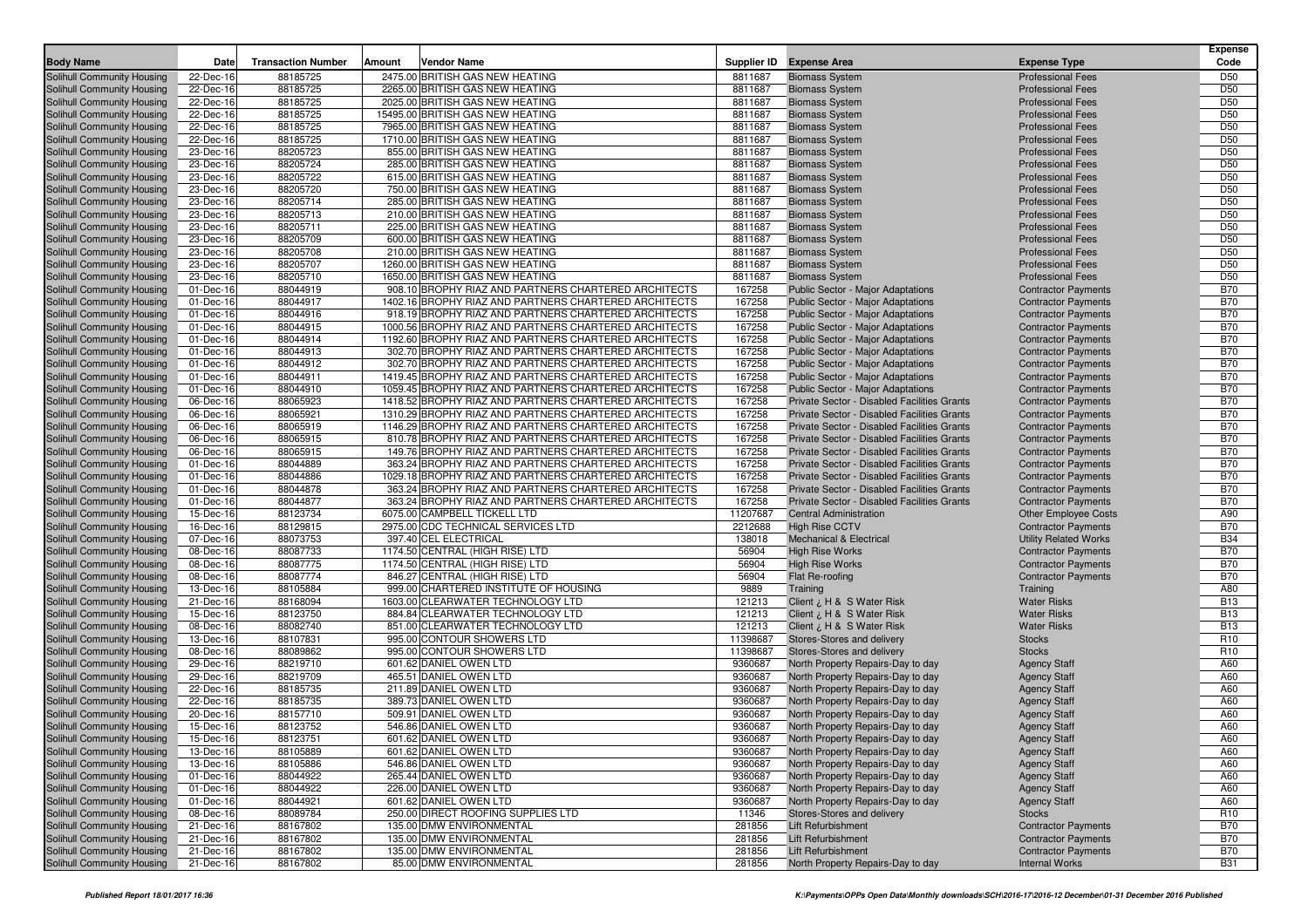| <b>Body Name</b>                                         | Date                   | <b>Transaction Number</b> | Amount | <b>Vendor Name</b>                                               |                    | Supplier ID Expense Area                                    | <b>Expense Type</b>                                        | <b>Expense</b><br>Code   |
|----------------------------------------------------------|------------------------|---------------------------|--------|------------------------------------------------------------------|--------------------|-------------------------------------------------------------|------------------------------------------------------------|--------------------------|
| Solihull Community Housing                               | 22-Dec-16              | 88185725                  |        | 2475.00 BRITISH GAS NEW HEATING                                  | 8811687            | <b>Biomass System</b>                                       | <b>Professional Fees</b>                                   | D <sub>50</sub>          |
| Solihull Community Housing                               | 22-Dec-16              | 88185725                  |        | 2265.00 BRITISH GAS NEW HEATING                                  | 8811687            | <b>Biomass System</b>                                       | <b>Professional Fees</b>                                   | D <sub>50</sub>          |
| Solihull Community Housing                               | 22-Dec-16              | 88185725                  |        | 2025.00 BRITISH GAS NEW HEATING                                  | 8811687            | <b>Biomass System</b>                                       | <b>Professional Fees</b>                                   | D <sub>50</sub>          |
| Solihull Community Housing                               | 22-Dec-16              | 88185725                  |        | 15495.00 BRITISH GAS NEW HEATING                                 | 8811687            | <b>Biomass System</b>                                       | <b>Professional Fees</b>                                   | D50                      |
| Solihull Community Housing                               | 22-Dec-16              | 88185725                  |        | 7965.00 BRITISH GAS NEW HEATING                                  | 8811687            | <b>Biomass System</b>                                       | <b>Professional Fees</b>                                   | D <sub>50</sub>          |
| Solihull Community Housing                               | 22-Dec-16              | 88185725                  |        | 1710.00 BRITISH GAS NEW HEATING                                  | 8811687            | <b>Biomass System</b>                                       | <b>Professional Fees</b>                                   | D <sub>50</sub>          |
| Solihull Community Housing                               | 23-Dec-16              | 88205723                  |        | 855.00 BRITISH GAS NEW HEATING                                   | 8811687            | <b>Biomass System</b>                                       | <b>Professional Fees</b>                                   | D50                      |
| Solihull Community Housing                               | 23-Dec-16              | 88205724                  |        | 285.00 BRITISH GAS NEW HEATING                                   | 8811687            | <b>Biomass System</b>                                       | <b>Professional Fees</b>                                   | D <sub>50</sub>          |
| Solihull Community Housing                               | 23-Dec-16              | 88205722                  |        | 615.00 BRITISH GAS NEW HEATING                                   | 8811687            | <b>Biomass System</b>                                       | <b>Professional Fees</b>                                   | D <sub>50</sub>          |
| Solihull Community Housing                               | 23-Dec-16              | 88205720                  |        | 750.00 BRITISH GAS NEW HEATING                                   | 8811687            | <b>Biomass System</b>                                       | <b>Professional Fees</b>                                   | D50                      |
| Solihull Community Housing                               | 23-Dec-16<br>23-Dec-16 | 88205714<br>88205713      |        | 285.00 BRITISH GAS NEW HEATING<br>210.00 BRITISH GAS NEW HEATING | 8811687<br>8811687 | <b>Biomass System</b><br><b>Biomass System</b>              | <b>Professional Fees</b><br><b>Professional Fees</b>       | D50<br>D <sub>50</sub>   |
| Solihull Community Housing<br>Solihull Community Housing | 23-Dec-16              | 88205711                  |        | 225.00 BRITISH GAS NEW HEATING                                   | 8811687            | <b>Biomass System</b>                                       | <b>Professional Fees</b>                                   | D50                      |
| Solihull Community Housing                               | 23-Dec-16              | 88205709                  |        | 600.00 BRITISH GAS NEW HEATING                                   | 8811687            | <b>Biomass System</b>                                       | <b>Professional Fees</b>                                   | D <sub>50</sub>          |
| Solihull Community Housing                               | 23-Dec-16              | 88205708                  |        | 210.00 BRITISH GAS NEW HEATING                                   | 8811687            | <b>Biomass System</b>                                       | <b>Professional Fees</b>                                   | D50                      |
| Solihull Community Housing                               | 23-Dec-16              | 88205707                  |        | 1260.00 BRITISH GAS NEW HEATING                                  | 8811687            | <b>Biomass System</b>                                       | <b>Professional Fees</b>                                   | D50                      |
| Solihull Community Housing                               | 23-Dec-16              | 88205710                  |        | 1650.00 BRITISH GAS NEW HEATING                                  | 8811687            | <b>Biomass System</b>                                       | <b>Professional Fees</b>                                   | D <sub>50</sub>          |
| Solihull Community Housing                               | 01-Dec-16              | 88044919                  |        | 908.10 BROPHY RIAZ AND PARTNERS CHARTERED ARCHITECTS             | 167258             | Public Sector - Major Adaptations                           | <b>Contractor Payments</b>                                 | <b>B70</b>               |
| Solihull Community Housing                               | 01-Dec-16              | 88044917                  |        | 1402.16 BROPHY RIAZ AND PARTNERS CHARTERED ARCHITECTS            | 167258             | Public Sector - Major Adaptations                           | <b>Contractor Payments</b>                                 | <b>B70</b>               |
| Solihull Community Housing                               | 01-Dec-16              | 88044916                  |        | 918.19 BROPHY RIAZ AND PARTNERS CHARTERED ARCHITECTS             | 167258             | Public Sector - Major Adaptations                           | <b>Contractor Payments</b>                                 | <b>B70</b>               |
| Solihull Community Housing                               | 01-Dec-16              | 88044915                  |        | 1000.56 BROPHY RIAZ AND PARTNERS CHARTERED ARCHITECTS            | 167258             | Public Sector - Major Adaptations                           | <b>Contractor Payments</b>                                 | <b>B70</b>               |
| Solihull Community Housing                               | 01-Dec-16              | 88044914                  |        | 1192.60 BROPHY RIAZ AND PARTNERS CHARTERED ARCHITECTS            | 167258             | Public Sector - Major Adaptations                           | <b>Contractor Payments</b>                                 | <b>B70</b>               |
| Solihull Community Housing                               | 01-Dec-16              | 88044913                  |        | 302.70 BROPHY RIAZ AND PARTNERS CHARTERED ARCHITECTS             | 167258             | Public Sector - Major Adaptations                           | <b>Contractor Payments</b>                                 | <b>B70</b>               |
| Solihull Community Housing                               | 01-Dec-16              | 88044912                  |        | 302.70 BROPHY RIAZ AND PARTNERS CHARTERED ARCHITECTS             | 167258             | Public Sector - Major Adaptations                           | <b>Contractor Payments</b>                                 | <b>B70</b>               |
| Solihull Community Housing                               | 01-Dec-16              | 88044911                  |        | 1419.45 BROPHY RIAZ AND PARTNERS CHARTERED ARCHITECTS            | 167258             | Public Sector - Major Adaptations                           | <b>Contractor Payments</b>                                 | <b>B70</b>               |
| Solihull Community Housing                               | 01-Dec-16              | 88044910                  |        | 1059.45 BROPHY RIAZ AND PARTNERS CHARTERED ARCHITECTS            | 167258             | <b>Public Sector - Major Adaptations</b>                    | <b>Contractor Payments</b>                                 | <b>B70</b>               |
| Solihull Community Housing                               | 06-Dec-16              | 88065923                  |        | 1418.52 BROPHY RIAZ AND PARTNERS CHARTERED ARCHITECTS            | 167258             | Private Sector - Disabled Facilities Grants                 | <b>Contractor Payments</b>                                 | <b>B70</b>               |
| Solihull Community Housing                               | 06-Dec-16              | 88065921                  |        | 1310.29 BROPHY RIAZ AND PARTNERS CHARTERED ARCHITECTS            | 167258             | Private Sector - Disabled Facilities Grants                 | <b>Contractor Payments</b>                                 | <b>B70</b>               |
| Solihull Community Housing                               | 06-Dec-16              | 88065919                  |        | 1146.29 BROPHY RIAZ AND PARTNERS CHARTERED ARCHITECTS            | 167258             | Private Sector - Disabled Facilities Grants                 | <b>Contractor Payments</b>                                 | <b>B70</b>               |
| Solihull Community Housing                               | 06-Dec-16              | 88065915                  |        | 810.78 BROPHY RIAZ AND PARTNERS CHARTERED ARCHITECTS             | 167258             | Private Sector - Disabled Facilities Grants                 | <b>Contractor Payments</b>                                 | <b>B70</b>               |
| Solihull Community Housing                               | 06-Dec-16              | 88065915                  |        | 149.76 BROPHY RIAZ AND PARTNERS CHARTERED ARCHITECTS             | 167258             | Private Sector - Disabled Facilities Grants                 | <b>Contractor Payments</b>                                 | <b>B70</b>               |
| Solihull Community Housing                               | 01-Dec-16              | 88044889                  |        | 363.24 BROPHY RIAZ AND PARTNERS CHARTERED ARCHITECTS             | 167258             | Private Sector - Disabled Facilities Grants                 | <b>Contractor Payments</b>                                 | <b>B70</b>               |
| Solihull Community Housing                               | 01-Dec-16              | 88044886                  |        | 1029.18 BROPHY RIAZ AND PARTNERS CHARTERED ARCHITECTS            | 167258             | Private Sector - Disabled Facilities Grants                 | <b>Contractor Payments</b>                                 | <b>B70</b>               |
| Solihull Community Housing                               | 01-Dec-16              | 88044878                  |        | 363.24 BROPHY RIAZ AND PARTNERS CHARTERED ARCHITECTS             | 167258             | Private Sector - Disabled Facilities Grants                 | <b>Contractor Payments</b>                                 | <b>B70</b>               |
| Solihull Community Housing                               | 01-Dec-16              | 88044877                  |        | 363.24 BROPHY RIAZ AND PARTNERS CHARTERED ARCHITECTS             | 167258             | Private Sector - Disabled Facilities Grants                 | <b>Contractor Payments</b>                                 | <b>B70</b>               |
| Solihull Community Housing                               | 15-Dec-16              | 88123734                  |        | 6075.00 CAMPBELL TICKELL LTD                                     | 11207687           | <b>Central Administration</b>                               | <b>Other Employee Costs</b>                                | A90                      |
| Solihull Community Housing<br>Solihull Community Housing | 16-Dec-16<br>07-Dec-16 | 88129815<br>88073753      |        | 2975.00 CDC TECHNICAL SERVICES LTD<br>397.40 CEL ELECTRICAL      | 2212688<br>138018  | <b>High Rise CCTV</b><br><b>Mechanical &amp; Electrical</b> | <b>Contractor Payments</b><br><b>Utility Related Works</b> | <b>B70</b><br><b>B34</b> |
| Solihull Community Housing                               | 08-Dec-16              | 88087733                  |        | 1174.50 CENTRAL (HIGH RISE) LTD                                  | 56904              | <b>High Rise Works</b>                                      | <b>Contractor Payments</b>                                 | <b>B70</b>               |
| Solihull Community Housing                               | 08-Dec-16              | 88087775                  |        | 1174.50 CENTRAL (HIGH RISE) LTD                                  | 56904              | <b>High Rise Works</b>                                      | <b>Contractor Payments</b>                                 | <b>B70</b>               |
| Solihull Community Housing                               | 08-Dec-16              | 88087774                  |        | 846.27 CENTRAL (HIGH RISE) LTD                                   | 56904              | Flat Re-roofing                                             | <b>Contractor Payments</b>                                 | <b>B70</b>               |
| Solihull Community Housing                               | 13-Dec-16              | 88105884                  |        | 999.00 CHARTERED INSTITUTE OF HOUSING                            | 9889               | Training                                                    | Training                                                   | A80                      |
| Solihull Community Housing                               | 21-Dec-16              | 88168094                  |        | 1603.00 CLEARWATER TECHNOLOGY LTD                                | 121213             | Client ¿ H & S Water Risk                                   | <b>Water Risks</b>                                         | <b>B13</b>               |
| Solihull Community Housing                               | 15-Dec-16              | 88123750                  |        | 884.84 CLEARWATER TECHNOLOGY LTD                                 | 121213             | Client ¿ H & S Water Risk                                   | <b>Water Risks</b>                                         | <b>B13</b>               |
| Solihull Community Housing                               | 08-Dec-16              | 88082740                  |        | 851.00 CLEARWATER TECHNOLOGY LTD                                 | 121213             | Client ¿ H & S Water Risk                                   | <b>Water Risks</b>                                         | <b>B13</b>               |
| Solihull Community Housing                               | 13-Dec-16              | 88107831                  |        | 995.00 CONTOUR SHOWERS LTD                                       | 11398687           | Stores-Stores and delivery                                  | <b>Stocks</b>                                              | R <sub>10</sub>          |
| Solihull Community Housing                               | 08-Dec-16              | 88089862                  |        | 995.00 CONTOUR SHOWERS LTD                                       | 11398687           | Stores-Stores and delivery                                  | <b>Stocks</b>                                              | R <sub>10</sub>          |
| Solihull Community Housing                               | 29-Dec-16              | 88219710                  |        | 601.62 DANIEL OWEN LTD                                           | 9360687            | North Property Repairs-Day to day                           | <b>Agency Staff</b>                                        | A60                      |
| Solihull Community Housing                               | 29-Dec-16              | 88219709                  |        | 465.51 DANIEL OWEN LTD                                           | 9360687            | North Property Repairs-Day to day                           | <b>Agency Staff</b>                                        | A60                      |
| Solihull Community Housing                               | 22-Dec-16              | 88185735                  |        | 211.89 DANIEL OWEN LTD                                           | 9360687            | North Property Repairs-Day to day                           | <b>Agency Staff</b>                                        | A60                      |
| Solihull Community Housing                               | 22-Dec-16              | 88185735                  |        | 389.73 DANIEL OWEN LTD                                           | 9360687            | North Property Repairs-Day to day                           | <b>Agency Staff</b>                                        | A60                      |
| Solihull Community Housing                               | 20-Dec-16              | 88157710                  |        | 509.91 DANIEL OWEN LTD                                           | 9360687            | North Property Repairs-Day to day                           | Agency Staff                                               | A60                      |
| Solihull Community Housing                               | 15-Dec-16              | 88123752                  |        | 546.86 DANIEL OWEN LTD                                           | 9360687            | North Property Repairs-Day to day                           | <b>Agency Staff</b>                                        | A60                      |
| Solihull Community Housing                               | 15-Dec-16              | 88123751                  |        | 601.62 DANIEL OWEN LTD                                           | 9360687            | North Property Repairs-Day to day                           | <b>Agency Staff</b>                                        | A60                      |
| Solihull Community Housing                               | 13-Dec-16              | 88105889                  |        | 601.62 DANIEL OWEN LTD                                           | 9360687            | North Property Repairs-Day to day                           | <b>Agency Staff</b>                                        | A60                      |
| Solihull Community Housing                               | 13-Dec-16              | 88105886                  |        | 546.86 DANIEL OWEN LTD                                           | 9360687            | North Property Repairs-Day to day                           | <b>Agency Staff</b>                                        | A60                      |
| Solihull Community Housing                               | 01-Dec-16              | 88044922                  |        | 265.44 DANIEL OWEN LTD                                           | 9360687            | North Property Repairs-Day to day                           | <b>Agency Staff</b>                                        | A60                      |
| Solihull Community Housing                               | 01-Dec-16              | 88044922                  |        | 226.00 DANIEL OWEN LTD                                           | 9360687            | North Property Repairs-Day to day                           | <b>Agency Staff</b>                                        | A60                      |
| Solihull Community Housing                               | 01-Dec-16              | 88044921                  |        | 601.62 DANIEL OWEN LTD                                           | 9360687            | North Property Repairs-Day to day                           | <b>Agency Staff</b>                                        | A60                      |
| Solihull Community Housing                               | 08-Dec-16              | 88089784                  |        | 250.00 DIRECT ROOFING SUPPLIES LTD<br>135.00 DMW ENVIRONMENTAL   | 11346              | Stores-Stores and delivery                                  | Stocks                                                     | R <sub>10</sub>          |
| Solihull Community Housing                               | 21-Dec-16              | 88167802                  |        | 135.00 DMW ENVIRONMENTAL                                         | 281856             | Lift Refurbishment<br>Lift Refurbishment                    | <b>Contractor Payments</b>                                 | <b>B70</b>               |
| Solihull Community Housing<br>Solihull Community Housing | 21-Dec-16<br>21-Dec-16 | 88167802<br>88167802      |        | 135.00 DMW ENVIRONMENTAL                                         | 281856<br>281856   | Lift Refurbishment                                          | <b>Contractor Payments</b><br><b>Contractor Payments</b>   | <b>B70</b><br><b>B70</b> |
| Solihull Community Housing                               | 21-Dec-16              | 88167802                  |        | 85.00 DMW ENVIRONMENTAL                                          | 281856             | North Property Repairs-Day to day                           | <b>Internal Works</b>                                      | <b>B31</b>               |
|                                                          |                        |                           |        |                                                                  |                    |                                                             |                                                            |                          |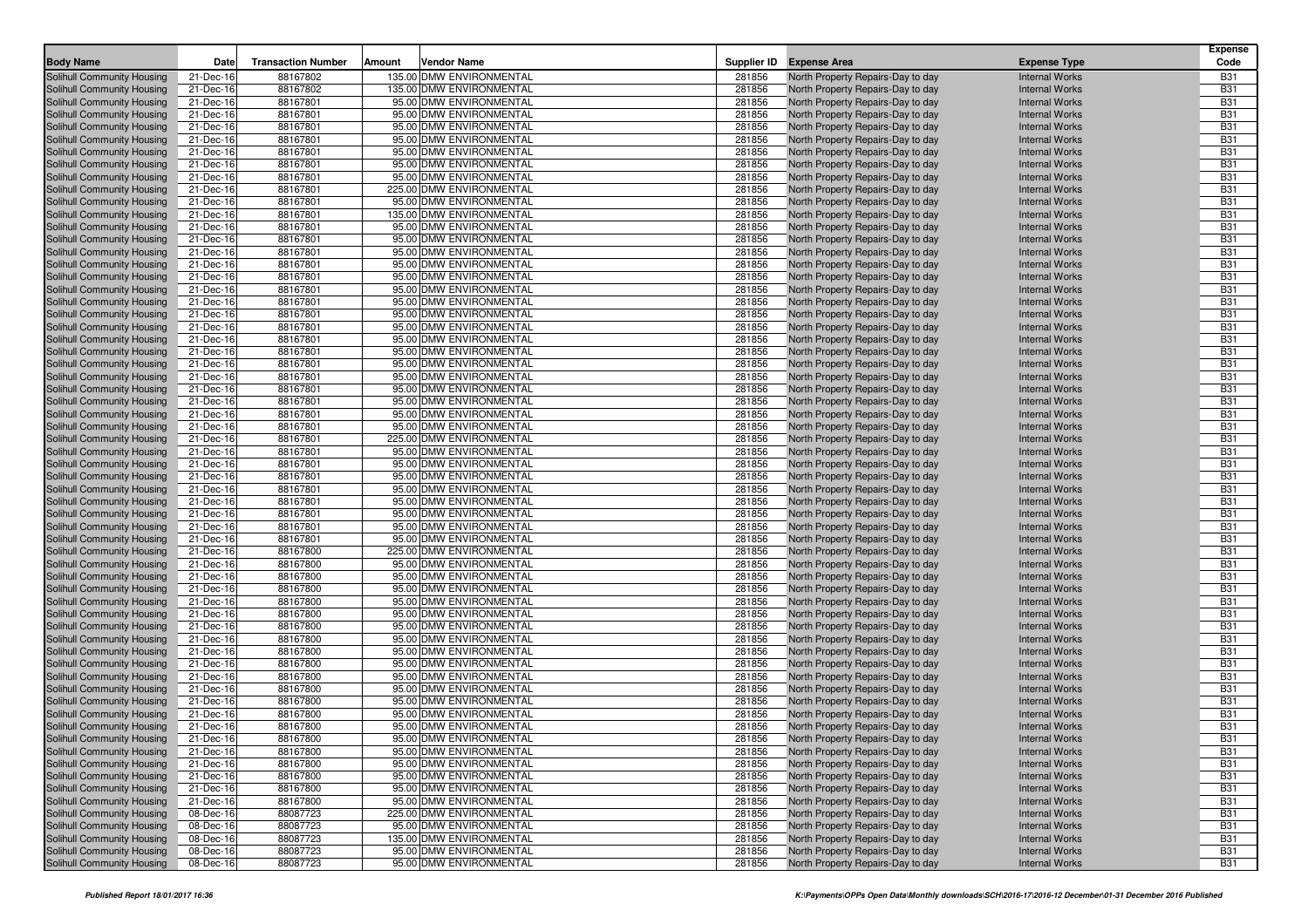|                                                          |                        |                           |        |                                                    |                  |                                                                        |                                                | <b>Expense</b>           |
|----------------------------------------------------------|------------------------|---------------------------|--------|----------------------------------------------------|------------------|------------------------------------------------------------------------|------------------------------------------------|--------------------------|
| <b>Body Name</b>                                         | Date                   | <b>Transaction Number</b> | Amount | <b>Vendor Name</b>                                 |                  | Supplier ID Expense Area                                               | <b>Expense Type</b>                            | Code                     |
| Solihull Community Housing                               | 21-Dec-16              | 88167802                  |        | 135.00 DMW ENVIRONMENTAL                           | 281856           | North Property Repairs-Day to day                                      | <b>Internal Works</b>                          | <b>B31</b>               |
| Solihull Community Housing                               | 21-Dec-16              | 88167802                  |        | 135.00 DMW ENVIRONMENTAL                           | 281856           | North Property Repairs-Day to day                                      | <b>Internal Works</b>                          | <b>B31</b>               |
| Solihull Community Housing                               | 21-Dec-16              | 88167801                  |        | 95.00 DMW ENVIRONMENTAL                            | 281856           | North Property Repairs-Day to day                                      | <b>Internal Works</b>                          | <b>B31</b>               |
| Solihull Community Housing                               | 21-Dec-16              | 88167801                  |        | 95.00 DMW ENVIRONMENTAL                            | 281856           | North Property Repairs-Day to day                                      | <b>Internal Works</b>                          | <b>B31</b>               |
| Solihull Community Housing                               | 21-Dec-16              | 88167801                  |        | 95.00 DMW ENVIRONMENTAL                            | 281856           | North Property Repairs-Day to day                                      | <b>Internal Works</b>                          | <b>B31</b>               |
| Solihull Community Housing                               | 21-Dec-16              | 88167801                  |        | 95.00 DMW ENVIRONMENTAL                            | 281856           | North Property Repairs-Day to day                                      | <b>Internal Works</b>                          | <b>B31</b>               |
| Solihull Community Housing                               | 21-Dec-16              | 88167801                  |        | 95.00 DMW ENVIRONMENTAL                            | 281856           | North Property Repairs-Day to day                                      | <b>Internal Works</b>                          | <b>B31</b><br><b>B31</b> |
| Solihull Community Housing<br>Solihull Community Housing | 21-Dec-16<br>21-Dec-16 | 88167801<br>88167801      |        | 95.00 DMW ENVIRONMENTAL<br>95.00 DMW ENVIRONMENTAL | 281856<br>281856 | North Property Repairs-Day to day<br>North Property Repairs-Day to day | <b>Internal Works</b><br><b>Internal Works</b> | <b>B31</b>               |
| Solihull Community Housing                               | 21-Dec-16              | 88167801                  |        | 225.00 DMW ENVIRONMENTAL                           | 281856           | North Property Repairs-Day to day                                      | <b>Internal Works</b>                          | <b>B31</b>               |
| Solihull Community Housing                               | 21-Dec-16              | 88167801                  |        | 95.00 DMW ENVIRONMENTAL                            | 281856           | North Property Repairs-Day to day                                      | <b>Internal Works</b>                          | <b>B31</b>               |
| Solihull Community Housing                               | 21-Dec-16              | 88167801                  |        | 135.00 DMW ENVIRONMENTAL                           | 281856           | North Property Repairs-Day to day                                      | <b>Internal Works</b>                          | <b>B31</b>               |
| Solihull Community Housing                               | 21-Dec-16              | 88167801                  |        | 95.00 DMW ENVIRONMENTAL                            | 281856           | North Property Repairs-Day to day                                      | <b>Internal Works</b>                          | <b>B31</b>               |
| Solihull Community Housing                               | 21-Dec-16              | 88167801                  |        | 95.00 DMW ENVIRONMENTAL                            | 281856           | North Property Repairs-Day to day                                      | <b>Internal Works</b>                          | <b>B31</b>               |
| Solihull Community Housing                               | 21-Dec-16              | 88167801                  |        | 95.00 DMW ENVIRONMENTAL                            | 281856           | North Property Repairs-Day to day                                      | <b>Internal Works</b>                          | <b>B31</b>               |
| Solihull Community Housing                               | 21-Dec-16              | 88167801                  |        | 95.00 DMW ENVIRONMENTAL                            | 281856           | North Property Repairs-Day to day                                      | <b>Internal Works</b>                          | <b>B31</b>               |
| Solihull Community Housing                               | 21-Dec-16              | 88167801                  |        | 95.00 DMW ENVIRONMENTAL                            | 281856           | North Property Repairs-Day to day                                      | <b>Internal Works</b>                          | <b>B31</b>               |
| Solihull Community Housing                               | 21-Dec-16              | 88167801                  |        | 95.00 DMW ENVIRONMENTAL                            | 281856           | North Property Repairs-Day to day                                      | <b>Internal Works</b>                          | <b>B31</b>               |
| Solihull Community Housing                               | 21-Dec-16              | 88167801                  |        | 95.00 DMW ENVIRONMENTAL                            | 281856           | North Property Repairs-Day to day                                      | <b>Internal Works</b>                          | <b>B31</b>               |
| Solihull Community Housing                               | 21-Dec-16              | 88167801                  |        | 95.00 DMW ENVIRONMENTAL                            | 281856           | North Property Repairs-Day to day                                      | <b>Internal Works</b>                          | <b>B31</b>               |
| Solihull Community Housing                               | 21-Dec-16              | 88167801                  |        | 95.00 DMW ENVIRONMENTAL                            | 281856           | North Property Repairs-Day to day                                      | <b>Internal Works</b>                          | <b>B31</b>               |
| Solihull Community Housing                               | 21-Dec-16              | 88167801                  |        | 95.00 DMW ENVIRONMENTAL                            | 281856           | North Property Repairs-Day to day                                      | <b>Internal Works</b>                          | <b>B31</b>               |
| Solihull Community Housing                               | 21-Dec-16              | 88167801                  |        | 95.00 DMW ENVIRONMENTAL                            | 281856           | North Property Repairs-Day to day                                      | <b>Internal Works</b>                          | <b>B31</b>               |
| Solihull Community Housing                               | 21-Dec-16              | 88167801                  |        | 95.00 DMW ENVIRONMENTAL                            | 281856           | North Property Repairs-Day to day                                      | <b>Internal Works</b>                          | <b>B31</b>               |
| Solihull Community Housing                               | 21-Dec-16              | 88167801                  |        | 95.00 DMW ENVIRONMENTAL                            | 281856           | North Property Repairs-Day to day                                      | <b>Internal Works</b>                          | <b>B31</b>               |
| Solihull Community Housing                               | 21-Dec-16              | 88167801                  |        | 95.00 DMW ENVIRONMENTAL                            | 281856           | North Property Repairs-Day to day                                      | <b>Internal Works</b>                          | <b>B31</b>               |
| Solihull Community Housing                               | 21-Dec-16              | 88167801                  |        | 95.00 DMW ENVIRONMENTAL                            | 281856           | North Property Repairs-Day to day                                      | <b>Internal Works</b>                          | <b>B31</b>               |
| Solihull Community Housing                               | 21-Dec-16              | 88167801                  |        | 95.00 DMW ENVIRONMENTAL                            | 281856           | North Property Repairs-Day to day                                      | <b>Internal Works</b>                          | <b>B31</b>               |
| Solihull Community Housing                               | 21-Dec-16              | 88167801                  |        | 95.00 DMW ENVIRONMENTAL                            | 281856           | North Property Repairs-Day to day                                      | <b>Internal Works</b>                          | <b>B31</b>               |
| Solihull Community Housing                               | 21-Dec-16              | 88167801                  |        | 225.00 DMW ENVIRONMENTAL                           | 281856           | North Property Repairs-Day to day                                      | <b>Internal Works</b>                          | <b>B31</b>               |
| Solihull Community Housing                               | 21-Dec-16              | 88167801                  |        | 95.00 DMW ENVIRONMENTAL                            | 281856           | North Property Repairs-Day to day                                      | <b>Internal Works</b>                          | <b>B31</b>               |
| Solihull Community Housing                               | 21-Dec-16              | 88167801                  |        | 95.00 DMW ENVIRONMENTAL                            | 281856           | North Property Repairs-Day to day                                      | <b>Internal Works</b>                          | <b>B31</b>               |
| Solihull Community Housing                               | 21-Dec-16              | 88167801                  |        | 95.00 DMW ENVIRONMENTAL                            | 281856<br>281856 | North Property Repairs-Day to day                                      | <b>Internal Works</b>                          | <b>B31</b><br><b>B31</b> |
| Solihull Community Housing                               | 21-Dec-16              | 88167801<br>88167801      |        | 95.00 DMW ENVIRONMENTAL<br>95.00 DMW ENVIRONMENTAL | 281856           | North Property Repairs-Day to day                                      | <b>Internal Works</b><br><b>Internal Works</b> | <b>B31</b>               |
| Solihull Community Housing<br>Solihull Community Housing | 21-Dec-16<br>21-Dec-16 | 88167801                  |        | 95.00 DMW ENVIRONMENTAL                            | 281856           | North Property Repairs-Day to day<br>North Property Repairs-Day to day | <b>Internal Works</b>                          | <b>B31</b>               |
| Solihull Community Housing                               | 21-Dec-16              | 88167801                  |        | 95.00 DMW ENVIRONMENTAL                            | 281856           | North Property Repairs-Day to day                                      | <b>Internal Works</b>                          | <b>B31</b>               |
| Solihull Community Housing                               | 21-Dec-16              | 88167801                  |        | 95.00 DMW ENVIRONMENTAL                            | 281856           | North Property Repairs-Day to day                                      | <b>Internal Works</b>                          | <b>B31</b>               |
| Solihull Community Housing                               | 21-Dec-16              | 88167800                  |        | 225.00 DMW ENVIRONMENTAL                           | 281856           | North Property Repairs-Day to day                                      | <b>Internal Works</b>                          | <b>B31</b>               |
| Solihull Community Housing                               | 21-Dec-16              | 88167800                  |        | 95.00 DMW ENVIRONMENTAL                            | 281856           | North Property Repairs-Day to day                                      | <b>Internal Works</b>                          | <b>B31</b>               |
| Solihull Community Housing                               | 21-Dec-16              | 88167800                  |        | 95.00 DMW ENVIRONMENTAL                            | 281856           | North Property Repairs-Day to day                                      | <b>Internal Works</b>                          | <b>B31</b>               |
| Solihull Community Housing                               | 21-Dec-16              | 88167800                  |        | 95.00 DMW ENVIRONMENTAL                            | 281856           | North Property Repairs-Day to day                                      | <b>Internal Works</b>                          | <b>B31</b>               |
| Solihull Community Housing                               | 21-Dec-16              | 88167800                  |        | 95.00 DMW ENVIRONMENTAL                            | 281856           | North Property Repairs-Day to day                                      | <b>Internal Works</b>                          | <b>B31</b>               |
| Solihull Community Housing                               | 21-Dec-16              | 88167800                  |        | 95.00 DMW ENVIRONMENTAL                            | 281856           | North Property Repairs-Day to day                                      | <b>Internal Works</b>                          | <b>B31</b>               |
| Solihull Community Housing                               | 21-Dec-16              | 88167800                  |        | 95.00 DMW ENVIRONMENTAL                            | 281856           | North Property Repairs-Day to day                                      | <b>Internal Works</b>                          | <b>B31</b>               |
| Solihull Community Housing                               | 21-Dec-16              | 88167800                  |        | 95.00 DMW ENVIRONMENTAL                            | 281856           | North Property Repairs-Day to day                                      | <b>Internal Works</b>                          | <b>B31</b>               |
| Solihull Community Housing                               | 21-Dec-16              | 88167800                  |        | 95.00 DMW ENVIRONMENTAL                            | 281856           | North Property Repairs-Day to day                                      | <b>Internal Works</b>                          | <b>B31</b>               |
| Solihull Community Housing                               | 21-Dec-16              | 88167800                  |        | 95.00 DMW ENVIRONMENTAL                            | 281856           | North Property Repairs-Day to day                                      | <b>Internal Works</b>                          | <b>B31</b>               |
| Solihull Community Housing                               | 21-Dec-16              | 88167800                  |        | 95.00 DMW ENVIRONMENTAL                            | 281856           | North Property Repairs-Day to day                                      | <b>Internal Works</b>                          | <b>B31</b>               |
| Solihull Community Housing                               | 21-Dec-16              | 88167800                  |        | 95.00 DMW ENVIRONMENTAL                            | 281856           | North Property Repairs-Day to day                                      | <b>Internal Works</b>                          | <b>B31</b>               |
| Solihull Community Housing                               | 21-Dec-16              | 88167800                  |        | 95.00 DMW ENVIRONMENTAL                            | 281856           | North Property Repairs-Day to day                                      | <b>Internal Works</b>                          | <b>B31</b>               |
| Solihull Community Housing                               | 21-Dec-16              | 88167800                  |        | 95.00 DMW ENVIRONMENTAL                            | 281856           | North Property Repairs-Day to day                                      | <b>Internal Works</b>                          | <b>B31</b>               |
| Solihull Community Housing                               | 21-Dec-16              | 88167800                  |        | 95.00 DMW ENVIRONMENTAL                            | 281856           | North Property Repairs-Day to day                                      | <b>Internal Works</b>                          | <b>B31</b>               |
| Solihull Community Housing                               | 21-Dec-16              | 88167800                  |        | 95.00 DMW ENVIRONMENTAL                            | 281856           | North Property Repairs-Day to day                                      | <b>Internal Works</b>                          | <b>B31</b>               |
| Solihull Community Housing<br>Solihull Community Housing | 21-Dec-16<br>21-Dec-16 | 88167800<br>88167800      |        | 95.00 DMW ENVIRONMENTAL<br>95.00 DMW ENVIRONMENTAL | 281856<br>281856 | North Property Repairs-Day to day<br>North Property Repairs-Day to day | <b>Internal Works</b><br><b>Internal Works</b> | <b>B31</b><br><b>B31</b> |
| Solihull Community Housing                               | 21-Dec-16              | 88167800                  |        | 95.00 DMW ENVIRONMENTAL                            | 281856           | North Property Repairs-Day to day                                      | <b>Internal Works</b>                          | <b>B31</b>               |
| Solihull Community Housing                               | 21-Dec-16              | 88167800                  |        | 95.00 DMW ENVIRONMENTAL                            | 281856           | North Property Repairs-Day to day                                      | <b>Internal Works</b>                          | <b>B31</b>               |
| Solihull Community Housing                               | 21-Dec-16              | 88167800                  |        | 95.00 DMW ENVIRONMENTAL                            | 281856           | North Property Repairs-Day to day                                      | <b>Internal Works</b>                          | <b>B31</b>               |
| Solihull Community Housing                               | 08-Dec-16              | 88087723                  |        | 225.00 DMW ENVIRONMENTAL                           | 281856           | North Property Repairs-Day to day                                      | <b>Internal Works</b>                          | <b>B31</b>               |
| Solihull Community Housing                               | 08-Dec-16              | 88087723                  |        | 95.00 DMW ENVIRONMENTAL                            | 281856           | North Property Repairs-Day to day                                      | <b>Internal Works</b>                          | <b>B31</b>               |
| Solihull Community Housing                               | 08-Dec-16              | 88087723                  |        | 135.00 DMW ENVIRONMENTAL                           | 281856           | North Property Repairs-Day to day                                      | <b>Internal Works</b>                          | <b>B31</b>               |
| Solihull Community Housing                               | 08-Dec-16              | 88087723                  |        | 95.00 DMW ENVIRONMENTAL                            | 281856           | North Property Repairs-Day to day                                      | <b>Internal Works</b>                          | <b>B31</b>               |
| Solihull Community Housing                               | 08-Dec-16              | 88087723                  |        | 95.00 DMW ENVIRONMENTAL                            | 281856           | North Property Repairs-Day to day                                      | <b>Internal Works</b>                          | <b>B31</b>               |
|                                                          |                        |                           |        |                                                    |                  |                                                                        |                                                |                          |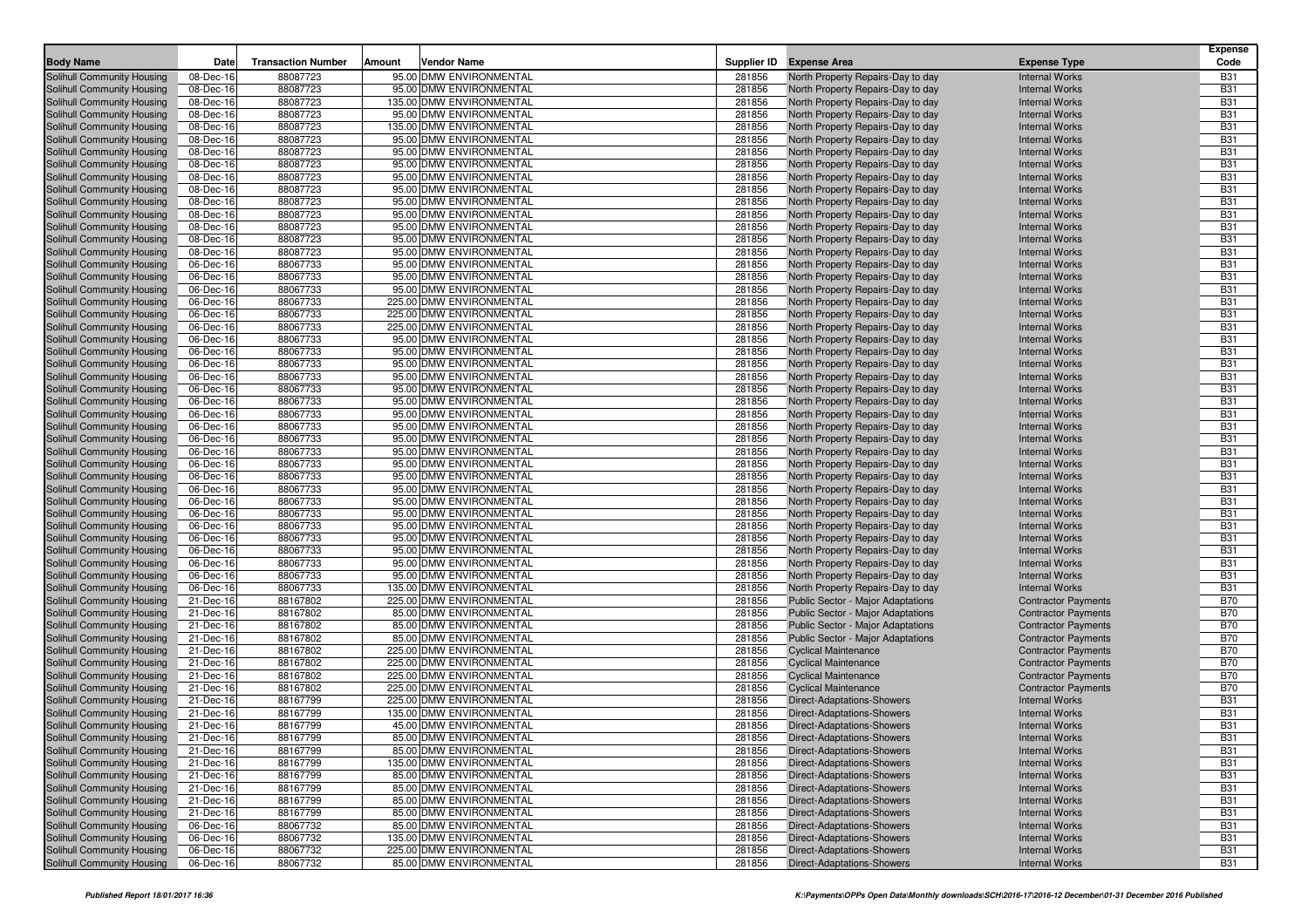| <b>Body Name</b>                                         | Date                   | <b>Transaction Number</b> | Amount | Vendor Name                                         |                  | Supplier ID Expense Area                                               | <b>Expense Type</b>                                      | <b>Expense</b><br>Code   |
|----------------------------------------------------------|------------------------|---------------------------|--------|-----------------------------------------------------|------------------|------------------------------------------------------------------------|----------------------------------------------------------|--------------------------|
| Solihull Community Housing                               | 08-Dec-16              | 88087723                  |        | 95.00 DMW ENVIRONMENTAL                             | 281856           | North Property Repairs-Day to day                                      | <b>Internal Works</b>                                    | <b>B31</b>               |
| Solihull Community Housing                               | 08-Dec-16              | 88087723                  |        | 95.00 DMW ENVIRONMENTAL                             | 281856           | North Property Repairs-Day to day                                      | <b>Internal Works</b>                                    | <b>B31</b>               |
| Solihull Community Housing                               | 08-Dec-16              | 88087723                  |        | 135.00 DMW ENVIRONMENTAL                            | 281856           | North Property Repairs-Day to day                                      | <b>Internal Works</b>                                    | <b>B31</b>               |
| Solihull Community Housing                               | 08-Dec-16              | 88087723                  |        | 95.00 DMW ENVIRONMENTAL                             | 281856           | North Property Repairs-Day to day                                      | <b>Internal Works</b>                                    | <b>B31</b>               |
| Solihull Community Housing                               | 08-Dec-16              | 88087723                  |        | 135.00 DMW ENVIRONMENTAL                            | 281856           | North Property Repairs-Day to day                                      | <b>Internal Works</b>                                    | <b>B31</b>               |
| Solihull Community Housing                               | 08-Dec-16              | 88087723                  |        | 95.00 DMW ENVIRONMENTAL                             | 281856           | North Property Repairs-Day to day                                      | <b>Internal Works</b>                                    | <b>B31</b>               |
| Solihull Community Housing                               | 08-Dec-16              | 88087723                  |        | 95.00 DMW ENVIRONMENTAL                             | 281856           | North Property Repairs-Day to day                                      | <b>Internal Works</b>                                    | <b>B31</b>               |
| Solihull Community Housing                               | 08-Dec-16              | 88087723                  |        | 95.00 DMW ENVIRONMENTAL                             | 281856           | North Property Repairs-Day to day                                      | <b>Internal Works</b>                                    | <b>B31</b>               |
| Solihull Community Housing                               | 08-Dec-16              | 88087723                  |        | 95.00 DMW ENVIRONMENTAL                             | 281856           | North Property Repairs-Day to day                                      | <b>Internal Works</b>                                    | <b>B31</b>               |
| Solihull Community Housing                               | 08-Dec-16              | 88087723                  |        | 95.00 DMW ENVIRONMENTAL                             | 281856           | North Property Repairs-Day to day                                      | <b>Internal Works</b>                                    | <b>B31</b>               |
| Solihull Community Housing                               | 08-Dec-16              | 88087723                  |        | 95.00 DMW ENVIRONMENTAL                             | 281856           | North Property Repairs-Day to day                                      | <b>Internal Works</b>                                    | <b>B31</b>               |
| Solihull Community Housing                               | 08-Dec-16              | 88087723                  |        | 95.00 DMW ENVIRONMENTAL                             | 281856           | North Property Repairs-Day to day                                      | <b>Internal Works</b>                                    | <b>B31</b>               |
| Solihull Community Housing                               | 08-Dec-16              | 88087723                  |        | 95.00 DMW ENVIRONMENTAL                             | 281856           | North Property Repairs-Day to day                                      | <b>Internal Works</b>                                    | <b>B31</b>               |
| Solihull Community Housing                               | 08-Dec-16              | 88087723                  |        | 95.00 DMW ENVIRONMENTAL                             | 281856           | North Property Repairs-Day to day                                      | <b>Internal Works</b>                                    | <b>B31</b>               |
| Solihull Community Housing                               | 08-Dec-16              | 88087723                  |        | 95.00 DMW ENVIRONMENTAL                             | 281856           | North Property Repairs-Day to day                                      | <b>Internal Works</b>                                    | <b>B31</b>               |
| Solihull Community Housing                               | 06-Dec-16              | 88067733                  |        | 95.00 DMW ENVIRONMENTAL                             | 281856           | North Property Repairs-Day to day                                      | <b>Internal Works</b>                                    | <b>B31</b>               |
| Solihull Community Housing                               | 06-Dec-16              | 88067733                  |        | 95.00 DMW ENVIRONMENTAL                             | 281856           | North Property Repairs-Day to day                                      | <b>Internal Works</b>                                    | <b>B31</b>               |
| Solihull Community Housing                               | 06-Dec-16              | 88067733                  |        | 95.00 DMW ENVIRONMENTAL                             | 281856           | North Property Repairs-Day to day                                      | <b>Internal Works</b>                                    | <b>B31</b>               |
| Solihull Community Housing                               | 06-Dec-16              | 88067733                  |        | 225.00 DMW ENVIRONMENTAL                            | 281856           | North Property Repairs-Day to day                                      | <b>Internal Works</b>                                    | <b>B31</b>               |
| Solihull Community Housing                               | 06-Dec-16              | 88067733                  |        | 225.00 DMW ENVIRONMENTAL                            | 281856           | North Property Repairs-Day to day                                      | <b>Internal Works</b>                                    | <b>B31</b>               |
| Solihull Community Housing                               | 06-Dec-16              | 88067733                  |        | 225.00 DMW ENVIRONMENTAL                            | 281856           | North Property Repairs-Day to day                                      | <b>Internal Works</b>                                    | <b>B31</b>               |
| Solihull Community Housing                               | 06-Dec-16              | 88067733                  |        | 95.00 DMW ENVIRONMENTAL                             | 281856           | North Property Repairs-Day to day                                      | <b>Internal Works</b>                                    | <b>B31</b>               |
| Solihull Community Housing                               | 06-Dec-16              | 88067733                  |        | 95.00 DMW ENVIRONMENTAL                             | 281856           | North Property Repairs-Day to day                                      | <b>Internal Works</b>                                    | <b>B31</b>               |
| Solihull Community Housing                               | 06-Dec-16              | 88067733                  |        | 95.00 DMW ENVIRONMENTAL                             | 281856           | North Property Repairs-Day to day                                      | <b>Internal Works</b>                                    | <b>B31</b>               |
| Solihull Community Housing                               | 06-Dec-16              | 88067733                  |        | 95.00 DMW ENVIRONMENTAL                             | 281856           | North Property Repairs-Day to day                                      | <b>Internal Works</b>                                    | <b>B31</b>               |
| Solihull Community Housing                               | 06-Dec-16              | 88067733                  |        | 95.00 DMW ENVIRONMENTAL                             | 281856           | North Property Repairs-Day to day                                      | <b>Internal Works</b>                                    | <b>B31</b>               |
| Solihull Community Housing                               | 06-Dec-16              | 88067733                  |        | 95.00 DMW ENVIRONMENTAL                             | 281856           | North Property Repairs-Day to day                                      | <b>Internal Works</b>                                    | <b>B31</b>               |
| Solihull Community Housing                               | 06-Dec-16              | 88067733                  |        | 95.00 DMW ENVIRONMENTAL                             | 281856           | North Property Repairs-Day to day                                      | <b>Internal Works</b>                                    | <b>B31</b>               |
| Solihull Community Housing                               | 06-Dec-16              | 88067733                  |        | 95.00 DMW ENVIRONMENTAL                             | 281856           | North Property Repairs-Day to day                                      | <b>Internal Works</b>                                    | <b>B31</b>               |
| Solihull Community Housing                               | 06-Dec-16              | 88067733                  |        | 95.00 DMW ENVIRONMENTAL                             | 281856           | North Property Repairs-Day to day                                      | <b>Internal Works</b>                                    | <b>B31</b>               |
| Solihull Community Housing                               | 06-Dec-16              | 88067733                  |        | 95.00 DMW ENVIRONMENTAL                             | 281856           | North Property Repairs-Day to day                                      | <b>Internal Works</b>                                    | <b>B31</b>               |
| Solihull Community Housing                               | 06-Dec-16              | 88067733                  |        | 95.00 DMW ENVIRONMENTAL                             | 281856           | North Property Repairs-Day to day                                      | <b>Internal Works</b>                                    | <b>B31</b>               |
| Solihull Community Housing                               | 06-Dec-16              | 88067733                  |        | 95.00 DMW ENVIRONMENTAL                             | 281856           | North Property Repairs-Day to day                                      | <b>Internal Works</b>                                    | <b>B31</b>               |
| Solihull Community Housing                               | 06-Dec-16              | 88067733                  |        | 95.00 DMW ENVIRONMENTAL                             | 281856           | North Property Repairs-Day to day                                      | <b>Internal Works</b>                                    | <b>B31</b>               |
| Solihull Community Housing                               | 06-Dec-16              | 88067733                  |        | 95.00 DMW ENVIRONMENTAL                             | 281856           | North Property Repairs-Day to day                                      | <b>Internal Works</b>                                    | <b>B31</b>               |
| Solihull Community Housing                               | 06-Dec-16              | 88067733                  |        | 95.00 DMW ENVIRONMENTAL                             | 281856           | North Property Repairs-Day to day                                      | <b>Internal Works</b>                                    | <b>B31</b>               |
| Solihull Community Housing                               | 06-Dec-16              | 88067733                  |        | 95.00 DMW ENVIRONMENTAL                             | 281856           | North Property Repairs-Day to day                                      | <b>Internal Works</b>                                    | <b>B31</b>               |
| Solihull Community Housing                               | 06-Dec-16              | 88067733                  |        | 95.00 DMW ENVIRONMENTAL                             | 281856           | North Property Repairs-Day to day                                      | <b>Internal Works</b>                                    | <b>B31</b>               |
| Solihull Community Housing                               | 06-Dec-16              | 88067733                  |        | 95.00 DMW ENVIRONMENTAL                             | 281856           | North Property Repairs-Day to day                                      | <b>Internal Works</b>                                    | <b>B31</b>               |
| Solihull Community Housing                               | 06-Dec-16              | 88067733                  |        | 95.00 DMW ENVIRONMENTAL                             | 281856           | North Property Repairs-Day to day                                      | <b>Internal Works</b>                                    | <b>B31</b>               |
| Solihull Community Housing                               | 06-Dec-16              | 88067733                  |        | 95.00 DMW ENVIRONMENTAL                             | 281856           | North Property Repairs-Day to day                                      | <b>Internal Works</b>                                    | <b>B31</b>               |
| Solihull Community Housing                               | 06-Dec-16              | 88067733<br>88167802      |        | 135.00 DMW ENVIRONMENTAL                            | 281856<br>281856 | North Property Repairs-Day to day                                      | <b>Internal Works</b>                                    | <b>B31</b><br><b>B70</b> |
| Solihull Community Housing<br>Solihull Community Housing | 21-Dec-16<br>21-Dec-16 | 88167802                  |        | 225.00 DMW ENVIRONMENTAL<br>85.00 DMW ENVIRONMENTAL | 281856           | Public Sector - Major Adaptations<br>Public Sector - Major Adaptations | <b>Contractor Payments</b><br><b>Contractor Payments</b> | <b>B70</b>               |
| Solihull Community Housing                               | 21-Dec-16              | 88167802                  |        | 85.00 DMW ENVIRONMENTAL                             | 281856           | Public Sector - Major Adaptations                                      | <b>Contractor Payments</b>                               | <b>B70</b>               |
| Solihull Community Housing                               | 21-Dec-16              | 88167802                  |        | 85.00 DMW ENVIRONMENTAL                             | 281856           | Public Sector - Major Adaptations                                      | <b>Contractor Payments</b>                               | <b>B70</b>               |
| Solihull Community Housing                               | 21-Dec-16              | 88167802                  |        | 225.00 DMW ENVIRONMENTAL                            | 281856           | <b>Cyclical Maintenance</b>                                            | <b>Contractor Payments</b>                               | <b>B70</b>               |
| Solihull Community Housing                               | 21-Dec-16              | 88167802                  |        | 225.00 DMW ENVIRONMENTAL                            | 281856           | <b>Cyclical Maintenance</b>                                            | <b>Contractor Payments</b>                               | <b>B70</b>               |
| Solihull Community Housing                               | 21-Dec-16              | 88167802                  |        | 225.00 DMW ENVIRONMENTAL                            | 281856           | <b>Cyclical Maintenance</b>                                            | <b>Contractor Payments</b>                               | <b>B70</b>               |
| Solihull Community Housing                               | 21-Dec-16              | 88167802                  |        | 225.00 DMW ENVIRONMENTAL                            | 281856           | <b>Cyclical Maintenance</b>                                            | <b>Contractor Payments</b>                               | <b>B70</b>               |
| Solihull Community Housing                               | 21-Dec-16              | 88167799                  |        | 225.00 DMW ENVIRONMENTAL                            | 281856           | Direct-Adaptations-Showers                                             | <b>Internal Works</b>                                    | <b>B31</b>               |
| Solihull Community Housing                               | 21-Dec-16              | 88167799                  |        | 135.00 DMW ENVIRONMENTAL                            | 281856           | Direct-Adaptations-Showers                                             | <b>Internal Works</b>                                    | <b>B31</b>               |
| Solihull Community Housing                               | 21-Dec-16              | 88167799                  |        | 45.00 DMW ENVIRONMENTAL                             | 281856           | Direct-Adaptations-Showers                                             | <b>Internal Works</b>                                    | <b>B31</b>               |
| Solihull Community Housing                               | 21-Dec-16              | 88167799                  |        | 85.00 DMW ENVIRONMENTAL                             | 281856           | <b>Direct-Adaptations-Showers</b>                                      | <b>Internal Works</b>                                    | <b>B31</b>               |
| Solihull Community Housing                               | 21-Dec-16              | 88167799                  |        | 85.00 DMW ENVIRONMENTAL                             | 281856           | <b>Direct-Adaptations-Showers</b>                                      | <b>Internal Works</b>                                    | <b>B31</b>               |
| Solihull Community Housing                               | 21-Dec-16              | 88167799                  |        | 135.00 DMW ENVIRONMENTAL                            | 281856           | <b>Direct-Adaptations-Showers</b>                                      | <b>Internal Works</b>                                    | <b>B31</b>               |
| Solihull Community Housing                               | 21-Dec-16              | 88167799                  |        | 85.00 DMW ENVIRONMENTAL                             | 281856           | Direct-Adaptations-Showers                                             | <b>Internal Works</b>                                    | <b>B31</b>               |
| Solihull Community Housing                               | 21-Dec-16              | 88167799                  |        | 85.00 DMW ENVIRONMENTAL                             | 281856           | <b>Direct-Adaptations-Showers</b>                                      | <b>Internal Works</b>                                    | <b>B31</b>               |
| Solihull Community Housing                               | 21-Dec-16              | 88167799                  |        | 85.00 DMW ENVIRONMENTAL                             | 281856           | <b>Direct-Adaptations-Showers</b>                                      | <b>Internal Works</b>                                    | <b>B31</b>               |
| Solihull Community Housing                               | 21-Dec-16              | 88167799                  |        | 85.00 DMW ENVIRONMENTAL                             | 281856           | <b>Direct-Adaptations-Showers</b>                                      | <b>Internal Works</b>                                    | <b>B31</b>               |
| Solihull Community Housing                               | 06-Dec-16              | 88067732                  |        | 85.00 DMW ENVIRONMENTAL                             | 281856           | <b>Direct-Adaptations-Showers</b>                                      | <b>Internal Works</b>                                    | <b>B31</b>               |
| Solihull Community Housing                               | 06-Dec-16              | 88067732                  |        | 135.00 DMW ENVIRONMENTAL                            | 281856           | <b>Direct-Adaptations-Showers</b>                                      | <b>Internal Works</b>                                    | <b>B31</b>               |
| Solihull Community Housing                               | 06-Dec-16              | 88067732                  |        | 225.00 DMW ENVIRONMENTAL                            | 281856           | <b>Direct-Adaptations-Showers</b>                                      | <b>Internal Works</b>                                    | <b>B31</b>               |
| Solihull Community Housing                               | 06-Dec-16              | 88067732                  |        | 85.00 DMW ENVIRONMENTAL                             | 281856           | <b>Direct-Adaptations-Showers</b>                                      | <b>Internal Works</b>                                    | <b>B31</b>               |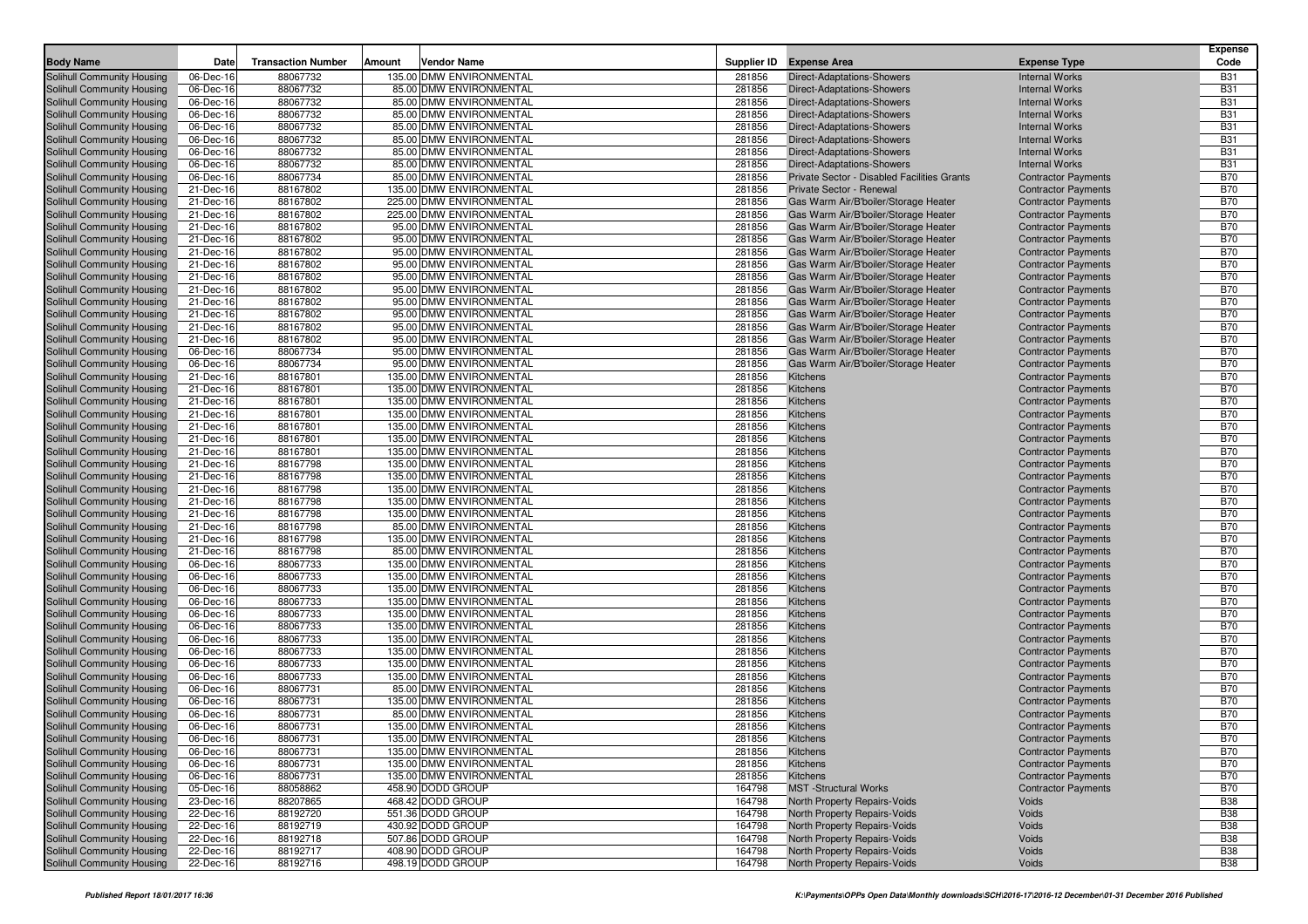| <b>Body Name</b>                                         | Date                   | <b>Transaction Number</b> | Amount | Vendor Name                                          | Supplier ID      | <b>Expense Area</b>                                                          | <b>Expense Type</b>                                      | <b>Expense</b><br>Code   |
|----------------------------------------------------------|------------------------|---------------------------|--------|------------------------------------------------------|------------------|------------------------------------------------------------------------------|----------------------------------------------------------|--------------------------|
|                                                          |                        |                           |        |                                                      |                  |                                                                              |                                                          |                          |
| Solihull Community Housing                               | 06-Dec-16              | 88067732                  |        | 135.00 DMW ENVIRONMENTAL                             | 281856           | Direct-Adaptations-Showers                                                   | <b>Internal Works</b>                                    | <b>B31</b>               |
| Solihull Community Housing                               | 06-Dec-16              | 88067732                  |        | 85.00 DMW ENVIRONMENTAL                              | 281856           | <b>Direct-Adaptations-Showers</b>                                            | <b>Internal Works</b>                                    | <b>B31</b>               |
| Solihull Community Housing                               | 06-Dec-16              | 88067732                  |        | 85.00 DMW ENVIRONMENTAL                              | 281856           | Direct-Adaptations-Showers                                                   | <b>Internal Works</b>                                    | <b>B31</b>               |
| Solihull Community Housing                               | 06-Dec-16              | 88067732                  |        | 85.00 DMW ENVIRONMENTAL                              | 281856           | Direct-Adaptations-Showers                                                   | <b>Internal Works</b>                                    | <b>B31</b>               |
| Solihull Community Housing                               | 06-Dec-16              | 88067732                  |        | 85.00 DMW ENVIRONMENTAL                              | 281856           | Direct-Adaptations-Showers                                                   | <b>Internal Works</b>                                    | <b>B31</b>               |
| Solihull Community Housing                               | 06-Dec-16              | 88067732                  |        | 85.00 DMW ENVIRONMENTAL                              | 281856           | Direct-Adaptations-Showers                                                   | <b>Internal Works</b>                                    | <b>B31</b>               |
| Solihull Community Housing                               | 06-Dec-16              | 88067732                  |        | 85.00 DMW ENVIRONMENTAL                              | 281856           | Direct-Adaptations-Showers                                                   | <b>Internal Works</b>                                    | <b>B31</b>               |
| Solihull Community Housing                               | 06-Dec-16              | 88067732                  |        | 85.00 DMW ENVIRONMENTAL                              | 281856           | Direct-Adaptations-Showers                                                   | <b>Internal Works</b>                                    | <b>B31</b>               |
| Solihull Community Housing                               | 06-Dec-16              | 88067734                  |        | 85.00 DMW ENVIRONMENTAL                              | 281856           | Private Sector - Disabled Facilities Grants                                  | <b>Contractor Payments</b>                               | <b>B70</b>               |
| Solihull Community Housing                               | 21-Dec-16              | 88167802                  |        | 135.00 DMW ENVIRONMENTAL                             | 281856           | Private Sector - Renewal                                                     | <b>Contractor Payments</b>                               | <b>B70</b>               |
| Solihull Community Housing                               | 21-Dec-16              | 88167802                  |        | 225.00 DMW ENVIRONMENTAL                             | 281856           | Gas Warm Air/B'boiler/Storage Heater                                         | <b>Contractor Payments</b>                               | <b>B70</b><br><b>B70</b> |
| Solihull Community Housing                               | 21-Dec-16<br>21-Dec-16 | 88167802<br>88167802      |        | 225.00 DMW ENVIRONMENTAL<br>95.00 DMW ENVIRONMENTAL  | 281856<br>281856 | Gas Warm Air/B'boiler/Storage Heater                                         | <b>Contractor Payments</b>                               | <b>B70</b>               |
| Solihull Community Housing                               |                        | 88167802                  |        | 95.00 DMW ENVIRONMENTAL                              | 281856           | Gas Warm Air/B'boiler/Storage Heater<br>Gas Warm Air/B'boiler/Storage Heater | <b>Contractor Payments</b>                               | <b>B70</b>               |
| Solihull Community Housing                               | 21-Dec-16              |                           |        |                                                      |                  |                                                                              | <b>Contractor Payments</b>                               |                          |
| Solihull Community Housing<br>Solihull Community Housing | 21-Dec-16              | 88167802<br>88167802      |        | 95.00 DMW ENVIRONMENTAL                              | 281856<br>281856 | Gas Warm Air/B'boiler/Storage Heater<br>Gas Warm Air/B'boiler/Storage Heater | <b>Contractor Payments</b>                               | <b>B70</b><br><b>B70</b> |
|                                                          | 21-Dec-16              |                           |        | 95.00 DMW ENVIRONMENTAL                              |                  |                                                                              | <b>Contractor Payments</b>                               |                          |
| Solihull Community Housing                               | 21-Dec-16              | 88167802                  |        | 95.00 DMW ENVIRONMENTAL                              | 281856           | Gas Warm Air/B'boiler/Storage Heater                                         | <b>Contractor Payments</b>                               | <b>B70</b><br><b>B70</b> |
| Solihull Community Housing                               | 21-Dec-16              | 88167802                  |        | 95.00 DMW ENVIRONMENTAL                              | 281856           | Gas Warm Air/B'boiler/Storage Heater                                         | <b>Contractor Payments</b>                               |                          |
| Solihull Community Housing                               | 21-Dec-16              | 88167802                  |        | 95.00 DMW ENVIRONMENTAL                              | 281856           | Gas Warm Air/B'boiler/Storage Heater                                         | <b>Contractor Payments</b>                               | <b>B70</b>               |
| Solihull Community Housing                               | 21-Dec-16              | 88167802                  |        | 95.00 DMW ENVIRONMENTAL                              | 281856           | Gas Warm Air/B'boiler/Storage Heater                                         | <b>Contractor Payments</b>                               | <b>B70</b><br><b>B70</b> |
| Solihull Community Housing                               | 21-Dec-16              | 88167802                  |        | 95.00 DMW ENVIRONMENTAL                              | 281856           | Gas Warm Air/B'boiler/Storage Heater                                         | <b>Contractor Payments</b>                               |                          |
| Solihull Community Housing                               | 21-Dec-16              | 88167802                  |        | 95.00 DMW ENVIRONMENTAL                              | 281856           | Gas Warm Air/B'boiler/Storage Heater                                         | <b>Contractor Payments</b>                               | <b>B70</b><br><b>B70</b> |
| Solihull Community Housing                               | 06-Dec-16<br>06-Dec-16 | 88067734                  |        | 95.00 DMW ENVIRONMENTAL<br>95.00 DMW ENVIRONMENTAL   | 281856           | Gas Warm Air/B'boiler/Storage Heater                                         | <b>Contractor Payments</b>                               |                          |
| Solihull Community Housing<br>Solihull Community Housing |                        | 88067734                  |        | 135.00 DMW ENVIRONMENTAL                             | 281856           | Gas Warm Air/B'boiler/Storage Heater                                         | <b>Contractor Payments</b>                               | <b>B70</b><br><b>B70</b> |
|                                                          | 21-Dec-16              | 88167801                  |        |                                                      | 281856           | Kitchens                                                                     | <b>Contractor Payments</b>                               |                          |
| Solihull Community Housing                               | 21-Dec-16              | 88167801                  |        | 135.00 DMW ENVIRONMENTAL                             | 281856           | Kitchens                                                                     | <b>Contractor Payments</b>                               | <b>B70</b>               |
| Solihull Community Housing                               | 21-Dec-16              | 88167801                  |        | 135.00 DMW ENVIRONMENTAL                             | 281856           | Kitchens                                                                     | <b>Contractor Payments</b>                               | <b>B70</b>               |
| Solihull Community Housing<br>Solihull Community Housing | 21-Dec-16              | 88167801                  |        | 135.00 DMW ENVIRONMENTAL<br>135.00 DMW ENVIRONMENTAL | 281856           | Kitchens                                                                     | <b>Contractor Payments</b><br><b>Contractor Payments</b> | <b>B70</b><br><b>B70</b> |
|                                                          | 21-Dec-16              | 88167801<br>88167801      |        | 135.00 DMW ENVIRONMENTAL                             | 281856<br>281856 | Kitchens<br>Kitchens                                                         |                                                          | <b>B70</b>               |
| Solihull Community Housing                               | 21-Dec-16              |                           |        | 135.00 DMW ENVIRONMENTAL                             |                  |                                                                              | <b>Contractor Payments</b>                               | <b>B70</b>               |
| Solihull Community Housing<br>Solihull Community Housing | 21-Dec-16<br>21-Dec-16 | 88167801                  |        | 135.00 DMW ENVIRONMENTAL                             | 281856<br>281856 | Kitchens<br>Kitchens                                                         | <b>Contractor Payments</b>                               | <b>B70</b>               |
| Solihull Community Housing                               |                        | 88167798                  |        | 135.00 DMW ENVIRONMENTAL                             | 281856           |                                                                              | <b>Contractor Payments</b>                               | <b>B70</b>               |
| Solihull Community Housing                               | 21-Dec-16<br>21-Dec-16 | 88167798<br>88167798      |        | 135.00 DMW ENVIRONMENTAL                             | 281856           | Kitchens<br>Kitchens                                                         | <b>Contractor Payments</b><br><b>Contractor Payments</b> | <b>B70</b>               |
|                                                          |                        | 88167798                  |        | 135.00 DMW ENVIRONMENTAL                             | 281856           | Kitchens                                                                     | <b>Contractor Payments</b>                               | <b>B70</b>               |
| Solihull Community Housing<br>Solihull Community Housing | 21-Dec-16<br>21-Dec-16 | 88167798                  |        | 135.00 DMW ENVIRONMENTAL                             | 281856           | Kitchens                                                                     | <b>Contractor Payments</b>                               | <b>B70</b>               |
| Solihull Community Housing                               | 21-Dec-16              | 88167798                  |        | 85.00 DMW ENVIRONMENTAL                              | 281856           | Kitchens                                                                     | <b>Contractor Payments</b>                               | <b>B70</b>               |
| Solihull Community Housing                               | 21-Dec-16              | 88167798                  |        | 135.00 DMW ENVIRONMENTAL                             | 281856           | Kitchens                                                                     | <b>Contractor Payments</b>                               | <b>B70</b>               |
| Solihull Community Housing                               | 21-Dec-16              | 88167798                  |        | 85.00 DMW ENVIRONMENTAL                              | 281856           | Kitchens                                                                     | <b>Contractor Payments</b>                               | <b>B70</b>               |
| Solihull Community Housing                               | 06-Dec-16              | 88067733                  |        | 135.00 DMW ENVIRONMENTAL                             | 281856           | Kitchens                                                                     | <b>Contractor Payments</b>                               | <b>B70</b>               |
| Solihull Community Housing                               | 06-Dec-16              | 88067733                  |        | 135.00 DMW ENVIRONMENTAL                             | 281856           | Kitchens                                                                     | <b>Contractor Payments</b>                               | <b>B70</b>               |
| Solihull Community Housing                               | 06-Dec-16              | 88067733                  |        | 135.00 DMW ENVIRONMENTAL                             | 281856           | Kitchens                                                                     | <b>Contractor Payments</b>                               | <b>B70</b>               |
| Solihull Community Housing                               | 06-Dec-16              | 88067733                  |        | 135.00 DMW ENVIRONMENTAL                             | 281856           | Kitchens                                                                     | <b>Contractor Payments</b>                               | <b>B70</b>               |
| Solihull Community Housing                               | 06-Dec-16              | 88067733                  |        | 135.00 DMW ENVIRONMENTAL                             | 281856           | Kitchens                                                                     | <b>Contractor Payments</b>                               | <b>B70</b>               |
| Solihull Community Housing                               | 06-Dec-16              | 88067733                  |        | 135.00 DMW ENVIRONMENTAL                             | 281856           | Kitchens                                                                     | <b>Contractor Payments</b>                               | <b>B70</b>               |
| Solihull Community Housing                               | 06-Dec-16              | 88067733                  |        | 135.00 DMW ENVIRONMENTAL                             | 281856           | Kitchens                                                                     | <b>Contractor Payments</b>                               | <b>B70</b>               |
| Solihull Community Housing                               | 06-Dec-16              | 88067733                  |        | 135.00 DMW ENVIRONMENTAL                             | 281856           | Kitchens                                                                     | <b>Contractor Payments</b>                               | <b>B70</b>               |
| Solihull Community Housing                               | 06-Dec-16              | 88067733                  |        | 135.00 DMW ENVIRONMENTAL                             | 281856           | Kitchens                                                                     | <b>Contractor Payments</b>                               | <b>B70</b>               |
| Solihull Community Housing                               | 06-Dec-16              | 88067733                  |        | 135.00 DMW ENVIRONMENTAL                             | 281856           | Kitchens                                                                     | <b>Contractor Payments</b>                               | <b>B70</b>               |
| Solihull Community Housing                               | 06-Dec-16              | 88067731                  |        | 85.00 DMW ENVIRONMENTAL                              | 281856           | Kitchens                                                                     | <b>Contractor Payments</b>                               | <b>B70</b>               |
| Solihull Community Housing                               | 06-Dec-16              | 88067731                  |        | 135.00 DMW ENVIRONMENTAL                             | 281856           | Kitchens                                                                     | <b>Contractor Payments</b>                               | <b>B70</b>               |
| Solihull Community Housing                               | 06-Dec-16              | 88067731                  |        | 85.00 DMW ENVIRONMENTAL                              | 281856           | Kitchens                                                                     | <b>Contractor Payments</b>                               | <b>B70</b>               |
| Solihull Community Housing                               | 06-Dec-16              | 88067731                  |        | 135.00 DMW ENVIRONMENTAL                             | 281856           | Kitchens                                                                     | <b>Contractor Payments</b>                               | <b>B70</b>               |
| Solihull Community Housing                               | 06-Dec-16              | 88067731                  |        | 135.00 DMW ENVIRONMENTAL                             | 281856           | Kitchens                                                                     | <b>Contractor Payments</b>                               | <b>B70</b>               |
| Solihull Community Housing                               | 06-Dec-16              | 88067731                  |        | 135.00 DMW ENVIRONMENTAL                             | 281856           | Kitchens                                                                     | <b>Contractor Payments</b>                               | <b>B70</b>               |
| Solihull Community Housing                               | 06-Dec-16              | 88067731                  |        | 135.00 DMW ENVIRONMENTAL                             | 281856           | Kitchens                                                                     | <b>Contractor Payments</b>                               | B70                      |
| Solihull Community Housing                               | 06-Dec-16              | 88067731                  |        | 135.00 DMW ENVIRONMENTAL                             | 281856           | Kitchens                                                                     | <b>Contractor Payments</b>                               | <b>B70</b>               |
| Solihull Community Housing                               | 05-Dec-16              | 88058862                  |        | 458.90 DODD GROUP                                    | 164798           | <b>MST</b> -Structural Works                                                 | <b>Contractor Payments</b>                               | <b>B70</b>               |
| Solihull Community Housing                               | 23-Dec-16              | 88207865                  |        | 468.42 DODD GROUP                                    | 164798           | North Property Repairs-Voids                                                 | Voids                                                    | <b>B38</b>               |
| Solihull Community Housing                               | 22-Dec-16              | 88192720                  |        | 551.36 DODD GROUP                                    | 164798           | North Property Repairs-Voids                                                 | Voids                                                    | <b>B38</b>               |
| Solihull Community Housing                               | 22-Dec-16              | 88192719                  |        | 430.92 DODD GROUP                                    | 164798           | North Property Repairs-Voids                                                 | Voids                                                    | <b>B38</b>               |
| Solihull Community Housing                               | 22-Dec-16              | 88192718                  |        | 507.86 DODD GROUP                                    | 164798           | North Property Repairs-Voids                                                 | Voids                                                    | <b>B38</b>               |
| Solihull Community Housing                               | 22-Dec-16              | 88192717                  |        | 408.90 DODD GROUP                                    | 164798           | North Property Repairs-Voids                                                 | Voids                                                    | <b>B38</b>               |
| Solihull Community Housing                               | 22-Dec-16              | 88192716                  |        | 498.19 DODD GROUP                                    | 164798           | North Property Repairs-Voids                                                 | Voids                                                    | <b>B38</b>               |
|                                                          |                        |                           |        |                                                      |                  |                                                                              |                                                          |                          |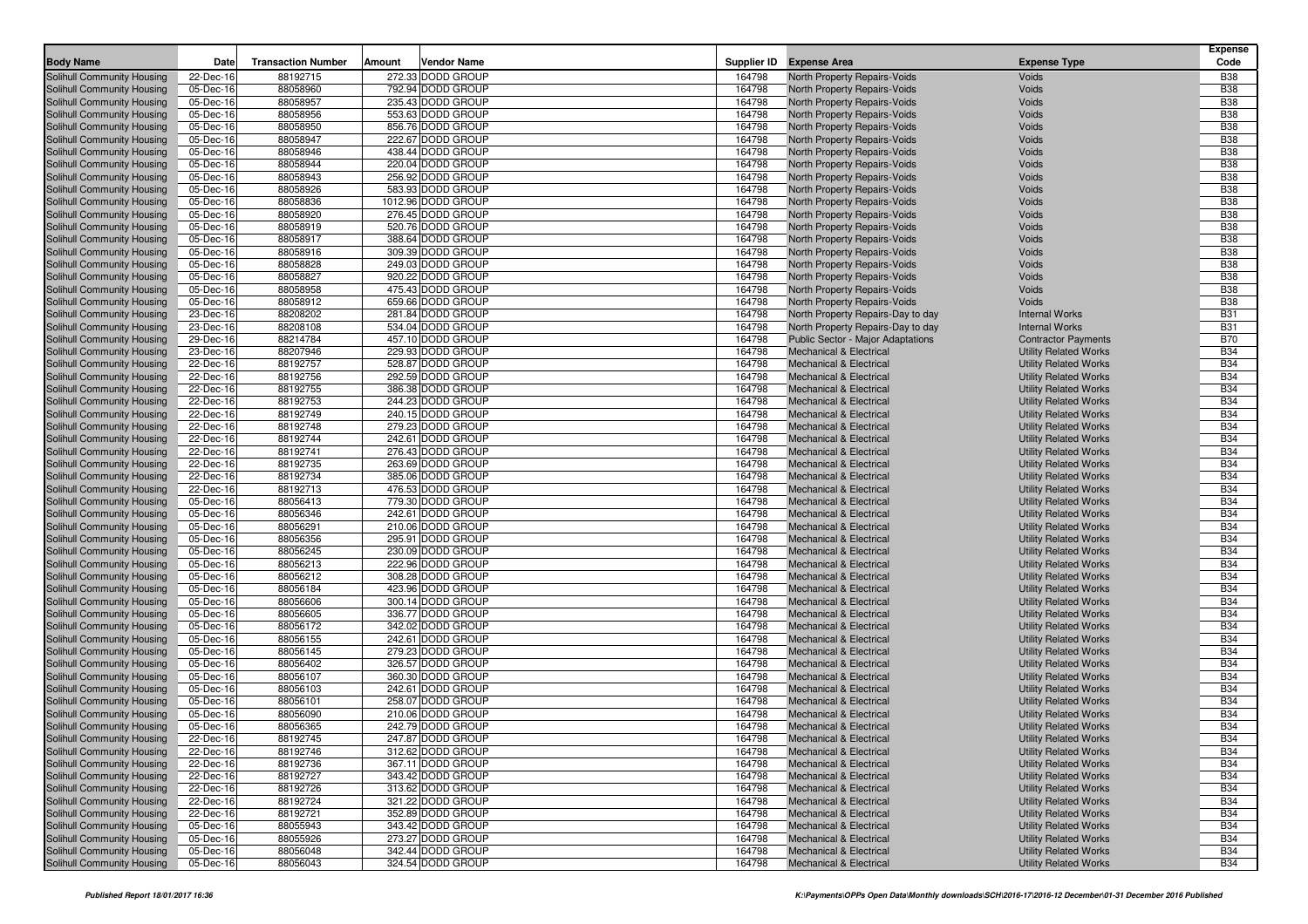|                                                          |                        |                           |        |                                        |                  |                                                                          |                                                              | <b>Expense</b>           |
|----------------------------------------------------------|------------------------|---------------------------|--------|----------------------------------------|------------------|--------------------------------------------------------------------------|--------------------------------------------------------------|--------------------------|
| <b>Body Name</b>                                         | Date                   | <b>Transaction Number</b> | Amount | Vendor Name                            | Supplier ID      | <b>Expense Area</b>                                                      | <b>Expense Type</b>                                          | Code                     |
| Solihull Community Housing                               | 22-Dec-16              | 88192715                  |        | 272.33 DODD GROUP                      | 164798           | North Property Repairs-Voids                                             | Voids                                                        | <b>B38</b>               |
| Solihull Community Housing                               | 05-Dec-16              | 88058960                  |        | 792.94 DODD GROUP                      | 164798           | <b>North Property Repairs-Voids</b>                                      | Voids                                                        | <b>B38</b>               |
| Solihull Community Housing                               | 05-Dec-16              | 88058957                  |        | 235.43 DODD GROUP                      | 164798           | North Property Repairs-Voids                                             | Voids                                                        | <b>B38</b>               |
| Solihull Community Housing                               | 05-Dec-16              | 88058956                  |        | 553.63 DODD GROUP                      | 164798           | North Property Repairs-Voids                                             | Voids                                                        | <b>B38</b>               |
| Solihull Community Housing                               | 05-Dec-16              | 88058950                  |        | 856.76 DODD GROUP                      | 164798           | North Property Repairs-Voids                                             | Voids                                                        | <b>B38</b>               |
| Solihull Community Housing                               | 05-Dec-16              | 88058947                  |        | 222.67 DODD GROUP                      | 164798           | North Property Repairs-Voids                                             | Voids                                                        | <b>B38</b>               |
| Solihull Community Housing                               | 05-Dec-16              | 88058946                  |        | 438.44 DODD GROUP                      | 164798           | North Property Repairs-Voids                                             | Voids                                                        | <b>B38</b>               |
| Solihull Community Housing<br>Solihull Community Housing | 05-Dec-16<br>05-Dec-16 | 88058944<br>88058943      |        | 220.04 DODD GROUP<br>256.92 DODD GROUP | 164798<br>164798 | North Property Repairs-Voids<br>North Property Repairs-Voids             | Voids<br>Voids                                               | <b>B38</b><br><b>B38</b> |
| Solihull Community Housing                               | 05-Dec-16              | 88058926                  |        | 583.93 DODD GROUP                      | 164798           | North Property Repairs-Voids                                             | Voids                                                        | <b>B38</b>               |
| Solihull Community Housing                               | 05-Dec-16              | 88058836                  |        | 1012.96 DODD GROUP                     | 164798           | North Property Repairs-Voids                                             | Voids                                                        | <b>B38</b>               |
| Solihull Community Housing                               | 05-Dec-16              | 88058920                  |        | 276.45 DODD GROUP                      | 164798           | North Property Repairs-Voids                                             | Voids                                                        | <b>B38</b>               |
| Solihull Community Housing                               | 05-Dec-16              | 88058919                  |        | 520.76 DODD GROUP                      | 164798           | North Property Repairs-Voids                                             | Voids                                                        | <b>B38</b>               |
| Solihull Community Housing                               | 05-Dec-16              | 88058917                  |        | 388.64 DODD GROUP                      | 164798           | North Property Repairs-Voids                                             | Voids                                                        | <b>B38</b>               |
| Solihull Community Housing                               | 05-Dec-16              | 88058916                  |        | 309.39 DODD GROUP                      | 164798           | North Property Repairs-Voids                                             | Voids                                                        | <b>B38</b>               |
| Solihull Community Housing                               | 05-Dec-16              | 88058828                  |        | 249.03 DODD GROUP                      | 164798           | North Property Repairs-Voids                                             | Voids                                                        | <b>B38</b>               |
| Solihull Community Housing                               | 05-Dec-16              | 88058827                  |        | 920.22 DODD GROUP                      | 164798           | North Property Repairs-Voids                                             | Voids                                                        | <b>B38</b>               |
| Solihull Community Housing                               | 05-Dec-16              | 88058958                  |        | 475.43 DODD GROUP                      | 164798           | North Property Repairs-Voids                                             | Voids                                                        | <b>B38</b>               |
| Solihull Community Housing                               | 05-Dec-16              | 88058912                  |        | 659.66 DODD GROUP                      | 164798           | North Property Repairs-Voids                                             | Voids                                                        | <b>B38</b>               |
| Solihull Community Housing                               | 23-Dec-16              | 88208202                  |        | 281.84 DODD GROUP                      | 164798           | North Property Repairs-Day to day                                        | <b>Internal Works</b>                                        | <b>B31</b>               |
| Solihull Community Housing                               | 23-Dec-16              | 88208108                  |        | 534.04 DODD GROUP                      | 164798           | North Property Repairs-Day to day                                        | <b>Internal Works</b>                                        | <b>B31</b>               |
| Solihull Community Housing                               | 29-Dec-16              | 88214784                  |        | 457.10 DODD GROUP                      | 164798           | Public Sector - Major Adaptations                                        | <b>Contractor Payments</b>                                   | <b>B70</b>               |
| Solihull Community Housing                               | 23-Dec-16              | 88207946                  |        | 229.93 DODD GROUP                      | 164798           | Mechanical & Electrical                                                  | <b>Utility Related Works</b>                                 | <b>B34</b>               |
| Solihull Community Housing                               | 22-Dec-16              | 88192757                  |        | 528.87 DODD GROUP                      | 164798           | <b>Mechanical &amp; Electrical</b>                                       | <b>Utility Related Works</b>                                 | <b>B34</b>               |
| Solihull Community Housing                               | 22-Dec-16              | 88192756                  |        | 292.59 DODD GROUP                      | 164798           | Mechanical & Electrical                                                  | <b>Utility Related Works</b>                                 | <b>B34</b>               |
| Solihull Community Housing                               | 22-Dec-16              | 88192755                  |        | 386.38 DODD GROUP                      | 164798           | <b>Mechanical &amp; Electrical</b>                                       | <b>Utility Related Works</b>                                 | <b>B34</b>               |
| Solihull Community Housing                               | 22-Dec-16              | 88192753                  |        | 244.23 DODD GROUP                      | 164798           | <b>Mechanical &amp; Electrical</b>                                       | <b>Utility Related Works</b>                                 | <b>B34</b>               |
| Solihull Community Housing                               | 22-Dec-16              | 88192749                  |        | 240.15 DODD GROUP<br>279.23 DODD GROUP | 164798           | <b>Mechanical &amp; Electrical</b>                                       | <b>Utility Related Works</b>                                 | <b>B34</b><br><b>B34</b> |
| Solihull Community Housing<br>Solihull Community Housing | 22-Dec-16<br>22-Dec-16 | 88192748<br>88192744      |        | 242.61 DODD GROUP                      | 164798<br>164798 | <b>Mechanical &amp; Electrical</b><br>Mechanical & Electrical            | <b>Utility Related Works</b><br><b>Utility Related Works</b> | <b>B34</b>               |
| Solihull Community Housing                               | 22-Dec-16              | 88192741                  |        | 276.43 DODD GROUP                      | 164798           | <b>Mechanical &amp; Electrical</b>                                       | <b>Utility Related Works</b>                                 | <b>B34</b>               |
| Solihull Community Housing                               | 22-Dec-16              | 88192735                  |        | 263.69 DODD GROUP                      | 164798           | <b>Mechanical &amp; Electrical</b>                                       | <b>Utility Related Works</b>                                 | <b>B34</b>               |
| Solihull Community Housing                               | 22-Dec-16              | 88192734                  |        | 385.06 DODD GROUP                      | 164798           | <b>Mechanical &amp; Electrical</b>                                       | <b>Utility Related Works</b>                                 | <b>B34</b>               |
| Solihull Community Housing                               | 22-Dec-16              | 88192713                  |        | 476.53 DODD GROUP                      | 164798           | <b>Mechanical &amp; Electrical</b>                                       | <b>Utility Related Works</b>                                 | <b>B34</b>               |
| Solihull Community Housing                               | 05-Dec-16              | 88056413                  |        | 779.30 DODD GROUP                      | 164798           | <b>Mechanical &amp; Electrical</b>                                       | <b>Utility Related Works</b>                                 | <b>B34</b>               |
| Solihull Community Housing                               | 05-Dec-16              | 88056346                  |        | 242.61 DODD GROUP                      | 164798           | Mechanical & Electrical                                                  | <b>Utility Related Works</b>                                 | <b>B34</b>               |
| Solihull Community Housing                               | 05-Dec-16              | 88056291                  |        | 210.06 DODD GROUP                      | 164798           | <b>Mechanical &amp; Electrical</b>                                       | <b>Utility Related Works</b>                                 | <b>B34</b>               |
| Solihull Community Housing                               | 05-Dec-16              | 88056356                  |        | 295.91 DODD GROUP                      | 164798           | <b>Mechanical &amp; Electrical</b>                                       | <b>Utility Related Works</b>                                 | <b>B34</b>               |
| Solihull Community Housing                               | 05-Dec-16              | 88056245                  |        | 230.09 DODD GROUP                      | 164798           | Mechanical & Electrical                                                  | <b>Utility Related Works</b>                                 | <b>B34</b>               |
| Solihull Community Housing                               | 05-Dec-16              | 88056213                  |        | 222.96 DODD GROUP                      | 164798           | <b>Mechanical &amp; Electrical</b>                                       | <b>Utility Related Works</b>                                 | <b>B34</b>               |
| Solihull Community Housing                               | 05-Dec-16              | 88056212                  |        | 308.28 DODD GROUP                      | 164798           | <b>Mechanical &amp; Electrical</b>                                       | <b>Utility Related Works</b>                                 | <b>B34</b>               |
| Solihull Community Housing                               | 05-Dec-16              | 88056184                  |        | 423.96 DODD GROUP                      | 164798           | <b>Mechanical &amp; Electrical</b>                                       | <b>Utility Related Works</b>                                 | <b>B34</b>               |
| Solihull Community Housing                               | 05-Dec-16              | 88056606                  |        | 300.14 DODD GROUP                      | 164798           | Mechanical & Electrical                                                  | <b>Utility Related Works</b>                                 | <b>B34</b>               |
| Solihull Community Housing                               | 05-Dec-16              | 88056605                  |        | 336.77 DODD GROUP                      | 164798           | <b>Mechanical &amp; Electrical</b>                                       | <b>Utility Related Works</b>                                 | <b>B34</b>               |
| Solihull Community Housing                               | 05-Dec-16              | 88056172                  |        | 342.02 DODD GROUP                      | 164798           | <b>Mechanical &amp; Electrical</b>                                       | <b>Utility Related Works</b>                                 | <b>B34</b>               |
| Solihull Community Housing                               | 05-Dec-16              | 88056155                  |        | 242.61 DODD GROUP<br>279.23 DODD GROUP | 164798<br>164798 | <b>Mechanical &amp; Electrical</b><br><b>Mechanical &amp; Electrical</b> | <b>Utility Related Works</b><br><b>Utility Related Works</b> | <b>B34</b><br><b>B34</b> |
| Solihull Community Housing<br>Solihull Community Housing | 05-Dec-16<br>05-Dec-16 | 88056145<br>88056402      |        | 326.57 DODD GROUP                      | 164798           | <b>Mechanical &amp; Electrical</b>                                       | <b>Utility Related Works</b>                                 | <b>B34</b>               |
| Solihull Community Housing                               | 05-Dec-16              | 88056107                  |        | 360.30 DODD GROUP                      | 164798           | <b>Mechanical &amp; Electrical</b>                                       | <b>Utility Related Works</b>                                 | <b>B34</b>               |
| Solihull Community Housing                               | 05-Dec-16              | 88056103                  |        | 242.61 DODD GROUP                      | 164798           | Mechanical & Electrical                                                  | <b>Utility Related Works</b>                                 | <b>B34</b>               |
| Solihull Community Housing                               | 05-Dec-16              | 88056101                  |        | 258.07 DODD GROUP                      | 164798           | <b>Mechanical &amp; Electrical</b>                                       | <b>Utility Related Works</b>                                 | <b>B34</b>               |
| Solihull Community Housing                               | 05-Dec-16              | 88056090                  |        | 210.06 DODD GROUP                      | 164798           | <b>Mechanical &amp; Electrical</b>                                       | <b>Utility Related Works</b>                                 | <b>B34</b>               |
| <b>Solihull Community Housing</b>                        | 05-Dec-16              | 88056365                  |        | 242.79 DODD GROUP                      | 164798           | <b>Mechanical &amp; Electrical</b>                                       | <b>Utility Related Works</b>                                 | <b>B34</b>               |
| Solihull Community Housing                               | 22-Dec-16              | 88192745                  |        | 247.87 DODD GROUP                      | 164798           | Mechanical & Electrical                                                  | <b>Utility Related Works</b>                                 | <b>B34</b>               |
| Solihull Community Housing                               | 22-Dec-16              | 88192746                  |        | 312.62 DODD GROUP                      | 164798           | <b>Mechanical &amp; Electrical</b>                                       | <b>Utility Related Works</b>                                 | <b>B34</b>               |
| Solihull Community Housing                               | 22-Dec-16              | 88192736                  |        | 367.11 DODD GROUP                      | 164798           | <b>Mechanical &amp; Electrical</b>                                       | <b>Utility Related Works</b>                                 | <b>B34</b>               |
| Solihull Community Housing                               | 22-Dec-16              | 88192727                  |        | 343.42 DODD GROUP                      | 164798           | <b>Mechanical &amp; Electrical</b>                                       | <b>Utility Related Works</b>                                 | <b>B34</b>               |
| Solihull Community Housing                               | 22-Dec-16              | 88192726                  |        | 313.62 DODD GROUP                      | 164798           | <b>Mechanical &amp; Electrical</b>                                       | <b>Utility Related Works</b>                                 | <b>B34</b>               |
| Solihull Community Housing                               | 22-Dec-16              | 88192724                  |        | 321.22 DODD GROUP                      | 164798           | <b>Mechanical &amp; Electrical</b>                                       | <b>Utility Related Works</b>                                 | <b>B34</b>               |
| Solihull Community Housing                               | 22-Dec-16              | 88192721                  |        | 352.89 DODD GROUP                      | 164798           | <b>Mechanical &amp; Electrical</b>                                       | <b>Utility Related Works</b>                                 | <b>B34</b>               |
| Solihull Community Housing                               | 05-Dec-16              | 88055943                  |        | 343.42 DODD GROUP                      | 164798           | <b>Mechanical &amp; Electrical</b>                                       | <b>Utility Related Works</b>                                 | <b>B34</b>               |
| Solihull Community Housing                               | 05-Dec-16              | 88055926                  |        | 273.27 DODD GROUP                      | 164798           | <b>Mechanical &amp; Electrical</b>                                       | <b>Utility Related Works</b>                                 | <b>B34</b>               |
| Solihull Community Housing                               | 05-Dec-16              | 88056048                  |        | 342.44 DODD GROUP                      | 164798           | <b>Mechanical &amp; Electrical</b>                                       | <b>Utility Related Works</b>                                 | <b>B34</b>               |
| Solihull Community Housing                               | 05-Dec-16              | 88056043                  |        | 324.54 DODD GROUP                      | 164798           | <b>Mechanical &amp; Electrical</b>                                       | <b>Utility Related Works</b>                                 | <b>B34</b>               |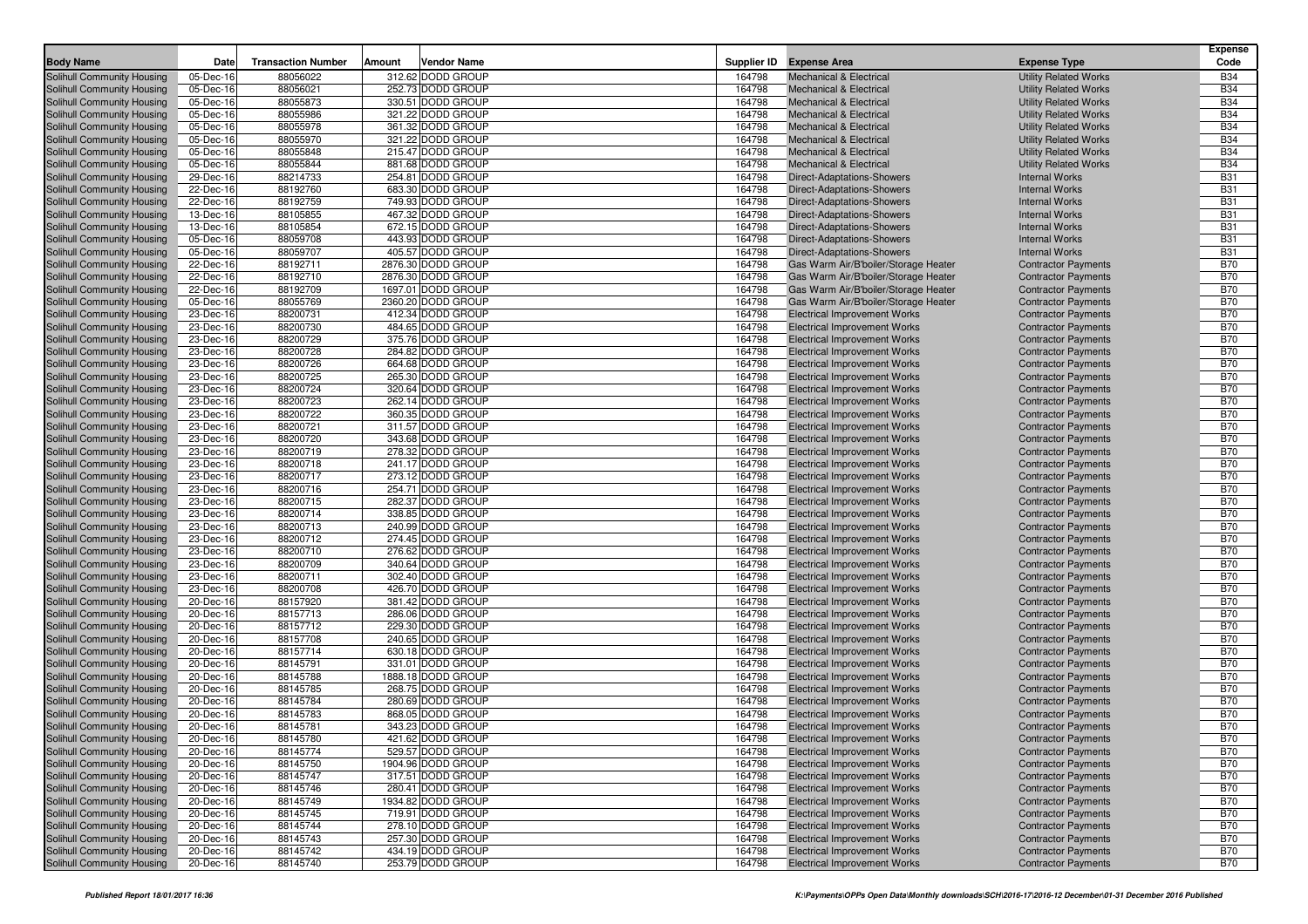| <b>Body Name</b>                                         | Date                   | <b>Transaction Number</b> | Amount | <b>Vendor Name</b>                       | Supplier ID      | <b>Expense Area</b>                                                         | <b>Expense Type</b>                                          | <b>Expense</b><br>Code   |
|----------------------------------------------------------|------------------------|---------------------------|--------|------------------------------------------|------------------|-----------------------------------------------------------------------------|--------------------------------------------------------------|--------------------------|
|                                                          |                        |                           |        |                                          |                  |                                                                             |                                                              |                          |
| Solihull Community Housing<br>Solihull Community Housing | 05-Dec-16<br>05-Dec-16 | 88056022<br>88056021      |        | 312.62 DODD GROUP<br>252.73 DODD GROUP   | 164798<br>164798 | <b>Mechanical &amp; Electrical</b><br><b>Mechanical &amp; Electrical</b>    | <b>Utility Related Works</b><br><b>Utility Related Works</b> | <b>B34</b><br><b>B34</b> |
| Solihull Community Housing                               | 05-Dec-16              | 88055873                  |        | 330.51 DODD GROUP                        | 164798           | <b>Mechanical &amp; Electrical</b>                                          | <b>Utility Related Works</b>                                 | <b>B34</b>               |
| Solihull Community Housing                               | 05-Dec-16              | 88055986                  |        | 321.22 DODD GROUP                        | 164798           | <b>Mechanical &amp; Electrical</b>                                          | <b>Utility Related Works</b>                                 | <b>B34</b>               |
| Solihull Community Housing                               | 05-Dec-16              | 88055978                  |        | 361.32 DODD GROUP                        | 164798           | <b>Mechanical &amp; Electrical</b>                                          | <b>Utility Related Works</b>                                 | <b>B34</b>               |
| Solihull Community Housing                               | 05-Dec-16              | 88055970                  |        | 321.22 DODD GROUP                        | 164798           | <b>Mechanical &amp; Electrical</b>                                          | <b>Utility Related Works</b>                                 | <b>B34</b>               |
| Solihull Community Housing                               | 05-Dec-16              | 88055848                  |        | 215.47 DODD GROUP                        | 164798           | <b>Mechanical &amp; Electrical</b>                                          | <b>Utility Related Works</b>                                 | <b>B34</b>               |
| Solihull Community Housing                               | 05-Dec-16              | 88055844                  |        | 881.68 DODD GROUP                        | 164798           | <b>Mechanical &amp; Electrical</b>                                          | <b>Utility Related Works</b>                                 | <b>B34</b>               |
| Solihull Community Housing                               | 29-Dec-16              | 88214733                  |        | 254.81 DODD GROUP                        | 164798           | Direct-Adaptations-Showers                                                  | <b>Internal Works</b>                                        | <b>B31</b>               |
| Solihull Community Housing                               | 22-Dec-16              | 88192760                  |        | 683.30 DODD GROUP                        | 164798           | Direct-Adaptations-Showers                                                  | <b>Internal Works</b>                                        | <b>B31</b>               |
| Solihull Community Housing                               | 22-Dec-16              | 88192759                  |        | 749.93 DODD GROUP                        | 164798           | Direct-Adaptations-Showers                                                  | <b>Internal Works</b>                                        | <b>B31</b>               |
| Solihull Community Housing                               | 13-Dec-16              | 88105855                  |        | 467.32 DODD GROUP                        | 164798           | Direct-Adaptations-Showers                                                  | <b>Internal Works</b>                                        | <b>B31</b>               |
| Solihull Community Housing                               | 13-Dec-16              | 88105854                  |        | 672.15 DODD GROUP                        | 164798           | Direct-Adaptations-Showers                                                  | <b>Internal Works</b>                                        | <b>B31</b>               |
| Solihull Community Housing                               | 05-Dec-16              | 88059708                  |        | 443.93 DODD GROUP                        | 164798           | Direct-Adaptations-Showers                                                  | <b>Internal Works</b>                                        | <b>B31</b>               |
| Solihull Community Housing                               | 05-Dec-16              | 88059707                  |        | 405.57 DODD GROUP                        | 164798           | Direct-Adaptations-Showers                                                  | <b>Internal Works</b>                                        | <b>B31</b>               |
| Solihull Community Housing                               | 22-Dec-16              | 88192711                  |        | 2876.30 DODD GROUP                       | 164798           | Gas Warm Air/B'boiler/Storage Heater                                        | <b>Contractor Payments</b>                                   | <b>B70</b>               |
| Solihull Community Housing                               | 22-Dec-16              | 88192710                  |        | 2876.30 DODD GROUP<br>1697.01 DODD GROUP | 164798<br>164798 | Gas Warm Air/B'boiler/Storage Heater                                        | <b>Contractor Payments</b>                                   | <b>B70</b><br><b>B70</b> |
| Solihull Community Housing                               | 22-Dec-16<br>05-Dec-16 | 88192709<br>88055769      |        | 2360.20 DODD GROUP                       | 164798           | Gas Warm Air/B'boiler/Storage Heater                                        | <b>Contractor Payments</b>                                   | <b>B70</b>               |
| Solihull Community Housing<br>Solihull Community Housing | 23-Dec-16              | 88200731                  |        | 412.34 DODD GROUP                        | 164798           | Gas Warm Air/B'boiler/Storage Heater<br><b>Electrical Improvement Works</b> | <b>Contractor Payments</b><br><b>Contractor Payments</b>     | <b>B70</b>               |
| Solihull Community Housing                               | 23-Dec-16              | 88200730                  |        | 484.65 DODD GROUP                        | 164798           | <b>Electrical Improvement Works</b>                                         | <b>Contractor Payments</b>                                   | <b>B70</b>               |
| Solihull Community Housing                               | 23-Dec-16              | 88200729                  |        | 375.76 DODD GROUP                        | 164798           | <b>Electrical Improvement Works</b>                                         | <b>Contractor Payments</b>                                   | <b>B70</b>               |
| Solihull Community Housing                               | 23-Dec-16              | 88200728                  |        | 284.82 DODD GROUP                        | 164798           | <b>Electrical Improvement Works</b>                                         | <b>Contractor Payments</b>                                   | <b>B70</b>               |
| Solihull Community Housing                               | 23-Dec-16              | 88200726                  |        | 664.68 DODD GROUP                        | 164798           | <b>Electrical Improvement Works</b>                                         | <b>Contractor Payments</b>                                   | <b>B70</b>               |
| Solihull Community Housing                               | 23-Dec-16              | 88200725                  |        | 265.30 DODD GROUP                        | 164798           | <b>Electrical Improvement Works</b>                                         | <b>Contractor Payments</b>                                   | <b>B70</b>               |
| Solihull Community Housing                               | 23-Dec-16              | 88200724                  |        | 320.64 DODD GROUP                        | 164798           | <b>Electrical Improvement Works</b>                                         | <b>Contractor Payments</b>                                   | <b>B70</b>               |
| Solihull Community Housing                               | 23-Dec-16              | 88200723                  |        | 262.14 DODD GROUP                        | 164798           | <b>Electrical Improvement Works</b>                                         | <b>Contractor Payments</b>                                   | <b>B70</b>               |
| Solihull Community Housing                               | 23-Dec-16              | 88200722                  |        | 360.35 DODD GROUP                        | 164798           | <b>Electrical Improvement Works</b>                                         | <b>Contractor Payments</b>                                   | <b>B70</b>               |
| Solihull Community Housing                               | 23-Dec-16              | 88200721                  |        | 311.57 DODD GROUP                        | 164798           | <b>Electrical Improvement Works</b>                                         | <b>Contractor Payments</b>                                   | <b>B70</b>               |
| Solihull Community Housing                               | 23-Dec-16              | 88200720                  |        | 343.68 DODD GROUP                        | 164798           | <b>Electrical Improvement Works</b>                                         | <b>Contractor Payments</b>                                   | <b>B70</b>               |
| Solihull Community Housing                               | 23-Dec-16              | 88200719                  |        | 278.32 DODD GROUP                        | 164798           | <b>Electrical Improvement Works</b>                                         | <b>Contractor Payments</b>                                   | <b>B70</b>               |
| Solihull Community Housing                               | 23-Dec-16              | 88200718                  |        | 241.17 DODD GROUP                        | 164798           | <b>Electrical Improvement Works</b>                                         | <b>Contractor Payments</b>                                   | <b>B70</b>               |
| Solihull Community Housing                               | 23-Dec-16              | 88200717                  |        | 273.12 DODD GROUP                        | 164798           | <b>Electrical Improvement Works</b>                                         | <b>Contractor Payments</b>                                   | <b>B70</b>               |
| Solihull Community Housing                               | 23-Dec-16              | 88200716                  |        | 254.71 DODD GROUP                        | 164798           | <b>Electrical Improvement Works</b>                                         | <b>Contractor Payments</b>                                   | <b>B70</b>               |
| Solihull Community Housing                               | 23-Dec-16              | 88200715                  |        | 282.37 DODD GROUP                        | 164798<br>164798 | <b>Electrical Improvement Works</b>                                         | <b>Contractor Payments</b>                                   | <b>B70</b><br><b>B70</b> |
| Solihull Community Housing<br>Solihull Community Housing | 23-Dec-16<br>23-Dec-16 | 88200714<br>88200713      |        | 338.85 DODD GROUP<br>240.99 DODD GROUP   | 164798           | <b>Electrical Improvement Works</b><br><b>Electrical Improvement Works</b>  | <b>Contractor Payments</b><br><b>Contractor Payments</b>     | <b>B70</b>               |
| Solihull Community Housing                               | 23-Dec-16              | 88200712                  |        | 274.45 DODD GROUP                        | 164798           | <b>Electrical Improvement Works</b>                                         | <b>Contractor Payments</b>                                   | <b>B70</b>               |
| Solihull Community Housing                               | 23-Dec-16              | 88200710                  |        | 276.62 DODD GROUP                        | 164798           | <b>Electrical Improvement Works</b>                                         | <b>Contractor Payments</b>                                   | <b>B70</b>               |
| Solihull Community Housing                               | 23-Dec-16              | 88200709                  |        | 340.64 DODD GROUP                        | 164798           | <b>Electrical Improvement Works</b>                                         | <b>Contractor Payments</b>                                   | <b>B70</b>               |
| Solihull Community Housing                               | 23-Dec-16              | 88200711                  |        | 302.40 DODD GROUP                        | 164798           | <b>Electrical Improvement Works</b>                                         | <b>Contractor Payments</b>                                   | <b>B70</b>               |
| Solihull Community Housing                               | 23-Dec-16              | 88200708                  |        | 426.70 DODD GROUP                        | 164798           | <b>Electrical Improvement Works</b>                                         | <b>Contractor Payments</b>                                   | <b>B70</b>               |
| Solihull Community Housing                               | 20-Dec-16              | 88157920                  |        | 381.42 DODD GROUP                        | 164798           | <b>Electrical Improvement Works</b>                                         | <b>Contractor Payments</b>                                   | <b>B70</b>               |
| Solihull Community Housing                               | 20-Dec-16              | 88157713                  |        | 286.06 DODD GROUP                        | 164798           | <b>Electrical Improvement Works</b>                                         | <b>Contractor Payments</b>                                   | <b>B70</b>               |
| Solihull Community Housing                               | 20-Dec-16              | 88157712                  |        | 229.30 DODD GROUP                        | 164798           | <b>Electrical Improvement Works</b>                                         | <b>Contractor Payments</b>                                   | <b>B70</b>               |
| Solihull Community Housing                               | 20-Dec-16              | 88157708                  |        | 240.65 DODD GROUP                        | 164798           | <b>Electrical Improvement Works</b>                                         | <b>Contractor Payments</b>                                   | <b>B70</b>               |
| Solihull Community Housing                               | 20-Dec-16              | 88157714                  |        | 630.18 DODD GROUP                        | 164798           | <b>Electrical Improvement Works</b>                                         | <b>Contractor Payments</b>                                   | <b>B70</b>               |
| Solihull Community Housing                               | 20-Dec-16              | 88145791                  |        | 331.01 DODD GROUP                        | 164798           | <b>Electrical Improvement Works</b>                                         | <b>Contractor Payments</b>                                   | <b>B70</b>               |
| Solihull Community Housing                               | 20-Dec-16              | 88145788                  |        | 1888.18 DODD GROUP                       | 164798           | <b>Electrical Improvement Works</b>                                         | <b>Contractor Payments</b>                                   | <b>B70</b>               |
| Solihull Community Housing                               | 20-Dec-16              | 88145785                  |        | 268.75 DODD GROUP                        | 164798           | <b>Electrical Improvement Works</b>                                         | <b>Contractor Payments</b>                                   | <b>B70</b>               |
| Solihull Community Housing                               | 20-Dec-16              | 88145784                  |        | 280.69 DODD GROUP                        | 164798           | <b>Electrical Improvement Works</b>                                         | <b>Contractor Payments</b>                                   | <b>B70</b>               |
| Solihull Community Housing<br>Solihull Community Housing | 20-Dec-16<br>20-Dec-16 | 88145783<br>88145781      |        | 868.05 DODD GROUP<br>343.23 DODD GROUP   | 164798<br>164798 | <b>Electrical Improvement Works</b><br><b>Electrical Improvement Works</b>  | <b>Contractor Payments</b><br><b>Contractor Payments</b>     | <b>B70</b><br><b>B70</b> |
| Solihull Community Housing                               | 20-Dec-16              | 88145780                  |        | 421.62 DODD GROUP                        | 164798           | <b>Electrical Improvement Works</b>                                         |                                                              | <b>B70</b>               |
| Solihull Community Housing                               | 20-Dec-16              | 88145774                  |        | 529.57 DODD GROUP                        | 164798           | <b>Electrical Improvement Works</b>                                         | <b>Contractor Payments</b><br><b>Contractor Payments</b>     | <b>B70</b>               |
| Solihull Community Housing                               | 20-Dec-16              | 88145750                  |        | 1904.96 DODD GROUP                       | 164798           | <b>Electrical Improvement Works</b>                                         | <b>Contractor Payments</b>                                   | <b>B70</b>               |
| Solihull Community Housing                               | 20-Dec-16              | 88145747                  |        | 317.51 DODD GROUP                        | 164798           | <b>Electrical Improvement Works</b>                                         | <b>Contractor Payments</b>                                   | <b>B70</b>               |
| Solihull Community Housing                               | 20-Dec-16              | 88145746                  |        | 280.41 DODD GROUP                        | 164798           | <b>Electrical Improvement Works</b>                                         | <b>Contractor Payments</b>                                   | <b>B70</b>               |
| Solihull Community Housing                               | 20-Dec-16              | 88145749                  |        | 1934.82 DODD GROUP                       | 164798           | <b>Electrical Improvement Works</b>                                         | <b>Contractor Payments</b>                                   | B70                      |
| Solihull Community Housing                               | 20-Dec-16              | 88145745                  |        | 719.91 DODD GROUP                        | 164798           | <b>Electrical Improvement Works</b>                                         | <b>Contractor Payments</b>                                   | <b>B70</b>               |
| Solihull Community Housing                               | 20-Dec-16              | 88145744                  |        | 278.10 DODD GROUP                        | 164798           | <b>Electrical Improvement Works</b>                                         | <b>Contractor Payments</b>                                   | <b>B70</b>               |
| Solihull Community Housing                               | 20-Dec-16              | 88145743                  |        | 257.30 DODD GROUP                        | 164798           | <b>Electrical Improvement Works</b>                                         | <b>Contractor Payments</b>                                   | <b>B70</b>               |
| Solihull Community Housing                               | 20-Dec-16              | 88145742                  |        | 434.19 DODD GROUP                        | 164798           | <b>Electrical Improvement Works</b>                                         | <b>Contractor Payments</b>                                   | <b>B70</b>               |
| Solihull Community Housing                               | 20-Dec-16              | 88145740                  |        | 253.79 DODD GROUP                        | 164798           | <b>Electrical Improvement Works</b>                                         | <b>Contractor Payments</b>                                   | <b>B70</b>               |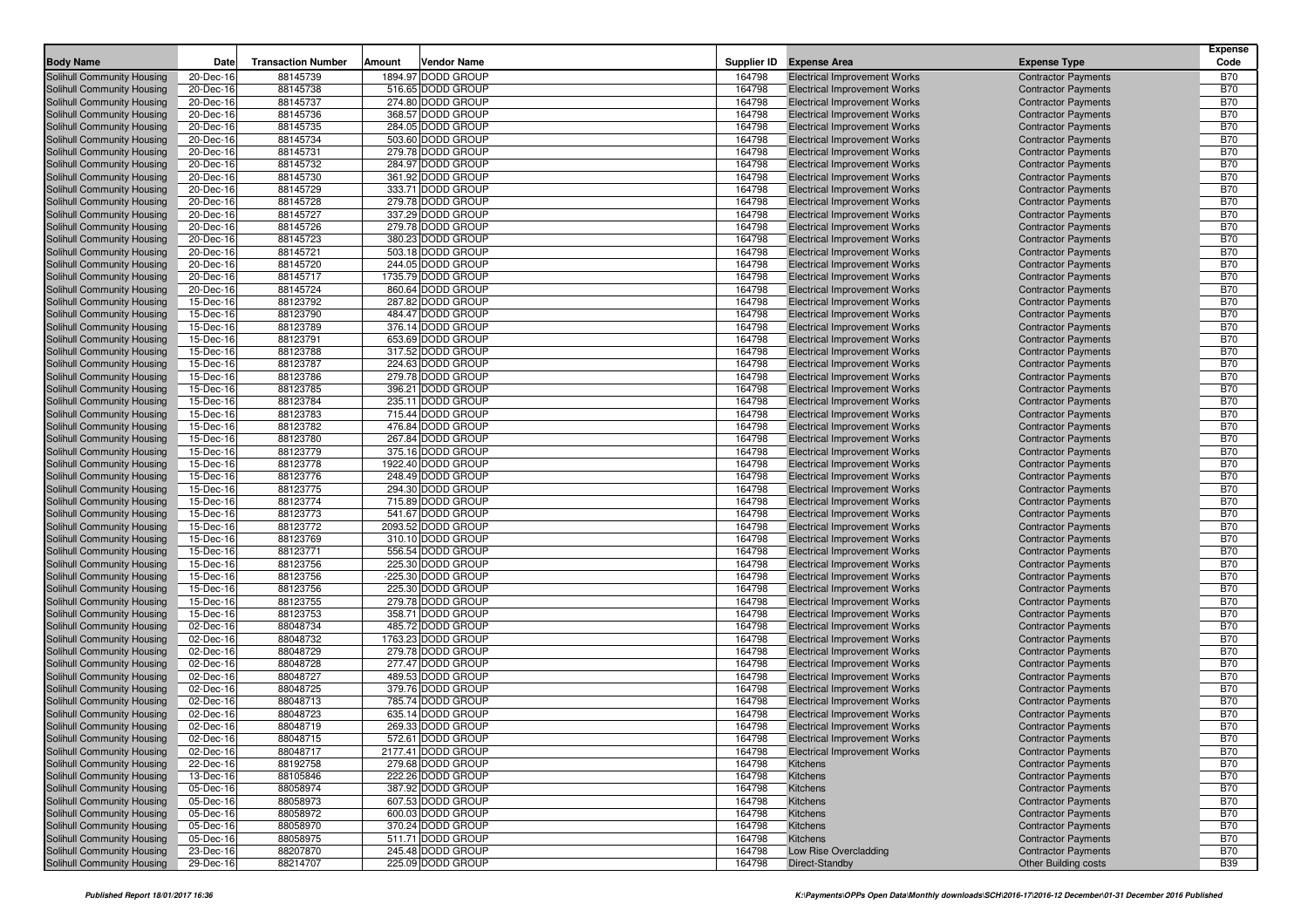| <b>Body Name</b>                                         | Date                   | <b>Transaction Number</b> | Amount | <b>Vendor Name</b>                      |                  | Supplier ID Expense Area                                                   | <b>Expense Type</b>                                      | <b>Expense</b><br>Code   |
|----------------------------------------------------------|------------------------|---------------------------|--------|-----------------------------------------|------------------|----------------------------------------------------------------------------|----------------------------------------------------------|--------------------------|
| Solihull Community Housing                               | 20-Dec-16              | 88145739                  |        | 1894.97 DODD GROUP                      | 164798           | <b>Electrical Improvement Works</b>                                        | <b>Contractor Payments</b>                               | <b>B70</b>               |
| Solihull Community Housing                               | 20-Dec-16              | 88145738                  |        | 516.65 DODD GROUP                       | 164798           | <b>Electrical Improvement Works</b>                                        | <b>Contractor Payments</b>                               | <b>B70</b>               |
| Solihull Community Housing                               | 20-Dec-16              | 88145737                  |        | 274.80 DODD GROUP                       | 164798           | <b>Electrical Improvement Works</b>                                        | <b>Contractor Payments</b>                               | <b>B70</b>               |
| Solihull Community Housing                               | 20-Dec-16              | 88145736                  |        | 368.57 DODD GROUP                       | 164798           | <b>Electrical Improvement Works</b>                                        | <b>Contractor Payments</b>                               | <b>B70</b>               |
| Solihull Community Housing                               | 20-Dec-16              | 88145735                  |        | 284.05 DODD GROUP                       | 164798           | <b>Electrical Improvement Works</b>                                        | <b>Contractor Payments</b>                               | <b>B70</b>               |
| Solihull Community Housing                               | 20-Dec-16              | 88145734                  |        | 503.60 DODD GROUP                       | 164798           | <b>Electrical Improvement Works</b>                                        | <b>Contractor Payments</b>                               | <b>B70</b>               |
| Solihull Community Housing                               | 20-Dec-16              | 88145731                  |        | 279.78 DODD GROUP                       | 164798           | <b>Electrical Improvement Works</b>                                        | <b>Contractor Payments</b>                               | <b>B70</b>               |
| Solihull Community Housing                               | 20-Dec-16              | 88145732                  |        | 284.97 DODD GROUP                       | 164798           | <b>Electrical Improvement Works</b>                                        | <b>Contractor Payments</b>                               | <b>B70</b>               |
| Solihull Community Housing                               | 20-Dec-16              | 88145730                  |        | 361.92 DODD GROUP                       | 164798           | <b>Electrical Improvement Works</b>                                        | <b>Contractor Payments</b>                               | <b>B70</b>               |
| Solihull Community Housing                               | 20-Dec-16              | 88145729                  |        | 333.71 DODD GROUP                       | 164798           | <b>Electrical Improvement Works</b>                                        | <b>Contractor Payments</b>                               | <b>B70</b>               |
| Solihull Community Housing                               | 20-Dec-16              | 88145728                  |        | 279.78 DODD GROUP                       | 164798           | <b>Electrical Improvement Works</b>                                        | <b>Contractor Payments</b>                               | <b>B70</b>               |
| Solihull Community Housing                               | 20-Dec-16              | 88145727                  |        | 337.29 DODD GROUP                       | 164798           | <b>Electrical Improvement Works</b>                                        | <b>Contractor Payments</b>                               | <b>B70</b>               |
| Solihull Community Housing                               | 20-Dec-16              | 88145726                  |        | 279.78 DODD GROUP                       | 164798           | <b>Electrical Improvement Works</b>                                        | <b>Contractor Payments</b>                               | <b>B70</b>               |
| Solihull Community Housing                               | 20-Dec-16              | 88145723                  |        | 380.23 DODD GROUP                       | 164798           | <b>Electrical Improvement Works</b>                                        | <b>Contractor Payments</b>                               | <b>B70</b>               |
| Solihull Community Housing                               | 20-Dec-16              | 88145721                  |        | 503.18 DODD GROUP                       | 164798           | <b>Electrical Improvement Works</b>                                        | <b>Contractor Payments</b>                               | <b>B70</b>               |
| Solihull Community Housing                               | 20-Dec-16              | 88145720                  |        | 244.05 DODD GROUP                       | 164798           | <b>Electrical Improvement Works</b>                                        | <b>Contractor Payments</b>                               | <b>B70</b>               |
| Solihull Community Housing                               | 20-Dec-16              | 88145717                  |        | 1735.79 DODD GROUP                      | 164798           | <b>Electrical Improvement Works</b>                                        | <b>Contractor Payments</b>                               | <b>B70</b>               |
| Solihull Community Housing                               | 20-Dec-16              | 88145724                  |        | 860.64 DODD GROUP                       | 164798           | <b>Electrical Improvement Works</b>                                        | <b>Contractor Payments</b>                               | <b>B70</b>               |
| Solihull Community Housing                               | 15-Dec-16              | 88123792                  |        | 287.82 DODD GROUP                       | 164798           | <b>Electrical Improvement Works</b>                                        | <b>Contractor Payments</b>                               | <b>B70</b>               |
| Solihull Community Housing                               | 15-Dec-16              | 88123790                  |        | 484.47 DODD GROUP                       | 164798           | <b>Electrical Improvement Works</b>                                        | <b>Contractor Payments</b>                               | <b>B70</b><br><b>B70</b> |
| Solihull Community Housing                               | 15-Dec-16<br>15-Dec-16 | 88123789                  |        | 376.14 DODD GROUP<br>653.69 DODD GROUP  | 164798<br>164798 | <b>Electrical Improvement Works</b>                                        | <b>Contractor Payments</b>                               | <b>B70</b>               |
| Solihull Community Housing<br>Solihull Community Housing | 15-Dec-16              | 88123791<br>88123788      |        | 317.52 DODD GROUP                       | 164798           | <b>Electrical Improvement Works</b><br><b>Electrical Improvement Works</b> | <b>Contractor Payments</b><br><b>Contractor Payments</b> | <b>B70</b>               |
| Solihull Community Housing                               | 15-Dec-16              | 88123787                  |        | 224.63 DODD GROUP                       | 164798           | <b>Electrical Improvement Works</b>                                        | <b>Contractor Payments</b>                               | <b>B70</b>               |
| Solihull Community Housing                               | 15-Dec-16              | 88123786                  |        | 279.78 DODD GROUP                       | 164798           | <b>Electrical Improvement Works</b>                                        | <b>Contractor Payments</b>                               | <b>B70</b>               |
| Solihull Community Housing                               | 15-Dec-16              | 88123785                  |        | 396.21 DODD GROUP                       | 164798           | <b>Electrical Improvement Works</b>                                        | <b>Contractor Payments</b>                               | <b>B70</b>               |
| Solihull Community Housing                               | 15-Dec-16              | 88123784                  |        | 235.11 DODD GROUP                       | 164798           | <b>Electrical Improvement Works</b>                                        | <b>Contractor Payments</b>                               | <b>B70</b>               |
| Solihull Community Housing                               | 15-Dec-16              | 88123783                  |        | 715.44 DODD GROUP                       | 164798           | <b>Electrical Improvement Works</b>                                        | <b>Contractor Payments</b>                               | <b>B70</b>               |
| Solihull Community Housing                               | 15-Dec-16              | 88123782                  |        | 476.84 DODD GROUP                       | 164798           | <b>Electrical Improvement Works</b>                                        | <b>Contractor Payments</b>                               | <b>B70</b>               |
| Solihull Community Housing                               | 15-Dec-16              | 88123780                  |        | 267.84 DODD GROUP                       | 164798           | <b>Electrical Improvement Works</b>                                        | <b>Contractor Payments</b>                               | <b>B70</b>               |
| Solihull Community Housing                               | 15-Dec-16              | 88123779                  |        | 375.16 DODD GROUP                       | 164798           | <b>Electrical Improvement Works</b>                                        | <b>Contractor Payments</b>                               | <b>B70</b>               |
| Solihull Community Housing                               | 15-Dec-16              | 88123778                  |        | 1922.40 DODD GROUP                      | 164798           | <b>Electrical Improvement Works</b>                                        | <b>Contractor Payments</b>                               | <b>B70</b>               |
| Solihull Community Housing                               | 15-Dec-16              | 88123776                  |        | 248.49 DODD GROUP                       | 164798           | <b>Electrical Improvement Works</b>                                        | <b>Contractor Payments</b>                               | <b>B70</b>               |
| Solihull Community Housing                               | 15-Dec-16              | 88123775                  |        | 294.30 DODD GROUP                       | 164798           | <b>Electrical Improvement Works</b>                                        | <b>Contractor Payments</b>                               | <b>B70</b>               |
| Solihull Community Housing                               | 15-Dec-16              | 88123774                  |        | 715.89 DODD GROUP                       | 164798           | <b>Electrical Improvement Works</b>                                        | <b>Contractor Payments</b>                               | <b>B70</b>               |
| Solihull Community Housing                               | 15-Dec-16              | 88123773                  |        | 541.67 DODD GROUP                       | 164798           | <b>Electrical Improvement Works</b>                                        | <b>Contractor Payments</b>                               | <b>B70</b>               |
| Solihull Community Housing                               | 15-Dec-16              | 88123772                  |        | 2093.52 DODD GROUP                      | 164798           | <b>Electrical Improvement Works</b>                                        | <b>Contractor Payments</b>                               | <b>B70</b>               |
| Solihull Community Housing                               | 15-Dec-16              | 88123769                  |        | 310.10 DODD GROUP                       | 164798           | <b>Electrical Improvement Works</b>                                        | <b>Contractor Payments</b>                               | <b>B70</b>               |
| Solihull Community Housing                               | 15-Dec-16              | 88123771                  |        | 556.54 DODD GROUP                       | 164798           | <b>Electrical Improvement Works</b>                                        | <b>Contractor Payments</b>                               | <b>B70</b>               |
| Solihull Community Housing<br>Solihull Community Housing | 15-Dec-16<br>15-Dec-16 | 88123756<br>88123756      |        | 225.30 DODD GROUP<br>-225.30 DODD GROUP | 164798<br>164798 | <b>Electrical Improvement Works</b><br><b>Electrical Improvement Works</b> | <b>Contractor Payments</b><br><b>Contractor Payments</b> | <b>B70</b><br><b>B70</b> |
| Solihull Community Housing                               | 15-Dec-16              | 88123756                  |        | 225.30 DODD GROUP                       | 164798           | <b>Electrical Improvement Works</b>                                        | <b>Contractor Payments</b>                               | <b>B70</b>               |
| Solihull Community Housing                               | 15-Dec-16              | 88123755                  |        | 279.78 DODD GROUP                       | 164798           | <b>Electrical Improvement Works</b>                                        | <b>Contractor Payments</b>                               | <b>B70</b>               |
| Solihull Community Housing                               | 15-Dec-16              | 88123753                  |        | 358.71 DODD GROUP                       | 164798           | <b>Electrical Improvement Works</b>                                        | <b>Contractor Payments</b>                               | <b>B70</b>               |
| Solihull Community Housing                               | 02-Dec-16              | 88048734                  |        | 485.72 DODD GROUP                       | 164798           | <b>Electrical Improvement Works</b>                                        | <b>Contractor Payments</b>                               | <b>B70</b>               |
| Solihull Community Housing                               | 02-Dec-16              | 88048732                  |        | 1763.23 DODD GROUP                      | 164798           | <b>Electrical Improvement Works</b>                                        | <b>Contractor Payments</b>                               | <b>B70</b>               |
| Solihull Community Housing                               | 02-Dec-16              | 88048729                  |        | 279.78 DODD GROUP                       | 164798           | <b>Electrical Improvement Works</b>                                        | <b>Contractor Payments</b>                               | <b>B70</b>               |
| Solihull Community Housing                               | 02-Dec-16              | 88048728                  |        | 277.47 DODD GROUP                       | 164798           | <b>Electrical Improvement Works</b>                                        | <b>Contractor Payments</b>                               | <b>B70</b>               |
| Solihull Community Housing                               | 02-Dec-16              | 88048727                  |        | 489.53 DODD GROUP                       | 164798           | <b>Electrical Improvement Works</b>                                        | <b>Contractor Payments</b>                               | <b>B70</b>               |
| Solihull Community Housing                               | 02-Dec-16              | 88048725                  |        | 379.76 DODD GROUP                       | 164798           | <b>Electrical Improvement Works</b>                                        | <b>Contractor Payments</b>                               | <b>B70</b>               |
| Solihull Community Housing                               | 02-Dec-16              | 88048713                  |        | 785.74 DODD GROUP                       | 164798           | <b>Electrical Improvement Works</b>                                        | <b>Contractor Payments</b>                               | <b>B70</b>               |
| Solihull Community Housing                               | 02-Dec-16              | 88048723                  |        | 635.14 DODD GROUP                       | 164798           | <b>Electrical Improvement Works</b>                                        | <b>Contractor Payments</b>                               | <b>B70</b>               |
| Solihull Community Housing                               | 02-Dec-16              | 88048719                  |        | 269.33 DODD GROUP                       | 164798           | <b>Electrical Improvement Works</b>                                        | <b>Contractor Payments</b>                               | <b>B70</b>               |
| Solihull Community Housing                               | 02-Dec-16              | 88048715                  |        | 572.61 DODD GROUP                       | 164798           | <b>Electrical Improvement Works</b>                                        | <b>Contractor Payments</b>                               | <b>B70</b>               |
| Solihull Community Housing                               | 02-Dec-16              | 88048717                  |        | 2177.41 DODD GROUP                      | 164798           | <b>Electrical Improvement Works</b>                                        | <b>Contractor Payments</b>                               | <b>B70</b>               |
| Solihull Community Housing                               | 22-Dec-16              | 88192758                  |        | 279.68 DODD GROUP                       | 164798           | Kitchens                                                                   | <b>Contractor Payments</b>                               | <b>B70</b>               |
| Solihull Community Housing                               | 13-Dec-16              | 88105846                  |        | 222.26 DODD GROUP                       | 164798           | Kitchens                                                                   | <b>Contractor Payments</b>                               | <b>B70</b>               |
| Solihull Community Housing                               | 05-Dec-16              | 88058974                  |        | 387.92 DODD GROUP                       | 164798           | Kitchens                                                                   | <b>Contractor Payments</b>                               | <b>B70</b>               |
| Solihull Community Housing<br>Solihull Community Housing | 05-Dec-16<br>05-Dec-16 | 88058973<br>88058972      |        | 607.53 DODD GROUP<br>600.03 DODD GROUP  | 164798<br>164798 | Kitchens<br><b>Kitchens</b>                                                | <b>Contractor Payments</b><br><b>Contractor Payments</b> | <b>B70</b>               |
| Solihull Community Housing                               | 05-Dec-16              | 88058970                  |        | 370.24 DODD GROUP                       | 164798           | Kitchens                                                                   | <b>Contractor Payments</b>                               | <b>B70</b><br><b>B70</b> |
| Solihull Community Housing                               | 05-Dec-16              | 88058975                  |        | 511.71 DODD GROUP                       | 164798           | Kitchens                                                                   | <b>Contractor Payments</b>                               | <b>B70</b>               |
| Solihull Community Housing                               | 23-Dec-16              | 88207870                  |        | 245.48 DODD GROUP                       | 164798           | Low Rise Overcladding                                                      | <b>Contractor Payments</b>                               | <b>B70</b>               |
| Solihull Community Housing                               | 29-Dec-16              | 88214707                  |        | 225.09 DODD GROUP                       | 164798           | Direct-Standby                                                             | <b>Other Building costs</b>                              | <b>B39</b>               |
|                                                          |                        |                           |        |                                         |                  |                                                                            |                                                          |                          |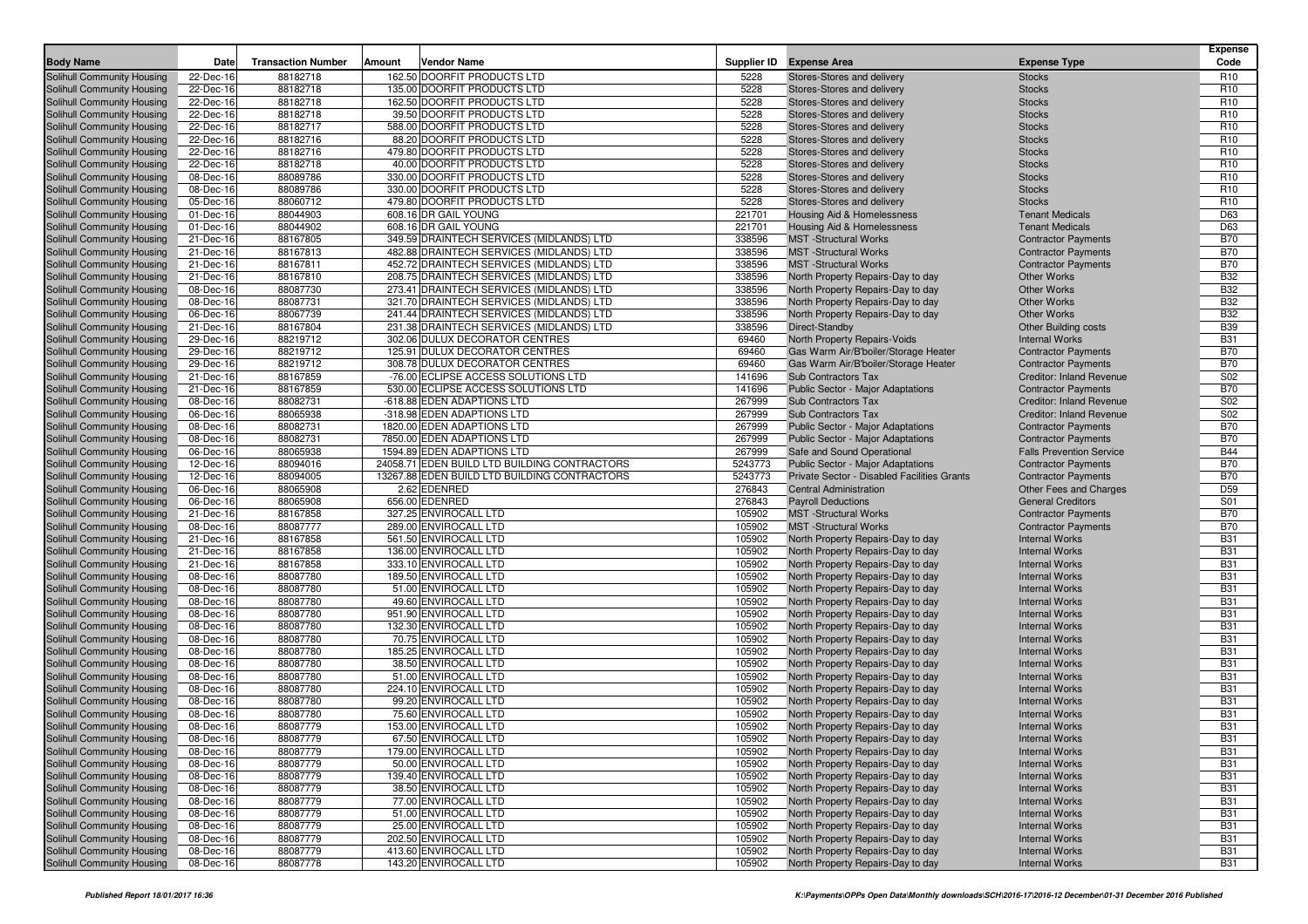|                                                          |                        |                           |        |                                                            |                  |                                                                        |                                                | <b>Expense</b>                     |
|----------------------------------------------------------|------------------------|---------------------------|--------|------------------------------------------------------------|------------------|------------------------------------------------------------------------|------------------------------------------------|------------------------------------|
| <b>Body Name</b>                                         | Date                   | <b>Transaction Number</b> | Amount | <b>Vendor Name</b>                                         |                  | Supplier ID Expense Area                                               | <b>Expense Type</b>                            | Code                               |
| Solihull Community Housing                               | 22-Dec-16              | 88182718                  |        | 162.50 DOORFIT PRODUCTS LTD                                | 5228             | Stores-Stores and delivery                                             | <b>Stocks</b>                                  | R <sub>10</sub>                    |
| Solihull Community Housing                               | 22-Dec-16              | 88182718                  |        | 135.00 DOORFIT PRODUCTS LTD                                | 5228             | Stores-Stores and delivery                                             | <b>Stocks</b>                                  | R <sub>10</sub>                    |
| Solihull Community Housing                               | 22-Dec-16              | 88182718                  |        | 162.50 DOORFIT PRODUCTS LTD                                | 5228             | Stores-Stores and delivery                                             | <b>Stocks</b>                                  | R <sub>10</sub>                    |
| Solihull Community Housing                               | 22-Dec-16              | 88182718                  |        | 39.50 DOORFIT PRODUCTS LTD                                 | 5228             | Stores-Stores and delivery                                             | <b>Stocks</b>                                  | R <sub>10</sub>                    |
| Solihull Community Housing                               | 22-Dec-16              | 88182717                  |        | 588.00 DOORFIT PRODUCTS LTD                                | 5228             | Stores-Stores and delivery                                             | <b>Stocks</b>                                  | R <sub>10</sub>                    |
| Solihull Community Housing                               | 22-Dec-16<br>22-Dec-16 | 88182716                  |        | 88.20 DOORFIT PRODUCTS LTD                                 | 5228<br>5228     | Stores-Stores and delivery                                             | <b>Stocks</b>                                  | R <sub>10</sub>                    |
| Solihull Community Housing                               |                        | 88182716                  |        | 479.80 DOORFIT PRODUCTS LTD                                | 5228             | Stores-Stores and delivery                                             | <b>Stocks</b>                                  | R <sub>10</sub><br>R <sub>10</sub> |
| Solihull Community Housing                               | 22-Dec-16              | 88182718                  |        | 40.00 DOORFIT PRODUCTS LTD                                 | 5228             | Stores-Stores and delivery                                             | <b>Stocks</b>                                  | R <sub>10</sub>                    |
| Solihull Community Housing                               | 08-Dec-16<br>08-Dec-16 | 88089786<br>88089786      |        | 330.00 DOORFIT PRODUCTS LTD<br>330.00 DOORFIT PRODUCTS LTD | 5228             | Stores-Stores and delivery<br>Stores-Stores and delivery               | <b>Stocks</b><br><b>Stocks</b>                 | R <sub>10</sub>                    |
| Solihull Community Housing<br>Solihull Community Housing | 05-Dec-16              | 88060712                  |        | 479.80 DOORFIT PRODUCTS LTD                                | 5228             | Stores-Stores and delivery                                             | <b>Stocks</b>                                  | R <sub>10</sub>                    |
| Solihull Community Housing                               | 01-Dec-16              | 88044903                  |        | 608.16 DR GAIL YOUNG                                       | 221701           | Housing Aid & Homelessness                                             | <b>Tenant Medicals</b>                         | D63                                |
| Solihull Community Housing                               | 01-Dec-16              | 88044902                  |        | 608.16 DR GAIL YOUNG                                       | 221701           | Housing Aid & Homelessness                                             | <b>Tenant Medicals</b>                         | D63                                |
| Solihull Community Housing                               | 21-Dec-16              | 88167805                  |        | 349.59 DRAINTECH SERVICES (MIDLANDS) LTD                   | 338596           | <b>MST</b> - Structural Works                                          | <b>Contractor Payments</b>                     | <b>B70</b>                         |
| Solihull Community Housing                               | 21-Dec-16              | 88167813                  |        | 482.88 DRAINTECH SERVICES (MIDLANDS) LTD                   | 338596           | <b>MST</b> -Structural Works                                           | <b>Contractor Payments</b>                     | <b>B70</b>                         |
| Solihull Community Housing                               | 21-Dec-16              | 88167811                  |        | 452.72 DRAINTECH SERVICES (MIDLANDS) LTD                   | 338596           | <b>MST</b> -Structural Works                                           | <b>Contractor Payments</b>                     | <b>B70</b>                         |
| Solihull Community Housing                               | 21-Dec-16              | 88167810                  |        | 208.75 DRAINTECH SERVICES (MIDLANDS) LTD                   | 338596           | North Property Repairs-Day to day                                      | <b>Other Works</b>                             | <b>B32</b>                         |
| Solihull Community Housing                               | 08-Dec-16              | 88087730                  |        | 273.41 DRAINTECH SERVICES (MIDLANDS) LTD                   | 338596           | North Property Repairs-Day to day                                      | Other Works                                    | <b>B32</b>                         |
| Solihull Community Housing                               | 08-Dec-16              | 88087731                  |        | 321.70 DRAINTECH SERVICES (MIDLANDS) LTD                   | 338596           | North Property Repairs-Day to day                                      | <b>Other Works</b>                             | <b>B32</b>                         |
| Solihull Community Housing                               | 06-Dec-16              | 88067739                  |        | 241.44 DRAINTECH SERVICES (MIDLANDS) LTD                   | 338596           | North Property Repairs-Day to day                                      | <b>Other Works</b>                             | <b>B32</b>                         |
| Solihull Community Housing                               | 21-Dec-16              | 88167804                  |        | 231.38 DRAINTECH SERVICES (MIDLANDS) LTD                   | 338596           | Direct-Standby                                                         | <b>Other Building costs</b>                    | <b>B39</b>                         |
| Solihull Community Housing                               | 29-Dec-16              | 88219712                  |        | 302.06 DULUX DECORATOR CENTRES                             | 69460            | North Property Repairs-Voids                                           | <b>Internal Works</b>                          | <b>B31</b>                         |
| Solihull Community Housing                               | 29-Dec-16              | 88219712                  |        | 125.91 DULUX DECORATOR CENTRES                             | 69460            | Gas Warm Air/B'boiler/Storage Heater                                   | <b>Contractor Payments</b>                     | <b>B70</b>                         |
| Solihull Community Housing                               | 29-Dec-16              | 88219712                  |        | 308.78 DULUX DECORATOR CENTRES                             | 69460            | Gas Warm Air/B'boiler/Storage Heater                                   | <b>Contractor Payments</b>                     | <b>B70</b>                         |
| Solihull Community Housing                               | 21-Dec-16              | 88167859                  |        | -76.00 ECLIPSE ACCESS SOLUTIONS LTD                        | 141696           | Sub Contractors Tax                                                    | <b>Creditor: Inland Revenue</b>                | S02                                |
| Solihull Community Housing                               | 21-Dec-16              | 88167859                  |        | 530.00 ECLIPSE ACCESS SOLUTIONS LTD                        | 141696           | <b>Public Sector - Major Adaptations</b>                               | <b>Contractor Payments</b>                     | <b>B70</b>                         |
| Solihull Community Housing                               | 08-Dec-16              | 88082731                  |        | -618.88 EDEN ADAPTIONS LTD                                 | 267999           | Sub Contractors Tax                                                    | <b>Creditor: Inland Revenue</b>                | S02                                |
| Solihull Community Housing                               | 06-Dec-16              | 88065938                  |        | -318.98 EDEN ADAPTIONS LTD                                 | 267999           | Sub Contractors Tax                                                    | <b>Creditor: Inland Revenue</b>                | S02                                |
| Solihull Community Housing                               | 08-Dec-16              | 88082731                  |        | 1820.00 EDEN ADAPTIONS LTD                                 | 267999           | Public Sector - Major Adaptations                                      | <b>Contractor Payments</b>                     | <b>B70</b>                         |
| Solihull Community Housing                               | 08-Dec-16              | 88082731                  |        | 7850.00 EDEN ADAPTIONS LTD                                 | 267999           | Public Sector - Major Adaptations                                      | <b>Contractor Payments</b>                     | <b>B70</b>                         |
| Solihull Community Housing                               | 06-Dec-16              | 88065938                  |        | 1594.89 EDEN ADAPTIONS LTD                                 | 267999           | Safe and Sound Operational                                             | <b>Falls Prevention Service</b>                | <b>B44</b>                         |
| Solihull Community Housing                               | 12-Dec-16              | 88094016                  |        | 24058.71 EDEN BUILD LTD BUILDING CONTRACTORS               | 5243773          | Public Sector - Major Adaptations                                      | <b>Contractor Payments</b>                     | <b>B70</b>                         |
| Solihull Community Housing                               | 12-Dec-16              | 88094005                  |        | 13267.88 EDEN BUILD LTD BUILDING CONTRACTORS               | 5243773          | Private Sector - Disabled Facilities Grants                            | <b>Contractor Payments</b>                     | <b>B70</b>                         |
| Solihull Community Housing                               | 06-Dec-16              | 88065908                  |        | 2.62 EDENRED                                               | 276843           | <b>Central Administration</b>                                          | Other Fees and Charges                         | D59                                |
| Solihull Community Housing                               | 06-Dec-16              | 88065908                  |        | 656.00 EDENRED                                             | 276843           | <b>Payroll Deductions</b>                                              | <b>General Creditors</b>                       | S01                                |
| Solihull Community Housing                               | 21-Dec-16              | 88167858                  |        | 327.25 ENVIROCALL LTD                                      | 105902           | <b>MST</b> -Structural Works                                           | <b>Contractor Payments</b>                     | <b>B70</b>                         |
| Solihull Community Housing                               | 08-Dec-16              | 88087777                  |        | 289.00 ENVIROCALL LTD                                      | 105902           | <b>MST</b> -Structural Works                                           | <b>Contractor Payments</b>                     | <b>B70</b>                         |
| Solihull Community Housing                               | 21-Dec-16              | 88167858                  |        | 561.50 ENVIROCALL LTD                                      | 105902           | North Property Repairs-Day to day                                      | <b>Internal Works</b>                          | <b>B31</b>                         |
| Solihull Community Housing                               | 21-Dec-16              | 88167858                  |        | 136.00 ENVIROCALL LTD                                      | 105902           | North Property Repairs-Day to day                                      | <b>Internal Works</b>                          | <b>B31</b>                         |
| Solihull Community Housing                               | 21-Dec-16              | 88167858                  |        | 333.10 ENVIROCALL LTD                                      | 105902           | North Property Repairs-Day to day                                      | <b>Internal Works</b>                          | <b>B31</b>                         |
| Solihull Community Housing                               | 08-Dec-16              | 88087780                  |        | 189.50 ENVIROCALL LTD                                      | 105902           | North Property Repairs-Day to day                                      | <b>Internal Works</b>                          | <b>B31</b>                         |
| Solihull Community Housing                               | 08-Dec-16              | 88087780                  |        | 51.00 ENVIROCALL LTD                                       | 105902           | North Property Repairs-Day to day                                      | <b>Internal Works</b>                          | <b>B31</b>                         |
| Solihull Community Housing                               | 08-Dec-16              | 88087780                  |        | 49.60 ENVIROCALL LTD                                       | 105902           | North Property Repairs-Day to day                                      | <b>Internal Works</b>                          | <b>B31</b>                         |
| Solihull Community Housing                               | 08-Dec-16              | 88087780                  |        | 951.90 ENVIROCALL LTD                                      | 105902           | North Property Repairs-Day to day                                      | <b>Internal Works</b>                          | <b>B31</b><br><b>B31</b>           |
| Solihull Community Housing                               | 08-Dec-16              | 88087780<br>88087780      |        | 132.30 ENVIROCALL LTD<br>70.75 ENVIROCALL LTD              | 105902<br>105902 | North Property Repairs-Day to day                                      | <b>Internal Works</b>                          | <b>B31</b>                         |
| Solihull Community Housing<br>Solihull Community Housing | 08-Dec-16<br>08-Dec-16 | 88087780                  |        | 185.25 ENVIROCALL LTD                                      | 105902           | North Property Repairs-Day to day<br>North Property Repairs-Day to day | <b>Internal Works</b><br><b>Internal Works</b> | <b>B31</b>                         |
| Solihull Community Housing                               | 08-Dec-16              | 88087780                  |        | 38.50 ENVIROCALL LTD                                       | 105902           | North Property Repairs-Day to day                                      | <b>Internal Works</b>                          | <b>B31</b>                         |
| Solihull Community Housing                               | 08-Dec-16              | 88087780                  |        | 51.00 ENVIROCALL LTD                                       | 105902           | North Property Repairs-Day to day                                      | <b>Internal Works</b>                          | <b>B31</b>                         |
| Solihull Community Housing                               | 08-Dec-16              | 88087780                  |        | 224.10 ENVIROCALL LTD                                      | 105902           | North Property Repairs-Day to day                                      | <b>Internal Works</b>                          | <b>B31</b>                         |
| Solihull Community Housing                               | 08-Dec-16              | 88087780                  |        | 99.20 ENVIROCALL LTD                                       | 105902           | North Property Repairs-Day to day                                      | <b>Internal Works</b>                          | <b>B31</b>                         |
| Solihull Community Housing                               | 08-Dec-16              | 88087780                  |        | 75.60 ENVIROCALL LTD                                       | 105902           | North Property Repairs-Day to day                                      | <b>Internal Works</b>                          | <b>B31</b>                         |
| Solihull Community Housing                               | 08-Dec-16              | 88087779                  |        | 153.00 ENVIROCALL LTD                                      | 105902           | North Property Repairs-Day to day                                      | <b>Internal Works</b>                          | <b>B31</b>                         |
| Solihull Community Housing                               | 08-Dec-16              | 88087779                  |        | 67.50 ENVIROCALL LTD                                       | 105902           | North Property Repairs-Day to day                                      | <b>Internal Works</b>                          | <b>B31</b>                         |
| Solihull Community Housing                               | 08-Dec-16              | 88087779                  |        | 179.00 ENVIROCALL LTD                                      | 105902           | North Property Repairs-Day to day                                      | <b>Internal Works</b>                          | <b>B31</b>                         |
| Solihull Community Housing                               | 08-Dec-16              | 88087779                  |        | 50.00 ENVIROCALL LTD                                       | 105902           | North Property Repairs-Day to day                                      | <b>Internal Works</b>                          | <b>B31</b>                         |
| Solihull Community Housing                               | 08-Dec-16              | 88087779                  |        | 139.40 ENVIROCALL LTD                                      | 105902           | North Property Repairs-Day to day                                      | <b>Internal Works</b>                          | <b>B31</b>                         |
| Solihull Community Housing                               | 08-Dec-16              | 88087779                  |        | 38.50 ENVIROCALL LTD                                       | 105902           | North Property Repairs-Day to day                                      | <b>Internal Works</b>                          | <b>B31</b>                         |
| Solihull Community Housing                               | 08-Dec-16              | 88087779                  |        | 77.00 ENVIROCALL LTD                                       | 105902           | North Property Repairs-Day to day                                      | <b>Internal Works</b>                          | <b>B31</b>                         |
| Solihull Community Housing                               | 08-Dec-16              | 88087779                  |        | 51.00 ENVIROCALL LTD                                       | 105902           | North Property Repairs-Day to day                                      | <b>Internal Works</b>                          | <b>B31</b>                         |
| Solihull Community Housing                               | 08-Dec-16              | 88087779                  |        | 25.00 ENVIROCALL LTD                                       | 105902           | North Property Repairs-Day to day                                      | <b>Internal Works</b>                          | <b>B31</b>                         |
| Solihull Community Housing                               | 08-Dec-16              | 88087779                  |        | 202.50 ENVIROCALL LTD                                      | 105902           | North Property Repairs-Day to day                                      | <b>Internal Works</b>                          | <b>B31</b>                         |
| Solihull Community Housing                               | 08-Dec-16              | 88087779                  |        | 413.60 ENVIROCALL LTD                                      | 105902           | North Property Repairs-Day to day                                      | <b>Internal Works</b>                          | <b>B31</b>                         |
| Solihull Community Housing                               | 08-Dec-16              | 88087778                  |        | 143.20 ENVIROCALL LTD                                      | 105902           | North Property Repairs-Day to day                                      | <b>Internal Works</b>                          | <b>B31</b>                         |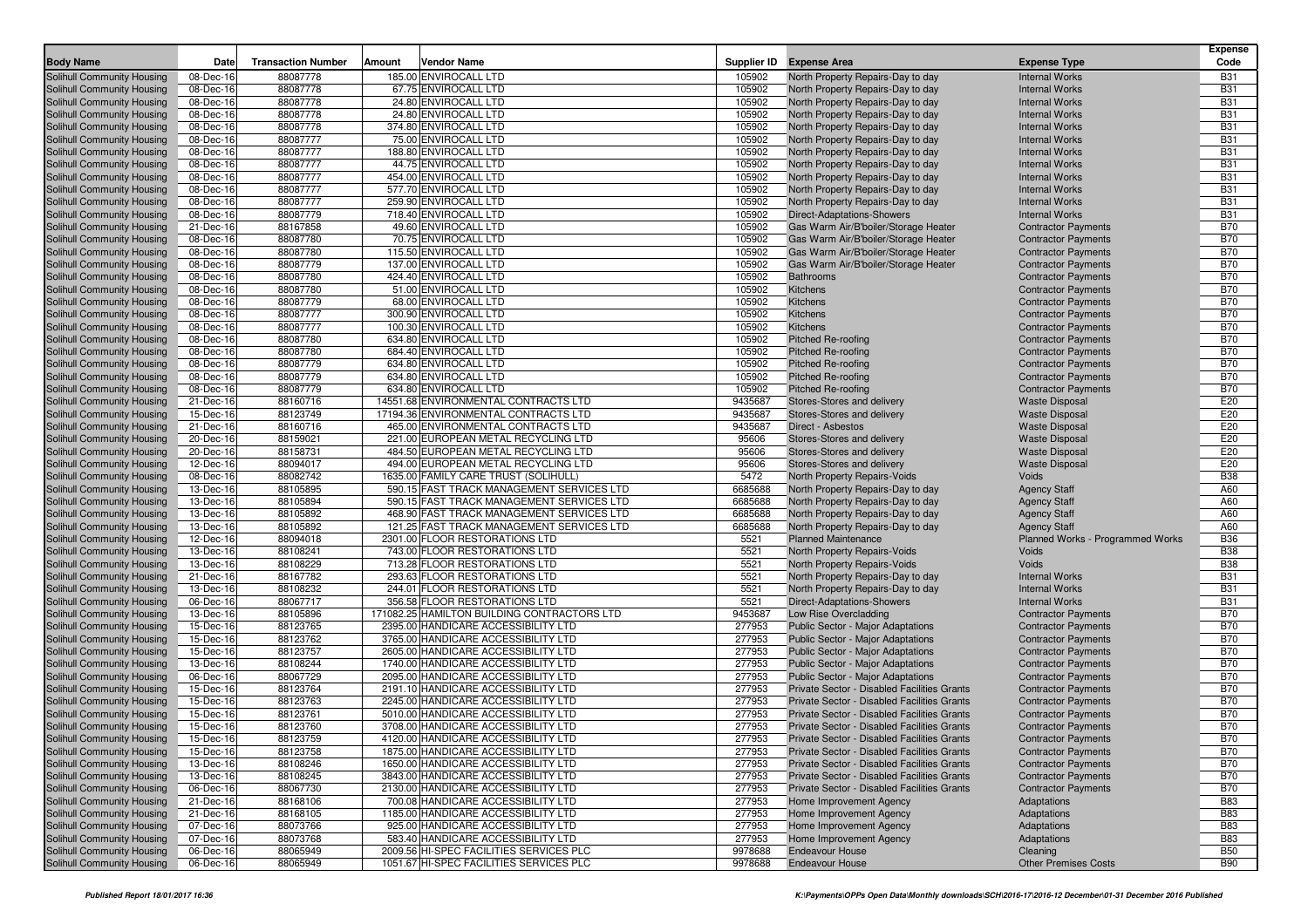| <b>Body Name</b>                                         | Date                   | <b>Transaction Number</b> | Amount | <b>Vendor Name</b>                                                         |                   | Supplier ID Expense Area                                                                   | <b>Expense Type</b>                                      | <b>Expense</b><br>Code   |
|----------------------------------------------------------|------------------------|---------------------------|--------|----------------------------------------------------------------------------|-------------------|--------------------------------------------------------------------------------------------|----------------------------------------------------------|--------------------------|
|                                                          |                        |                           |        |                                                                            |                   |                                                                                            |                                                          |                          |
| Solihull Community Housing                               | 08-Dec-16              | 88087778                  |        | 185.00 ENVIROCALL LTD                                                      | 105902            | North Property Repairs-Day to day                                                          | <b>Internal Works</b><br><b>Internal Works</b>           | <b>B31</b>               |
| Solihull Community Housing<br>Solihull Community Housing | 08-Dec-16<br>08-Dec-16 | 88087778<br>88087778      |        | 67.75 ENVIROCALL LTD<br>24.80 ENVIROCALL LTD                               | 105902<br>105902  | North Property Repairs-Day to day<br>North Property Repairs-Day to day                     | <b>Internal Works</b>                                    | <b>B31</b><br><b>B31</b> |
| Solihull Community Housing                               | 08-Dec-16              | 88087778                  |        | 24.80 ENVIROCALL LTD                                                       | 105902            | North Property Repairs-Day to day                                                          | <b>Internal Works</b>                                    | <b>B31</b>               |
| Solihull Community Housing                               | 08-Dec-16              | 88087778                  |        | 374.80 ENVIROCALL LTD                                                      | 105902            | North Property Repairs-Day to day                                                          | <b>Internal Works</b>                                    | <b>B31</b>               |
| Solihull Community Housing                               | 08-Dec-16              | 88087777                  |        | 75.00 ENVIROCALL LTD                                                       | 105902            | North Property Repairs-Day to day                                                          | <b>Internal Works</b>                                    | <b>B31</b>               |
| Solihull Community Housing                               | 08-Dec-16              | 88087777                  |        | 188.80 ENVIROCALL LTD                                                      | 105902            | North Property Repairs-Day to day                                                          | <b>Internal Works</b>                                    | <b>B31</b>               |
| Solihull Community Housing                               | 08-Dec-16              | 88087777                  |        | 44.75 ENVIROCALL LTD                                                       | 105902            | North Property Repairs-Day to day                                                          | <b>Internal Works</b>                                    | <b>B31</b>               |
| Solihull Community Housing                               | 08-Dec-16              | 88087777                  |        | 454.00 ENVIROCALL LTD                                                      | 105902            | North Property Repairs-Day to day                                                          | <b>Internal Works</b>                                    | <b>B31</b>               |
| Solihull Community Housing                               | 08-Dec-16              | 88087777                  |        | 577.70 ENVIROCALL LTD                                                      | 105902            | North Property Repairs-Day to day                                                          | <b>Internal Works</b>                                    | <b>B31</b>               |
| Solihull Community Housing                               | 08-Dec-16              | 88087777                  |        | 259.90 ENVIROCALL LTD                                                      | 105902            | North Property Repairs-Day to day                                                          | <b>Internal Works</b>                                    | <b>B31</b>               |
| Solihull Community Housing                               | 08-Dec-16              | 88087779                  |        | 718.40 ENVIROCALL LTD                                                      | 105902            | Direct-Adaptations-Showers                                                                 | <b>Internal Works</b>                                    | <b>B31</b>               |
| Solihull Community Housing                               | 21-Dec-16              | 88167858                  |        | 49.60 ENVIROCALL LTD                                                       | 105902            | Gas Warm Air/B'boiler/Storage Heater                                                       | <b>Contractor Payments</b>                               | <b>B70</b>               |
| Solihull Community Housing                               | 08-Dec-16              | 88087780                  |        | 70.75 ENVIROCALL LTD                                                       | 105902            | Gas Warm Air/B'boiler/Storage Heater                                                       | <b>Contractor Payments</b>                               | <b>B70</b>               |
| Solihull Community Housing                               | 08-Dec-16              | 88087780                  |        | 115.50 ENVIROCALL LTD                                                      | 105902            | Gas Warm Air/B'boiler/Storage Heater                                                       | <b>Contractor Payments</b>                               | <b>B70</b>               |
| Solihull Community Housing                               | 08-Dec-16              | 88087779                  |        | 137.00 ENVIROCALL LTD                                                      | 105902            | Gas Warm Air/B'boiler/Storage Heater                                                       | <b>Contractor Payments</b>                               | <b>B70</b>               |
| Solihull Community Housing                               | 08-Dec-16              | 88087780                  |        | 424.40 ENVIROCALL LTD                                                      | 105902            | <b>Bathrooms</b>                                                                           | <b>Contractor Payments</b>                               | <b>B70</b>               |
| Solihull Community Housing                               | 08-Dec-16              | 88087780                  |        | 51.00 ENVIROCALL LTD                                                       | 105902            | Kitchens                                                                                   | <b>Contractor Payments</b>                               | <b>B70</b>               |
| Solihull Community Housing                               | 08-Dec-16              | 88087779                  |        | 68.00 ENVIROCALL LTD                                                       | 105902            | Kitchens                                                                                   | <b>Contractor Payments</b>                               | <b>B70</b>               |
| Solihull Community Housing                               | 08-Dec-16              | 88087777                  |        | 300.90 ENVIROCALL LTD                                                      | 105902            | <b>Kitchens</b>                                                                            | <b>Contractor Payments</b>                               | <b>B70</b>               |
| Solihull Community Housing                               | 08-Dec-16              | 88087777                  |        | 100.30 ENVIROCALL LTD                                                      | 105902            | Kitchens                                                                                   | <b>Contractor Payments</b>                               | <b>B70</b>               |
| Solihull Community Housing                               | 08-Dec-16              | 88087780                  |        | 634.80 ENVIROCALL LTD                                                      | 105902            | Pitched Re-roofing                                                                         | <b>Contractor Payments</b>                               | <b>B70</b>               |
| Solihull Community Housing                               | 08-Dec-16              | 88087780                  |        | 684.40 ENVIROCALL LTD                                                      | 105902            | <b>Pitched Re-roofing</b>                                                                  | <b>Contractor Payments</b>                               | <b>B70</b>               |
| Solihull Community Housing                               | 08-Dec-16              | 88087779                  |        | 634.80 ENVIROCALL LTD                                                      | 105902            | <b>Pitched Re-roofing</b>                                                                  | <b>Contractor Payments</b>                               | <b>B70</b>               |
| Solihull Community Housing                               | 08-Dec-16              | 88087779                  |        | 634.80 ENVIROCALL LTD                                                      | 105902            | Pitched Re-roofing                                                                         | <b>Contractor Payments</b>                               | <b>B70</b>               |
| Solihull Community Housing                               | 08-Dec-16              | 88087779                  |        | 634.80 ENVIROCALL LTD<br>14551.68 ENVIRONMENTAL CONTRACTS LTD              | 105902<br>9435687 | <b>Pitched Re-roofing</b>                                                                  | <b>Contractor Payments</b>                               | <b>B70</b><br>E20        |
| Solihull Community Housing                               | 21-Dec-16              | 88160716<br>88123749      |        | 17194.36 ENVIRONMENTAL CONTRACTS LTD                                       | 9435687           | Stores-Stores and delivery                                                                 | <b>Waste Disposal</b><br><b>Waste Disposal</b>           | E20                      |
| Solihull Community Housing<br>Solihull Community Housing | 15-Dec-16<br>21-Dec-16 | 88160716                  |        | 465.00 ENVIRONMENTAL CONTRACTS LTD                                         | 9435687           | Stores-Stores and delivery<br>Direct - Asbestos                                            | <b>Waste Disposal</b>                                    | E20                      |
| Solihull Community Housing                               | 20-Dec-16              | 88159021                  |        | 221.00 EUROPEAN METAL RECYCLING LTD                                        | 95606             | Stores-Stores and delivery                                                                 | <b>Waste Disposal</b>                                    | E20                      |
| Solihull Community Housing                               | 20-Dec-16              | 88158731                  |        | 484.50 EUROPEAN METAL RECYCLING LTD                                        | 95606             | Stores-Stores and delivery                                                                 | <b>Waste Disposal</b>                                    | E20                      |
| Solihull Community Housing                               | 12-Dec-16              | 88094017                  |        | 494.00 EUROPEAN METAL RECYCLING LTD                                        | 95606             | Stores-Stores and delivery                                                                 | <b>Waste Disposal</b>                                    | E20                      |
| Solihull Community Housing                               | 08-Dec-16              | 88082742                  |        | 1635.00 FAMILY CARE TRUST (SOLIHULL)                                       | 5472              | <b>North Property Repairs-Voids</b>                                                        | Voids                                                    | <b>B38</b>               |
| Solihull Community Housing                               | 13-Dec-16              | 88105895                  |        | 590.15 FAST TRACK MANAGEMENT SERVICES LTD                                  | 6685688           | North Property Repairs-Day to day                                                          | <b>Agency Staff</b>                                      | A60                      |
| Solihull Community Housing                               | 13-Dec-16              | 88105894                  |        | 590.15 FAST TRACK MANAGEMENT SERVICES LTD                                  | 6685688           | North Property Repairs-Day to day                                                          | <b>Agency Staff</b>                                      | A60                      |
| Solihull Community Housing                               | 13-Dec-16              | 88105892                  |        | 468.90 FAST TRACK MANAGEMENT SERVICES LTD                                  | 6685688           | North Property Repairs-Day to day                                                          | <b>Agency Staff</b>                                      | A60                      |
| Solihull Community Housing                               | 13-Dec-16              | 88105892                  |        | 121.25 FAST TRACK MANAGEMENT SERVICES LTD                                  | 6685688           | North Property Repairs-Day to day                                                          | <b>Agency Staff</b>                                      | A60                      |
| Solihull Community Housing                               | 12-Dec-16              | 88094018                  |        | 2301.00 FLOOR RESTORATIONS LTD                                             | 5521              | <b>Planned Maintenance</b>                                                                 | Planned Works - Programmed Works                         | <b>B36</b>               |
| Solihull Community Housing                               | 13-Dec-16              | 88108241                  |        | 743.00 FLOOR RESTORATIONS LTD                                              | 5521              | North Property Repairs-Voids                                                               | Voids                                                    | <b>B38</b>               |
| Solihull Community Housing                               | 13-Dec-16              | 88108229                  |        | 713.28 FLOOR RESTORATIONS LTD                                              | 5521              | North Property Repairs-Voids                                                               | Voids                                                    | <b>B38</b>               |
| Solihull Community Housing                               | 21-Dec-16              | 88167782                  |        | 293.63 FLOOR RESTORATIONS LTD                                              | 5521              | North Property Repairs-Day to day                                                          | <b>Internal Works</b>                                    | <b>B31</b>               |
| Solihull Community Housing                               | 13-Dec-16              | 88108232                  |        | 244.01 FLOOR RESTORATIONS LTD                                              | 5521              | North Property Repairs-Day to day                                                          | <b>Internal Works</b>                                    | <b>B31</b>               |
| Solihull Community Housing                               | 06-Dec-16              | 88067717                  |        | 356.58 FLOOR RESTORATIONS LTD                                              | 5521              | <b>Direct-Adaptations-Showers</b>                                                          | <b>Internal Works</b>                                    | <b>B31</b>               |
| Solihull Community Housing                               | 13-Dec-16              | 88105896                  |        | 171082.25 HAMILTON BUILDING CONTRACTORS LTD                                | 9453687           | Low Rise Overcladding                                                                      | <b>Contractor Payments</b>                               | <b>B70</b>               |
| Solihull Community Housing                               | 15-Dec-16              | 88123765                  |        | 2395.00 HANDICARE ACCESSIBILITY LTD                                        | 277953            | <b>Public Sector - Major Adaptations</b>                                                   | <b>Contractor Payments</b>                               | <b>B70</b>               |
| Solihull Community Housing                               | 15-Dec-16              | 88123762                  |        | 3765.00 HANDICARE ACCESSIBILITY LTD                                        | 277953            | Public Sector - Major Adaptations                                                          | <b>Contractor Payments</b>                               | <b>B70</b>               |
| Solihull Community Housing                               | 15-Dec-16              | 88123757                  |        | 2605.00 HANDICARE ACCESSIBILITY LTD                                        | 277953            | Public Sector - Major Adaptations                                                          | <b>Contractor Payments</b>                               | <b>B70</b>               |
| Solihull Community Housing                               | 13-Dec-16              | 88108244                  |        | 1740.00 HANDICARE ACCESSIBILITY LTD                                        | 277953            | <b>Public Sector - Major Adaptations</b>                                                   | <b>Contractor Payments</b>                               | <b>B70</b>               |
| Solihull Community Housing                               | 06-Dec-16              | 88067729                  |        | 2095.00 HANDICARE ACCESSIBILITY LTD                                        | 277953            | Public Sector - Major Adaptations                                                          | <b>Contractor Payments</b>                               | <b>B70</b>               |
| Solihull Community Housing                               | 15-Dec-16              | 88123764                  |        | 2191.10 HANDICARE ACCESSIBILITY LTD                                        | 277953            | Private Sector - Disabled Facilities Grants                                                | <b>Contractor Payments</b>                               | <b>B70</b>               |
| Solihull Community Housing                               | 15-Dec-16              | 88123763                  |        | 2245.00 HANDICARE ACCESSIBILITY LTD<br>5010.00 HANDICARE ACCESSIBILITY LTD | 277953<br>277953  | Private Sector - Disabled Facilities Grants                                                | <b>Contractor Payments</b>                               | <b>B70</b><br><b>B70</b> |
| Solihull Community Housing<br>Solihull Community Housing | 15-Dec-16<br>15-Dec-16 | 88123761<br>88123760      |        | 3708.00 HANDICARE ACCESSIBILITY LTD                                        | 277953            | Private Sector - Disabled Facilities Grants                                                | <b>Contractor Payments</b><br><b>Contractor Payments</b> | <b>B70</b>               |
| Solihull Community Housing                               | 15-Dec-16              | 88123759                  |        | 4120.00 HANDICARE ACCESSIBILITY LTD                                        | 277953            | Private Sector - Disabled Facilities Grants<br>Private Sector - Disabled Facilities Grants | <b>Contractor Payments</b>                               | <b>B70</b>               |
| Solihull Community Housing                               | 15-Dec-16              | 88123758                  |        | 1875.00 HANDICARE ACCESSIBILITY LTD                                        | 277953            | Private Sector - Disabled Facilities Grants                                                | <b>Contractor Payments</b>                               | <b>B70</b>               |
| Solihull Community Housing                               | 13-Dec-16              | 88108246                  |        | 1650.00 HANDICARE ACCESSIBILITY LTD                                        | 277953            | Private Sector - Disabled Facilities Grants                                                | <b>Contractor Payments</b>                               | B70                      |
| Solihull Community Housing                               | 13-Dec-16              | 88108245                  |        | 3843.00 HANDICARE ACCESSIBILITY LTD                                        | 277953            | Private Sector - Disabled Facilities Grants                                                | <b>Contractor Payments</b>                               | <b>B70</b>               |
| Solihull Community Housing                               | 06-Dec-16              | 88067730                  |        | 2130.00 HANDICARE ACCESSIBILITY LTD                                        | 277953            | Private Sector - Disabled Facilities Grants                                                | <b>Contractor Payments</b>                               | <b>B70</b>               |
| Solihull Community Housing                               | 21-Dec-16              | 88168106                  |        | 700.08 HANDICARE ACCESSIBILITY LTD                                         | 277953            | Home Improvement Agency                                                                    | Adaptations                                              | <b>B83</b>               |
| Solihull Community Housing                               | 21-Dec-16              | 88168105                  |        | 1185.00 HANDICARE ACCESSIBILITY LTD                                        | 277953            | Home Improvement Agency                                                                    | Adaptations                                              | <b>B83</b>               |
| Solihull Community Housing                               | 07-Dec-16              | 88073766                  |        | 925.00 HANDICARE ACCESSIBILITY LTD                                         | 277953            | Home Improvement Agency                                                                    | Adaptations                                              | <b>B83</b>               |
| Solihull Community Housing                               | 07-Dec-16              | 88073768                  |        | 583.40 HANDICARE ACCESSIBILITY LTD                                         | 277953            | Home Improvement Agency                                                                    | Adaptations                                              | <b>B83</b>               |
| Solihull Community Housing                               | 06-Dec-16              | 88065949                  |        | 2009.56 HI-SPEC FACILITIES SERVICES PLC                                    | 9978688           | <b>Endeavour House</b>                                                                     | Cleaning                                                 | <b>B50</b>               |
| Solihull Community Housing                               | 06-Dec-16              | 88065949                  |        | 1051.67 HI-SPEC FACILITIES SERVICES PLC                                    | 9978688           | <b>Endeavour House</b>                                                                     | <b>Other Premises Costs</b>                              | <b>B90</b>               |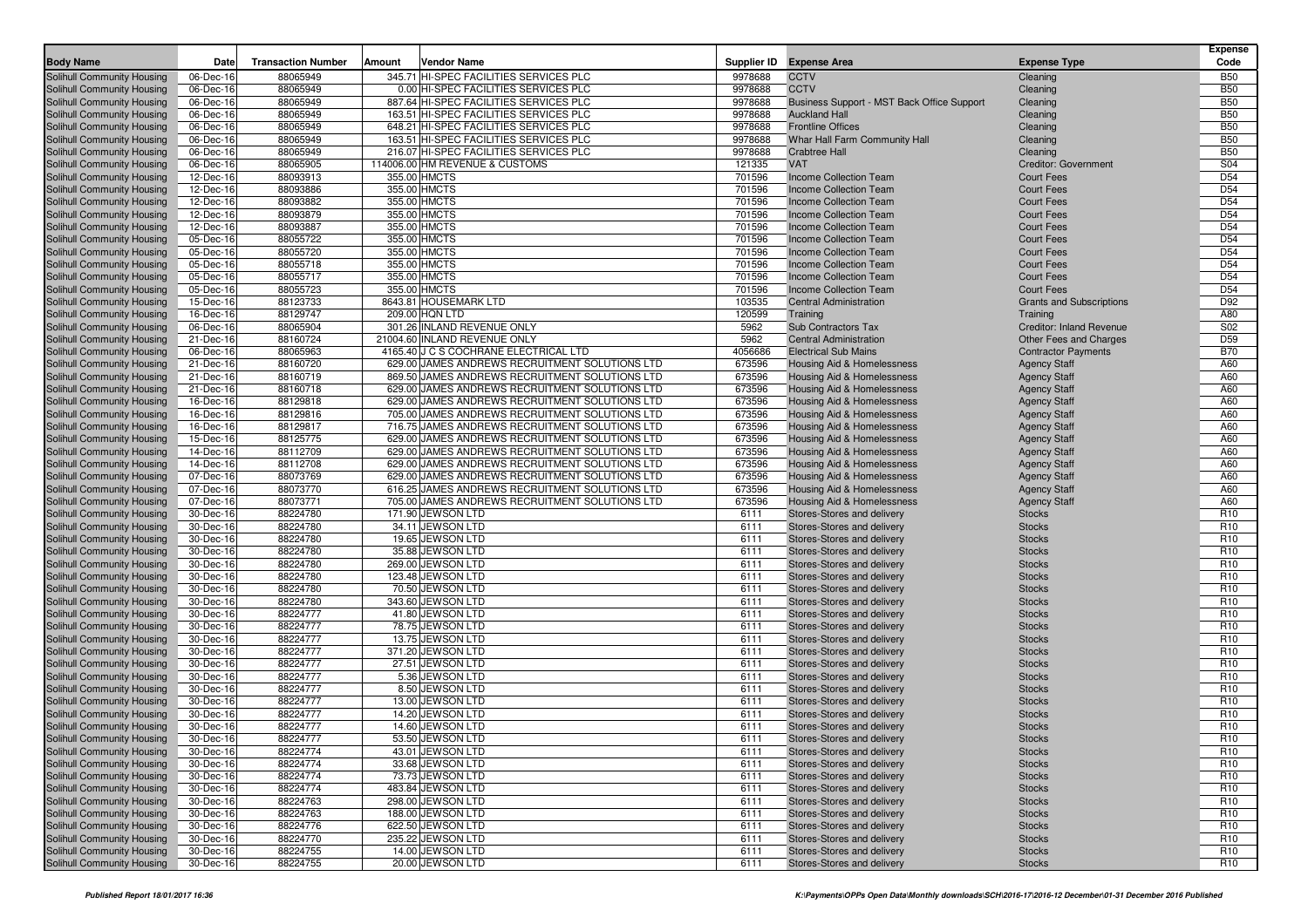| <b>Body Name</b>                                         | Date                   | <b>Transaction Number</b> | Amount | <b>Vendor Name</b>                                                                               |                  | Supplier ID Expense Area                                       | <b>Expense Type</b>                    | <b>Expense</b><br>Code             |
|----------------------------------------------------------|------------------------|---------------------------|--------|--------------------------------------------------------------------------------------------------|------------------|----------------------------------------------------------------|----------------------------------------|------------------------------------|
| Solihull Community Housing                               | 06-Dec-16              | 88065949                  |        | 345.71 HI-SPEC FACILITIES SERVICES PLC                                                           | 9978688          | <b>CCTV</b>                                                    | Cleaning                               | <b>B50</b>                         |
| Solihull Community Housing                               | 06-Dec-16              | 88065949                  |        | 0.00 HI-SPEC FACILITIES SERVICES PLC                                                             | 9978688          | <b>CCTV</b>                                                    | Cleaning                               | <b>B50</b>                         |
| Solihull Community Housing                               | 06-Dec-16              | 88065949                  |        | 887.64 HI-SPEC FACILITIES SERVICES PLC                                                           | 9978688          | Business Support - MST Back Office Support                     | Cleaning                               | <b>B50</b>                         |
| Solihull Community Housing                               | 06-Dec-16              | 88065949                  |        | 163.51 HI-SPEC FACILITIES SERVICES PLC                                                           | 9978688          | <b>Auckland Hall</b>                                           | Cleaning                               | <b>B50</b>                         |
| Solihull Community Housing                               | 06-Dec-16              | 88065949                  |        | 648.21 HI-SPEC FACILITIES SERVICES PLC                                                           | 9978688          | <b>Frontline Offices</b>                                       | Cleaning                               | <b>B50</b>                         |
| Solihull Community Housing                               | 06-Dec-16              | 88065949                  |        | 163.51 HI-SPEC FACILITIES SERVICES PLC                                                           | 9978688          | Whar Hall Farm Community Hall                                  | Cleaning                               | <b>B50</b>                         |
| Solihull Community Housing                               | 06-Dec-16              | 88065949                  |        | 216.07 HI-SPEC FACILITIES SERVICES PLC                                                           | 9978688          | <b>Crabtree Hall</b>                                           | Cleaning                               | <b>B50</b>                         |
| Solihull Community Housing                               | 06-Dec-16              | 88065905                  |        | 114006.00 HM REVENUE & CUSTOMS                                                                   | 121335           | <b>VAT</b>                                                     | <b>Creditor: Government</b>            | S04                                |
| Solihull Community Housing                               | 12-Dec-16              | 88093913                  |        | 355.00 HMCTS                                                                                     | 701596           | Income Collection Team                                         | <b>Court Fees</b>                      | D <sub>54</sub>                    |
| Solihull Community Housing                               | 12-Dec-16              | 88093886                  |        | 355.00 HMCTS                                                                                     | 701596           | <b>Income Collection Team</b>                                  | <b>Court Fees</b>                      | D <sub>54</sub>                    |
| Solihull Community Housing                               | 12-Dec-16              | 88093882                  |        | 355.00 HMCTS                                                                                     | 701596           | <b>Income Collection Team</b>                                  | <b>Court Fees</b>                      | D <sub>54</sub>                    |
| Solihull Community Housing                               | 12-Dec-16              | 88093879                  |        | 355.00 HMCTS                                                                                     | 701596           | <b>Income Collection Team</b>                                  | <b>Court Fees</b>                      | D <sub>54</sub>                    |
| <b>Solihull Community Housing</b>                        | 12-Dec-16              | 88093887                  |        | 355.00 HMCTS                                                                                     | 701596           | <b>Income Collection Team</b>                                  | <b>Court Fees</b>                      | D <sub>54</sub><br>D <sub>54</sub> |
| Solihull Community Housing<br>Solihull Community Housing | 05-Dec-16              | 88055722<br>88055720      |        | 355.00 HMCTS<br>355.00 HMCTS                                                                     | 701596<br>701596 | <b>Income Collection Team</b><br><b>Income Collection Team</b> | <b>Court Fees</b><br><b>Court Fees</b> | D <sub>54</sub>                    |
| Solihull Community Housing                               | 05-Dec-16<br>05-Dec-16 | 88055718                  |        | 355.00 HMCTS                                                                                     | 701596           | Income Collection Team                                         | <b>Court Fees</b>                      | D <sub>54</sub>                    |
| Solihull Community Housing                               | 05-Dec-16              | 88055717                  |        | 355.00 HMCTS                                                                                     | 701596           | Income Collection Team                                         | <b>Court Fees</b>                      | D <sub>54</sub>                    |
| Solihull Community Housing                               | 05-Dec-16              | 88055723                  |        | 355.00 HMCTS                                                                                     | 701596           | <b>Income Collection Team</b>                                  | <b>Court Fees</b>                      | D <sub>54</sub>                    |
| Solihull Community Housing                               | 15-Dec-16              | 88123733                  |        | 8643.81 HOUSEMARK LTD                                                                            | 103535           | <b>Central Administration</b>                                  | <b>Grants and Subscriptions</b>        | D92                                |
| Solihull Community Housing                               | 16-Dec-16              | 88129747                  |        | 209.00 HQN LTD                                                                                   | 120599           | Training                                                       | Training                               | A80                                |
| Solihull Community Housing                               | 06-Dec-16              | 88065904                  |        | 301.26 INLAND REVENUE ONLY                                                                       | 5962             | Sub Contractors Tax                                            | Creditor: Inland Revenue               | S <sub>02</sub>                    |
| Solihull Community Housing                               | 21-Dec-16              | 88160724                  |        | 21004.60 INLAND REVENUE ONLY                                                                     | 5962             | <b>Central Administration</b>                                  | Other Fees and Charges                 | D <sub>59</sub>                    |
| Solihull Community Housing                               | 06-Dec-16              | 88065963                  |        | 4165.40 J C S COCHRANE ELECTRICAL LTD                                                            | 4056686          | <b>Electrical Sub Mains</b>                                    | <b>Contractor Payments</b>             | <b>B70</b>                         |
| Solihull Community Housing                               | 21-Dec-16              | 88160720                  |        | 629.00 JAMES ANDREWS RECRUITMENT SOLUTIONS LTD                                                   | 673596           | Housing Aid & Homelessness                                     | <b>Agency Staff</b>                    | A60                                |
| Solihull Community Housing                               | 21-Dec-16              | 88160719                  |        | 869.50 JAMES ANDREWS RECRUITMENT SOLUTIONS LTD                                                   | 673596           | Housing Aid & Homelessness                                     | <b>Agency Staff</b>                    | A60                                |
| Solihull Community Housing                               | 21-Dec-16              | 88160718                  |        | 629.00 JAMES ANDREWS RECRUITMENT SOLUTIONS LTD                                                   | 673596           | Housing Aid & Homelessness                                     | <b>Agency Staff</b>                    | A60                                |
| Solihull Community Housing                               | 16-Dec-16              | 88129818                  |        | 629.00 JAMES ANDREWS RECRUITMENT SOLUTIONS LTD                                                   | 673596           | <b>Housing Aid &amp; Homelessness</b>                          | <b>Agency Staff</b>                    | A60                                |
| Solihull Community Housing                               | 16-Dec-16              | 88129816                  |        | 705.00 JAMES ANDREWS RECRUITMENT SOLUTIONS LTD                                                   | 673596           | Housing Aid & Homelessness                                     | <b>Agency Staff</b>                    | A60                                |
| Solihull Community Housing                               | 16-Dec-16              | 88129817                  |        | 716.75 JAMES ANDREWS RECRUITMENT SOLUTIONS LTD                                                   | 673596           | Housing Aid & Homelessness                                     | <b>Agency Staff</b>                    | A60                                |
| Solihull Community Housing                               | 15-Dec-16              | 88125775                  |        | 629.00 JAMES ANDREWS RECRUITMENT SOLUTIONS LTD                                                   | 673596           | Housing Aid & Homelessness                                     | <b>Agency Staff</b>                    | A60                                |
| Solihull Community Housing                               | 14-Dec-16              | 88112709                  |        | 629.00 JAMES ANDREWS RECRUITMENT SOLUTIONS LTD                                                   | 673596           | Housing Aid & Homelessness                                     | <b>Agency Staff</b>                    | A60                                |
| Solihull Community Housing                               | 14-Dec-16              | 88112708                  |        | 629.00 JAMES ANDREWS RECRUITMENT SOLUTIONS LTD                                                   | 673596           | Housing Aid & Homelessness                                     | <b>Agency Staff</b>                    | A60                                |
| Solihull Community Housing                               | 07-Dec-16              | 88073769                  |        | 629.00 JAMES ANDREWS RECRUITMENT SOLUTIONS LTD                                                   | 673596           | <b>Housing Aid &amp; Homelessness</b>                          | <b>Agency Staff</b>                    | A60                                |
| Solihull Community Housing                               | 07-Dec-16              | 88073770<br>88073771      |        | 616.25 JAMES ANDREWS RECRUITMENT SOLUTIONS LTD<br>705.00 JAMES ANDREWS RECRUITMENT SOLUTIONS LTD | 673596<br>673596 | Housing Aid & Homelessness                                     | <b>Agency Staff</b>                    | A60<br>A60                         |
| Solihull Community Housing<br>Solihull Community Housing | 07-Dec-16<br>30-Dec-16 | 88224780                  |        | 171.90 JEWSON LTD                                                                                | 6111             | Housing Aid & Homelessness<br>Stores-Stores and delivery       | <b>Agency Staff</b><br><b>Stocks</b>   | R <sub>10</sub>                    |
| Solihull Community Housing                               | 30-Dec-16              | 88224780                  |        | 34.11 JEWSON LTD                                                                                 | 6111             | Stores-Stores and delivery                                     | <b>Stocks</b>                          | R <sub>10</sub>                    |
| Solihull Community Housing                               | 30-Dec-16              | 88224780                  |        | 19.65 JEWSON LTD                                                                                 | 6111             | Stores-Stores and delivery                                     | <b>Stocks</b>                          | R <sub>10</sub>                    |
| Solihull Community Housing                               | 30-Dec-16              | 88224780                  |        | 35.88 JEWSON LTD                                                                                 | 6111             | Stores-Stores and delivery                                     | <b>Stocks</b>                          | R <sub>10</sub>                    |
| Solihull Community Housing                               | 30-Dec-16              | 88224780                  |        | 269.00 JEWSON LTD                                                                                | 6111             | Stores-Stores and delivery                                     | <b>Stocks</b>                          | R <sub>10</sub>                    |
| Solihull Community Housing                               | 30-Dec-16              | 88224780                  |        | 123.48 JEWSON LTD                                                                                | 6111             | Stores-Stores and delivery                                     | <b>Stocks</b>                          | R <sub>10</sub>                    |
| Solihull Community Housing                               | 30-Dec-16              | 88224780                  |        | 70.50 JEWSON LTD                                                                                 | 6111             | Stores-Stores and delivery                                     | <b>Stocks</b>                          | R <sub>10</sub>                    |
| Solihull Community Housing                               | 30-Dec-16              | 88224780                  |        | 343.60 JEWSON LTD                                                                                | 6111             | Stores-Stores and delivery                                     | <b>Stocks</b>                          | R <sub>10</sub>                    |
| Solihull Community Housing                               | 30-Dec-16              | 88224777                  |        | 41.80 JEWSON LTD                                                                                 | 6111             | Stores-Stores and delivery                                     | <b>Stocks</b>                          | R <sub>10</sub>                    |
| Solihull Community Housing                               | 30-Dec-16              | 88224777                  |        | 78.75 JEWSON LTD                                                                                 | 6111             | Stores-Stores and delivery                                     | <b>Stocks</b>                          | R <sub>10</sub>                    |
| Solihull Community Housing                               | 30-Dec-16              | 88224777                  |        | 13.75 JEWSON LTD                                                                                 | 6111             | Stores-Stores and delivery                                     | <b>Stocks</b>                          | R <sub>10</sub>                    |
| Solihull Community Housing                               | 30-Dec-16              | 88224777                  |        | 371.20 JEWSON LTD                                                                                | 6111             | Stores-Stores and delivery                                     | <b>Stocks</b>                          | R <sub>10</sub>                    |
| Solihull Community Housing                               | 30-Dec-16              | 88224777                  |        | 27.51 JEWSON LTD                                                                                 | 6111             | Stores-Stores and delivery                                     | <b>Stocks</b>                          | R <sub>10</sub>                    |
| Solihull Community Housing                               | 30-Dec-16              | 88224777                  |        | 5.36 JEWSON LTD                                                                                  | 6111             | Stores-Stores and delivery                                     | <b>Stocks</b>                          | R <sub>10</sub>                    |
| Solihull Community Housing                               | 30-Dec-16              | 88224777                  |        | 8.50 JEWSON LTD                                                                                  | 6111             | Stores-Stores and delivery                                     | <b>Stocks</b>                          | R <sub>10</sub>                    |
| Solihull Community Housing                               | 30-Dec-16              | 88224777<br>88224777      |        | 13.00 JEWSON LTD                                                                                 | 6111<br>6111     | Stores-Stores and delivery                                     | <b>Stocks</b><br><b>Stocks</b>         | R <sub>10</sub><br>R <sub>10</sub> |
| Solihull Community Housing<br>Solihull Community Housing | 30-Dec-16<br>30-Dec-16 | 88224777                  |        | 14.20 JEWSON LTD<br>14.60 JEWSON LTD                                                             | 6111             | Stores-Stores and delivery<br>Stores-Stores and delivery       | <b>Stocks</b>                          | R <sub>10</sub>                    |
| Solihull Community Housing                               | 30-Dec-16              | 88224777                  |        | 53.50 JEWSON LTD                                                                                 | 6111             | Stores-Stores and delivery                                     | <b>Stocks</b>                          | R <sub>10</sub>                    |
| Solihull Community Housing                               | 30-Dec-16              | 88224774                  |        | 43.01 JEWSON LTD                                                                                 | 6111             | Stores-Stores and delivery                                     | <b>Stocks</b>                          | R <sub>10</sub>                    |
| Solihull Community Housing                               | 30-Dec-16              | 88224774                  |        | 33.68 JEWSON LTD                                                                                 | 6111             | Stores-Stores and delivery                                     | <b>Stocks</b>                          | R <sub>10</sub>                    |
| Solihull Community Housing                               | 30-Dec-16              | 88224774                  |        | 73.73 JEWSON LTD                                                                                 | 6111             | Stores-Stores and delivery                                     | <b>Stocks</b>                          | R <sub>10</sub>                    |
| Solihull Community Housing                               | 30-Dec-16              | 88224774                  |        | 483.84 JEWSON LTD                                                                                | 6111             | Stores-Stores and delivery                                     | <b>Stocks</b>                          | R <sub>10</sub>                    |
| Solihull Community Housing                               | 30-Dec-16              | 88224763                  |        | 298.00 JEWSON LTD                                                                                | 6111             | Stores-Stores and delivery                                     | <b>Stocks</b>                          | R <sub>10</sub>                    |
| <b>Solihull Community Housing</b>                        | 30-Dec-16              | 88224763                  |        | 188.00 JEWSON LTD                                                                                | 6111             | Stores-Stores and delivery                                     | <b>Stocks</b>                          | R <sub>10</sub>                    |
| Solihull Community Housing                               | 30-Dec-16              | 88224776                  |        | 622.50 JEWSON LTD                                                                                | 6111             | Stores-Stores and delivery                                     | <b>Stocks</b>                          | R <sub>10</sub>                    |
| Solihull Community Housing                               | 30-Dec-16              | 88224770                  |        | 235.22 JEWSON LTD                                                                                | 6111             | Stores-Stores and delivery                                     | <b>Stocks</b>                          | R <sub>10</sub>                    |
| Solihull Community Housing                               | 30-Dec-16              | 88224755                  |        | 14.00 JEWSON LTD                                                                                 | 6111             | Stores-Stores and delivery                                     | <b>Stocks</b>                          | R <sub>10</sub>                    |
| Solihull Community Housing                               | 30-Dec-16              | 88224755                  |        | 20.00 JEWSON LTD                                                                                 | 6111             | Stores-Stores and delivery                                     | <b>Stocks</b>                          | R <sub>10</sub>                    |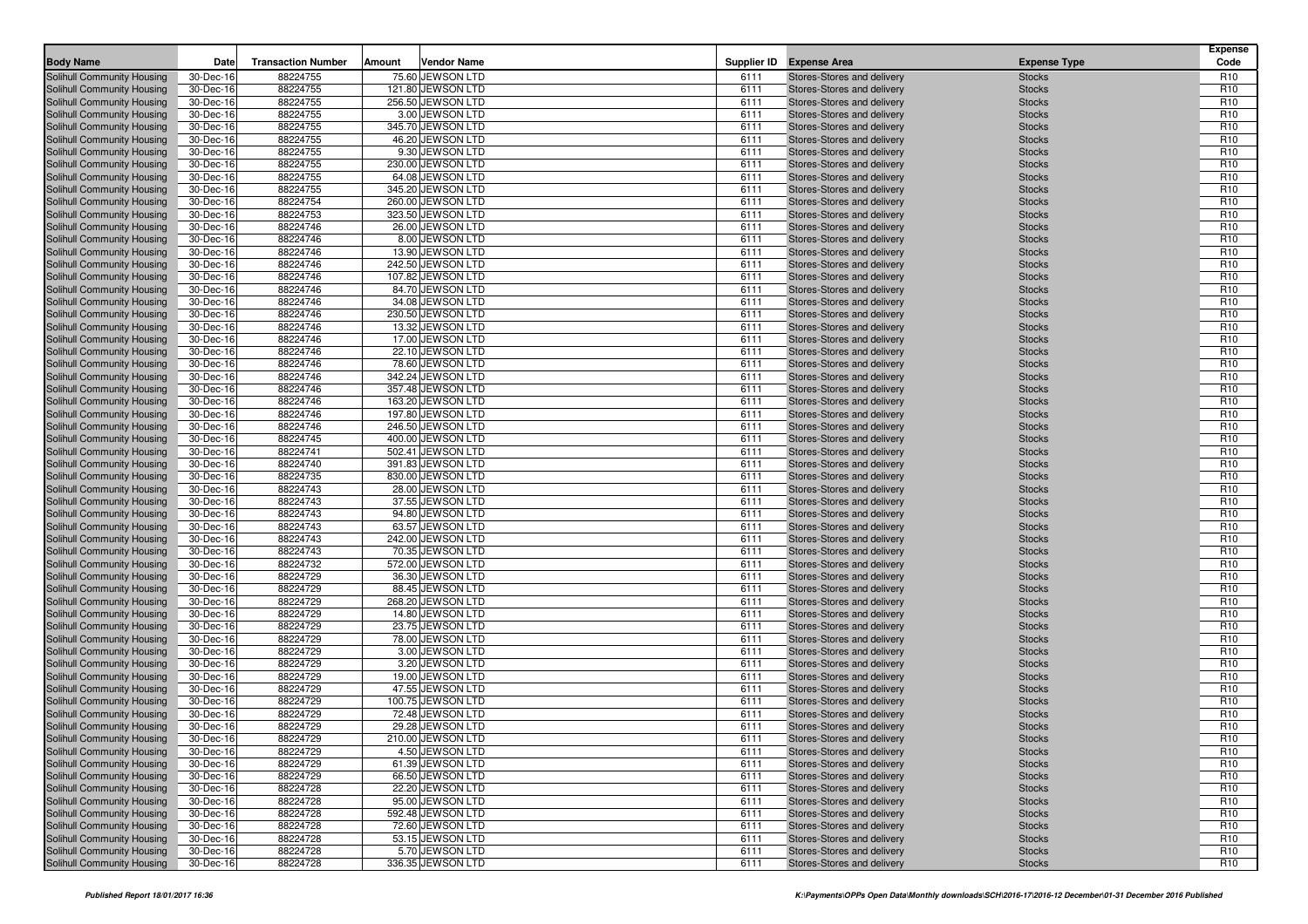| <b>Body Name</b>                                         | Date                   | <b>Transaction Number</b> | Amount | <b>Vendor Name</b>                    |              | Supplier ID Expense Area                                 | <b>Expense Type</b>            | <b>Expense</b><br>Code             |
|----------------------------------------------------------|------------------------|---------------------------|--------|---------------------------------------|--------------|----------------------------------------------------------|--------------------------------|------------------------------------|
| <b>Solihull Community Housing</b>                        | 30-Dec-16              | 88224755                  |        | 75.60 JEWSON LTD                      | 6111         | Stores-Stores and delivery                               | <b>Stocks</b>                  | R <sub>10</sub>                    |
| Solihull Community Housing                               | 30-Dec-16              | 88224755                  |        | 121.80 JEWSON LTD                     | 6111         | Stores-Stores and delivery                               | <b>Stocks</b>                  | R <sub>10</sub>                    |
| Solihull Community Housing                               | 30-Dec-16              | 88224755                  |        | 256.50 JEWSON LTD                     | 6111         | Stores-Stores and delivery                               | <b>Stocks</b>                  | R <sub>10</sub>                    |
| Solihull Community Housing                               | 30-Dec-16              | 88224755                  |        | 3.00 JEWSON LTD                       | 6111         | Stores-Stores and delivery                               | <b>Stocks</b>                  | R <sub>10</sub>                    |
| Solihull Community Housing                               | 30-Dec-16              | 88224755                  |        | 345.70 JEWSON LTD                     | 6111         | Stores-Stores and delivery                               | <b>Stocks</b>                  | R <sub>10</sub>                    |
| Solihull Community Housing                               | 30-Dec-16              | 88224755                  |        | 46.20 JEWSON LTD                      | 6111         | Stores-Stores and delivery                               | <b>Stocks</b>                  | R <sub>10</sub>                    |
| Solihull Community Housing                               | 30-Dec-16              | 88224755                  |        | 9.30 JEWSON LTD                       | 6111         | Stores-Stores and delivery                               | <b>Stocks</b>                  | R <sub>10</sub>                    |
| Solihull Community Housing                               | 30-Dec-16              | 88224755                  |        | 230.00 JEWSON LTD                     | 6111         | Stores-Stores and delivery                               | <b>Stocks</b>                  | R <sub>10</sub>                    |
| Solihull Community Housing                               | 30-Dec-16              | 88224755                  |        | 64.08 JEWSON LTD                      | 6111         | Stores-Stores and delivery                               | <b>Stocks</b>                  | R <sub>10</sub>                    |
| <b>Solihull Community Housing</b>                        | 30-Dec-16              | 88224755                  |        | 345.20 JEWSON LTD                     | 6111         | Stores-Stores and delivery                               | <b>Stocks</b>                  | R <sub>10</sub>                    |
| Solihull Community Housing                               | 30-Dec-16              | 88224754                  |        | 260.00 JEWSON LTD                     | 6111         | Stores-Stores and delivery                               | <b>Stocks</b>                  | R <sub>10</sub>                    |
| Solihull Community Housing                               | 30-Dec-16              | 88224753                  |        | 323.50 JEWSON LTD                     | 6111         | Stores-Stores and delivery                               | <b>Stocks</b>                  | R <sub>10</sub>                    |
| <b>Solihull Community Housing</b>                        | 30-Dec-16              | 88224746                  |        | 26.00 JEWSON LTD                      | 6111         | Stores-Stores and delivery                               | <b>Stocks</b>                  | R <sub>10</sub>                    |
| Solihull Community Housing                               | 30-Dec-16              | 88224746                  |        | 8.00 JEWSON LTD                       | 6111         | Stores-Stores and delivery                               | <b>Stocks</b>                  | R <sub>10</sub>                    |
| Solihull Community Housing                               | 30-Dec-16              | 88224746                  |        | 13.90 JEWSON LTD                      | 6111         | Stores-Stores and delivery                               | <b>Stocks</b>                  | R <sub>10</sub>                    |
| Solihull Community Housing                               | 30-Dec-16              | 88224746                  |        | 242.50 JEWSON LTD                     | 6111         | Stores-Stores and delivery                               | <b>Stocks</b>                  | R <sub>10</sub>                    |
| Solihull Community Housing                               | 30-Dec-16              | 88224746                  |        | 107.82 JEWSON LTD                     | 6111         | Stores-Stores and delivery                               | <b>Stocks</b>                  | R <sub>10</sub>                    |
| Solihull Community Housing                               | 30-Dec-16              | 88224746                  |        | 84.70 JEWSON LTD                      | 6111         | Stores-Stores and delivery                               | <b>Stocks</b>                  | R <sub>10</sub>                    |
| Solihull Community Housing                               | 30-Dec-16              | 88224746                  |        | 34.08 JEWSON LTD                      | 6111         | Stores-Stores and delivery                               | <b>Stocks</b>                  | R <sub>10</sub>                    |
| Solihull Community Housing                               | 30-Dec-16              | 88224746                  |        | 230.50 JEWSON LTD                     | 6111         | Stores-Stores and delivery                               | <b>Stocks</b>                  | R <sub>10</sub>                    |
| Solihull Community Housing                               | 30-Dec-16              | 88224746                  |        | 13.32 JEWSON LTD                      | 6111         | Stores-Stores and delivery                               | <b>Stocks</b>                  | R <sub>10</sub>                    |
| Solihull Community Housing                               | 30-Dec-16              | 88224746                  |        | 17.00 JEWSON LTD                      | 6111         | Stores-Stores and delivery                               | <b>Stocks</b>                  | R <sub>10</sub>                    |
| Solihull Community Housing                               | 30-Dec-16              | 88224746                  |        | 22.10 JEWSON LTD                      | 6111         | Stores-Stores and delivery                               | <b>Stocks</b>                  | R <sub>10</sub>                    |
| Solihull Community Housing                               | 30-Dec-16              | 88224746                  |        | 78.60 JEWSON LTD                      | 6111         | Stores-Stores and delivery                               | <b>Stocks</b>                  | R <sub>10</sub>                    |
| Solihull Community Housing                               | 30-Dec-16              | 88224746                  |        | 342.24 JEWSON LTD                     | 6111         | Stores-Stores and delivery                               | <b>Stocks</b>                  | R <sub>10</sub>                    |
| Solihull Community Housing                               | 30-Dec-16              | 88224746                  |        | 357.48 JEWSON LTD                     | 6111         | Stores-Stores and delivery                               | <b>Stocks</b>                  | R <sub>10</sub>                    |
| Solihull Community Housing                               | 30-Dec-16              | 88224746                  |        | 163.20 JEWSON LTD                     | 6111         | Stores-Stores and delivery                               | <b>Stocks</b>                  | R <sub>10</sub>                    |
| Solihull Community Housing                               | 30-Dec-16              | 88224746                  |        | 197.80 JEWSON LTD                     | 6111         | Stores-Stores and delivery                               | <b>Stocks</b>                  | R <sub>10</sub>                    |
| Solihull Community Housing                               | 30-Dec-16              | 88224746                  |        | 246.50 JEWSON LTD                     | 6111         | Stores-Stores and delivery                               | <b>Stocks</b>                  | R <sub>10</sub>                    |
| Solihull Community Housing                               | 30-Dec-16              | 88224745                  |        | 400.00 JEWSON LTD                     | 6111         | Stores-Stores and delivery                               | <b>Stocks</b>                  | R <sub>10</sub>                    |
| Solihull Community Housing                               | 30-Dec-16              | 88224741                  |        | 502.41 JEWSON LTD                     | 6111         | Stores-Stores and delivery                               | <b>Stocks</b>                  | R <sub>10</sub>                    |
| Solihull Community Housing                               | 30-Dec-16              | 88224740                  |        | 391.83 JEWSON LTD                     | 6111         | Stores-Stores and delivery                               | <b>Stocks</b>                  | R <sub>10</sub>                    |
| Solihull Community Housing                               | 30-Dec-16              | 88224735                  |        | 830.00 JEWSON LTD                     | 6111         | Stores-Stores and delivery                               | <b>Stocks</b>                  | R <sub>10</sub>                    |
| Solihull Community Housing                               | 30-Dec-16              | 88224743                  |        | 28.00 JEWSON LTD                      | 6111         | Stores-Stores and delivery                               | <b>Stocks</b>                  | R <sub>10</sub>                    |
| Solihull Community Housing                               | 30-Dec-16              | 88224743                  |        | 37.55 JEWSON LTD                      | 6111         | Stores-Stores and delivery                               | <b>Stocks</b>                  | R <sub>10</sub>                    |
| Solihull Community Housing                               | 30-Dec-16              | 88224743                  |        | 94.80 JEWSON LTD                      | 6111         | Stores-Stores and delivery                               | <b>Stocks</b>                  | R <sub>10</sub>                    |
| Solihull Community Housing                               | 30-Dec-16              | 88224743<br>88224743      |        | 63.57 JEWSON LTD<br>242.00 JEWSON LTD | 6111<br>6111 | Stores-Stores and delivery<br>Stores-Stores and delivery | <b>Stocks</b>                  | R <sub>10</sub><br>R <sub>10</sub> |
| Solihull Community Housing<br>Solihull Community Housing | 30-Dec-16<br>30-Dec-16 | 88224743                  |        | 70.35 JEWSON LTD                      | 6111         | Stores-Stores and delivery                               | <b>Stocks</b><br><b>Stocks</b> | R <sub>10</sub>                    |
| Solihull Community Housing                               | 30-Dec-16              | 88224732                  |        | 572.00 JEWSON LTD                     | 6111         | Stores-Stores and delivery                               | <b>Stocks</b>                  | R <sub>10</sub>                    |
| Solihull Community Housing                               | 30-Dec-16              | 88224729                  |        | 36.30 JEWSON LTD                      | 6111         | Stores-Stores and delivery                               | <b>Stocks</b>                  | R <sub>10</sub>                    |
| Solihull Community Housing                               | 30-Dec-16              | 88224729                  |        | 88.45 JEWSON LTD                      | 6111         | Stores-Stores and delivery                               | <b>Stocks</b>                  | R <sub>10</sub>                    |
| Solihull Community Housing                               | 30-Dec-16              | 88224729                  |        | 268.20 JEWSON LTD                     | 6111         | Stores-Stores and delivery                               | <b>Stocks</b>                  | R <sub>10</sub>                    |
| Solihull Community Housing                               | 30-Dec-16              | 88224729                  |        | 14.80 JEWSON LTD                      | 6111         | Stores-Stores and delivery                               | <b>Stocks</b>                  | R <sub>10</sub>                    |
| Solihull Community Housing                               | 30-Dec-16              | 88224729                  |        | 23.75 JEWSON LTD                      | 6111         | Stores-Stores and delivery                               | <b>Stocks</b>                  | R <sub>10</sub>                    |
| Solihull Community Housing                               | 30-Dec-16              | 88224729                  |        | 78.00 JEWSON LTD                      | 6111         | Stores-Stores and delivery                               | <b>Stocks</b>                  | R <sub>10</sub>                    |
| Solihull Community Housing                               | 30-Dec-16              | 88224729                  |        | 3.00 JEWSON LTD                       | 6111         | Stores-Stores and delivery                               | <b>Stocks</b>                  | R <sub>10</sub>                    |
| Solihull Community Housing                               | 30-Dec-16              | 88224729                  |        | 3.20 JEWSON LTD                       | 6111         | Stores-Stores and delivery                               | <b>Stocks</b>                  | R <sub>10</sub>                    |
| Solihull Community Housing                               | 30-Dec-16              | 88224729                  |        | 19.00 JEWSON LTD                      | 6111         | Stores-Stores and delivery                               | <b>Stocks</b>                  | R <sub>10</sub>                    |
| Solihull Community Housing                               | 30-Dec-16              | 88224729                  |        | 47.55 JEWSON LTD                      | 6111         | Stores-Stores and delivery                               | <b>Stocks</b>                  | R <sub>10</sub>                    |
| Solihull Community Housing                               | 30-Dec-16              | 88224729                  |        | 100.75 JEWSON LTD                     | 6111         | Stores-Stores and delivery                               | <b>Stocks</b>                  | R <sub>10</sub>                    |
| Solihull Community Housing                               | 30-Dec-16              | 88224729                  |        | 72.48 JEWSON LTD                      | 6111         | Stores-Stores and delivery                               | <b>Stocks</b>                  | R <sub>10</sub>                    |
| Solihull Community Housing                               | 30-Dec-16              | 88224729                  |        | 29.28 JEWSON LTD                      | 6111         | Stores-Stores and delivery                               | <b>Stocks</b>                  | R <sub>10</sub>                    |
| Solihull Community Housing                               | 30-Dec-16              | 88224729                  |        | 210.00 JEWSON LTD                     | 6111         | Stores-Stores and delivery                               | <b>Stocks</b>                  | R <sub>10</sub>                    |
| Solihull Community Housing                               | 30-Dec-16              | 88224729                  |        | 4.50 JEWSON LTD                       | 6111         | Stores-Stores and delivery                               | <b>Stocks</b>                  | R <sub>10</sub>                    |
| Solihull Community Housing                               | 30-Dec-16              | 88224729                  |        | 61.39 JEWSON LTD                      | 6111         | Stores-Stores and delivery                               | <b>Stocks</b>                  | R <sub>10</sub>                    |
| Solihull Community Housing                               | 30-Dec-16              | 88224729                  |        | 66.50 JEWSON LTD                      | 6111         | Stores-Stores and delivery                               | <b>Stocks</b>                  | R <sub>10</sub>                    |
| Solihull Community Housing                               | 30-Dec-16              | 88224728                  |        | 22.20 JEWSON LTD                      | 6111         | Stores-Stores and delivery                               | <b>Stocks</b>                  | R <sub>10</sub>                    |
| Solihull Community Housing                               | 30-Dec-16              | 88224728                  |        | 95.00 JEWSON LTD                      | 6111         | Stores-Stores and delivery                               | <b>Stocks</b>                  | R <sub>10</sub>                    |
| Solihull Community Housing                               | 30-Dec-16              | 88224728                  |        | 592.48 JEWSON LTD                     | 6111         | Stores-Stores and delivery                               | <b>Stocks</b>                  | R <sub>10</sub>                    |
| Solihull Community Housing                               | 30-Dec-16              | 88224728                  |        | 72.60 JEWSON LTD                      | 6111         | Stores-Stores and delivery                               | <b>Stocks</b>                  | R <sub>10</sub>                    |
| Solihull Community Housing                               | 30-Dec-16              | 88224728                  |        | 53.15 JEWSON LTD                      | 6111         | Stores-Stores and delivery                               | <b>Stocks</b>                  | R <sub>10</sub>                    |
| Solihull Community Housing                               | 30-Dec-16              | 88224728                  |        | 5.70 JEWSON LTD                       | 6111         | Stores-Stores and delivery                               | <b>Stocks</b>                  | R <sub>10</sub>                    |
| Solihull Community Housing                               | 30-Dec-16              | 88224728                  |        | 336.35 JEWSON LTD                     | 6111         | Stores-Stores and delivery                               | <b>Stocks</b>                  | R <sub>10</sub>                    |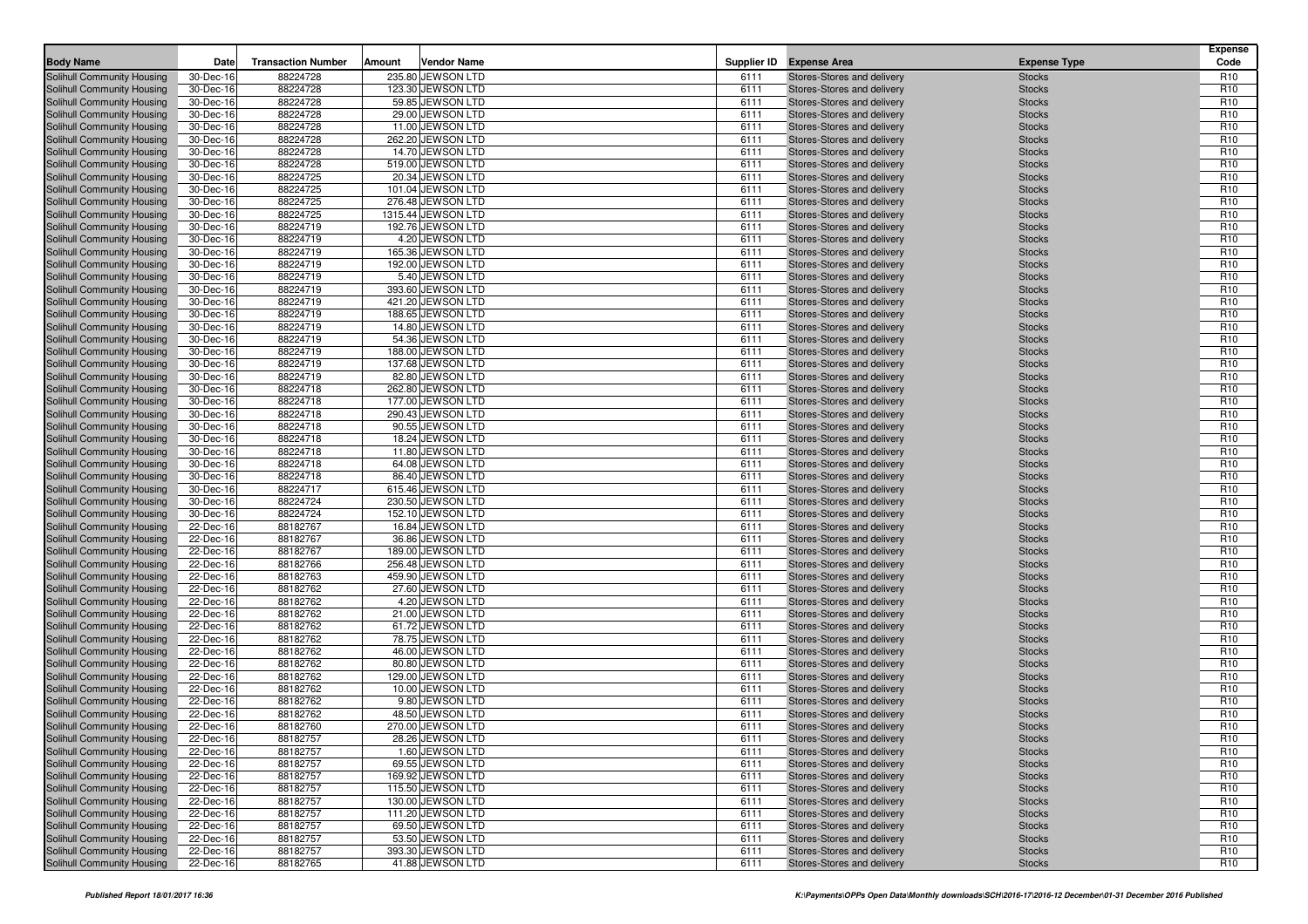| <b>Body Name</b>                                         | Date                   | <b>Transaction Number</b> | Amount | <b>Vendor Name</b>                   |              | Supplier ID Expense Area                                 | <b>Expense Type</b>            | <b>Expense</b><br>Code             |
|----------------------------------------------------------|------------------------|---------------------------|--------|--------------------------------------|--------------|----------------------------------------------------------|--------------------------------|------------------------------------|
| <b>Solihull Community Housing</b>                        | 30-Dec-16              | 88224728                  |        | 235.80 JEWSON LTD                    | 6111         | Stores-Stores and delivery                               | <b>Stocks</b>                  | R <sub>10</sub>                    |
| Solihull Community Housing                               | 30-Dec-16              | 88224728                  |        | 123.30 JEWSON LTD                    | 6111         | Stores-Stores and delivery                               | <b>Stocks</b>                  | R <sub>10</sub>                    |
| Solihull Community Housing                               | 30-Dec-16              | 88224728                  |        | 59.85 JEWSON LTD                     | 6111         | Stores-Stores and delivery                               | <b>Stocks</b>                  | R <sub>10</sub>                    |
| Solihull Community Housing                               | 30-Dec-16              | 88224728                  |        | 29.00 JEWSON LTD                     | 6111         | Stores-Stores and delivery                               | <b>Stocks</b>                  | R <sub>10</sub>                    |
| Solihull Community Housing                               | 30-Dec-16              | 88224728                  |        | 11.00 JEWSON LTD                     | 6111         | Stores-Stores and delivery                               | <b>Stocks</b>                  | R <sub>10</sub>                    |
| Solihull Community Housing                               | 30-Dec-16              | 88224728                  |        | 262.20 JEWSON LTD                    | 6111         | Stores-Stores and delivery                               | <b>Stocks</b>                  | R <sub>10</sub>                    |
| Solihull Community Housing                               | 30-Dec-16              | 88224728                  |        | 14.70 JEWSON LTD                     | 6111         | Stores-Stores and delivery                               | <b>Stocks</b>                  | R <sub>10</sub>                    |
| Solihull Community Housing                               | 30-Dec-16              | 88224728                  |        | 519.00 JEWSON LTD                    | 6111         | Stores-Stores and delivery                               | <b>Stocks</b>                  | R <sub>10</sub>                    |
| Solihull Community Housing                               | 30-Dec-16              | 88224725                  |        | 20.34 JEWSON LTD                     | 6111         | Stores-Stores and delivery                               | <b>Stocks</b>                  | R <sub>10</sub>                    |
| <b>Solihull Community Housing</b>                        | 30-Dec-16              | 88224725                  |        | 101.04 JEWSON LTD                    | 6111         | Stores-Stores and delivery                               | <b>Stocks</b>                  | R <sub>10</sub>                    |
| Solihull Community Housing                               | 30-Dec-16              | 88224725                  |        | 276.48 JEWSON LTD                    | 6111         | Stores-Stores and delivery                               | <b>Stocks</b>                  | R <sub>10</sub>                    |
| Solihull Community Housing                               | 30-Dec-16              | 88224725                  |        | 1315.44 JEWSON LTD                   | 6111         | Stores-Stores and delivery                               | <b>Stocks</b>                  | R <sub>10</sub>                    |
| <b>Solihull Community Housing</b>                        | 30-Dec-16              | 88224719                  |        | 192.76 JEWSON LTD                    | 6111         | Stores-Stores and delivery                               | <b>Stocks</b>                  | R <sub>10</sub>                    |
| Solihull Community Housing                               | 30-Dec-16              | 88224719                  |        | 4.20 JEWSON LTD                      | 6111         | Stores-Stores and delivery                               | <b>Stocks</b>                  | R <sub>10</sub>                    |
| Solihull Community Housing                               | 30-Dec-16              | 88224719                  |        | 165.36 JEWSON LTD                    | 6111         | Stores-Stores and delivery                               | <b>Stocks</b>                  | R <sub>10</sub>                    |
| Solihull Community Housing                               | 30-Dec-16              | 88224719                  |        | 192.00 JEWSON LTD                    | 6111         | Stores-Stores and delivery                               | <b>Stocks</b>                  | R <sub>10</sub>                    |
| Solihull Community Housing                               | 30-Dec-16              | 88224719                  |        | 5.40 JEWSON LTD                      | 6111         | Stores-Stores and delivery                               | <b>Stocks</b>                  | R <sub>10</sub>                    |
| Solihull Community Housing                               | 30-Dec-16              | 88224719                  |        | 393.60 JEWSON LTD                    | 6111         | Stores-Stores and delivery                               | <b>Stocks</b>                  | R <sub>10</sub>                    |
| Solihull Community Housing                               | 30-Dec-16              | 88224719                  |        | 421.20 JEWSON LTD                    | 6111         | Stores-Stores and delivery                               | <b>Stocks</b>                  | R <sub>10</sub>                    |
| Solihull Community Housing                               | 30-Dec-16              | 88224719                  |        | 188.65 JEWSON LTD                    | 6111         | Stores-Stores and delivery                               | <b>Stocks</b>                  | R <sub>10</sub>                    |
| Solihull Community Housing                               | 30-Dec-16              | 88224719                  |        | 14.80 JEWSON LTD                     | 6111         | Stores-Stores and delivery                               | <b>Stocks</b>                  | R <sub>10</sub>                    |
| Solihull Community Housing                               | 30-Dec-16              | 88224719                  |        | 54.36 JEWSON LTD                     | 6111         | Stores-Stores and delivery                               | <b>Stocks</b>                  | R <sub>10</sub>                    |
| Solihull Community Housing                               | 30-Dec-16              | 88224719                  |        | 188.00 JEWSON LTD                    | 6111         | Stores-Stores and delivery                               | <b>Stocks</b>                  | R <sub>10</sub>                    |
| Solihull Community Housing                               | 30-Dec-16              | 88224719                  |        | 137.68 JEWSON LTD                    | 6111         | Stores-Stores and delivery                               | <b>Stocks</b>                  | R <sub>10</sub>                    |
| Solihull Community Housing                               | 30-Dec-16              | 88224719                  |        | 82.80 JEWSON LTD                     | 6111         | Stores-Stores and delivery                               | <b>Stocks</b>                  | R <sub>10</sub>                    |
| Solihull Community Housing                               | 30-Dec-16              | 88224718                  |        | 262.80 JEWSON LTD                    | 6111         | Stores-Stores and delivery                               | <b>Stocks</b>                  | R <sub>10</sub>                    |
| Solihull Community Housing                               | 30-Dec-16              | 88224718                  |        | 177.00 JEWSON LTD                    | 6111         | Stores-Stores and delivery                               | <b>Stocks</b>                  | R <sub>10</sub>                    |
| Solihull Community Housing                               | 30-Dec-16              | 88224718                  |        | 290.43 JEWSON LTD                    | 6111         | Stores-Stores and delivery                               | <b>Stocks</b>                  | R <sub>10</sub>                    |
| Solihull Community Housing                               | 30-Dec-16              | 88224718                  |        | 90.55 JEWSON LTD                     | 6111         | Stores-Stores and delivery                               | <b>Stocks</b>                  | R <sub>10</sub>                    |
| Solihull Community Housing                               | 30-Dec-16              | 88224718                  |        | 18.24 JEWSON LTD                     | 6111         | Stores-Stores and delivery                               | <b>Stocks</b>                  | R <sub>10</sub>                    |
| Solihull Community Housing                               | 30-Dec-16              | 88224718                  |        | 11.80 JEWSON LTD                     | 6111         | Stores-Stores and delivery                               | <b>Stocks</b>                  | R <sub>10</sub>                    |
| Solihull Community Housing                               | 30-Dec-16              | 88224718                  |        | 64.08 JEWSON LTD                     | 6111         | Stores-Stores and delivery                               | <b>Stocks</b>                  | R <sub>10</sub>                    |
| Solihull Community Housing                               | 30-Dec-16              | 88224718                  |        | 86.40 JEWSON LTD                     | 6111         | Stores-Stores and delivery                               | <b>Stocks</b>                  | R <sub>10</sub>                    |
| Solihull Community Housing                               | 30-Dec-16              | 88224717                  |        | 615.46 JEWSON LTD                    | 6111         | Stores-Stores and delivery                               | <b>Stocks</b>                  | R <sub>10</sub>                    |
| Solihull Community Housing                               | 30-Dec-16              | 88224724                  |        | 230.50 JEWSON LTD                    | 6111         | Stores-Stores and delivery                               | <b>Stocks</b>                  | R <sub>10</sub>                    |
| Solihull Community Housing                               | 30-Dec-16              | 88224724                  |        | 152.10 JEWSON LTD                    | 6111         | Stores-Stores and delivery                               | <b>Stocks</b>                  | R <sub>10</sub>                    |
| Solihull Community Housing<br>Solihull Community Housing | 22-Dec-16<br>22-Dec-16 | 88182767<br>88182767      |        | 16.84 JEWSON LTD<br>36.86 JEWSON LTD | 6111<br>6111 | Stores-Stores and delivery<br>Stores-Stores and delivery | <b>Stocks</b><br><b>Stocks</b> | R <sub>10</sub><br>R <sub>10</sub> |
| Solihull Community Housing                               | 22-Dec-16              | 88182767                  |        | 189.00 JEWSON LTD                    | 6111         | Stores-Stores and delivery                               | <b>Stocks</b>                  | R <sub>10</sub>                    |
| Solihull Community Housing                               | 22-Dec-16              | 88182766                  |        | 256.48 JEWSON LTD                    | 6111         | Stores-Stores and delivery                               | <b>Stocks</b>                  | R <sub>10</sub>                    |
| Solihull Community Housing                               | 22-Dec-16              | 88182763                  |        | 459.90 JEWSON LTD                    | 6111         | Stores-Stores and delivery                               | <b>Stocks</b>                  | R <sub>10</sub>                    |
| Solihull Community Housing                               | 22-Dec-16              | 88182762                  |        | 27.60 JEWSON LTD                     | 6111         | Stores-Stores and delivery                               | <b>Stocks</b>                  | R <sub>10</sub>                    |
| Solihull Community Housing                               | 22-Dec-16              | 88182762                  |        | 4.20 JEWSON LTD                      | 6111         | Stores-Stores and delivery                               | <b>Stocks</b>                  | R <sub>10</sub>                    |
| Solihull Community Housing                               | 22-Dec-16              | 88182762                  |        | 21.00 JEWSON LTD                     | 6111         | Stores-Stores and delivery                               | <b>Stocks</b>                  | R <sub>10</sub>                    |
| Solihull Community Housing                               | 22-Dec-16              | 88182762                  |        | 61.72 JEWSON LTD                     | 6111         | Stores-Stores and delivery                               | <b>Stocks</b>                  | R <sub>10</sub>                    |
| Solihull Community Housing                               | 22-Dec-16              | 88182762                  |        | 78.75 JEWSON LTD                     | 6111         | Stores-Stores and delivery                               | <b>Stocks</b>                  | R <sub>10</sub>                    |
| Solihull Community Housing                               | 22-Dec-16              | 88182762                  |        | 46.00 JEWSON LTD                     | 6111         | Stores-Stores and delivery                               | <b>Stocks</b>                  | R <sub>10</sub>                    |
| Solihull Community Housing                               | 22-Dec-16              | 88182762                  |        | 80.80 JEWSON LTD                     | 6111         | Stores-Stores and delivery                               | <b>Stocks</b>                  | R <sub>10</sub>                    |
| Solihull Community Housing                               | 22-Dec-16              | 88182762                  |        | 129.00 JEWSON LTD                    | 6111         | Stores-Stores and delivery                               | <b>Stocks</b>                  | R <sub>10</sub>                    |
| Solihull Community Housing                               | 22-Dec-16              | 88182762                  |        | 10.00 JEWSON LTD                     | 6111         | Stores-Stores and delivery                               | <b>Stocks</b>                  | R <sub>10</sub>                    |
| Solihull Community Housing                               | 22-Dec-16              | 88182762                  |        | 9.80 JEWSON LTD                      | 6111         | Stores-Stores and delivery                               | <b>Stocks</b>                  | R <sub>10</sub>                    |
| Solihull Community Housing                               | 22-Dec-16              | 88182762                  |        | 48.50 JEWSON LTD                     | 6111         | Stores-Stores and delivery                               | <b>Stocks</b>                  | R <sub>10</sub>                    |
| Solihull Community Housing                               | 22-Dec-16              | 88182760                  |        | 270.00 JEWSON LTD                    | 6111         | Stores-Stores and delivery                               | <b>Stocks</b>                  | R <sub>10</sub>                    |
| Solihull Community Housing                               | 22-Dec-16              | 88182757                  |        | 28.26 JEWSON LTD                     | 6111         | Stores-Stores and delivery                               | <b>Stocks</b>                  | R <sub>10</sub>                    |
| Solihull Community Housing                               | 22-Dec-16              | 88182757                  |        | 1.60 JEWSON LTD                      | 6111         | Stores-Stores and delivery                               | <b>Stocks</b>                  | R <sub>10</sub>                    |
| Solihull Community Housing                               | 22-Dec-16              | 88182757                  |        | 69.55 JEWSON LTD                     | 6111         | Stores-Stores and delivery                               | <b>Stocks</b>                  | R <sub>10</sub>                    |
| Solihull Community Housing                               | 22-Dec-16              | 88182757                  |        | 169.92 JEWSON LTD                    | 6111         | Stores-Stores and delivery                               | <b>Stocks</b>                  | R <sub>10</sub>                    |
| Solihull Community Housing                               | 22-Dec-16              | 88182757                  |        | 115.50 JEWSON LTD                    | 6111         | Stores-Stores and delivery                               | <b>Stocks</b>                  | R <sub>10</sub>                    |
| Solihull Community Housing                               | 22-Dec-16              | 88182757                  |        | 130.00 JEWSON LTD                    | 6111         | Stores-Stores and delivery                               | <b>Stocks</b>                  | R <sub>10</sub>                    |
| Solihull Community Housing                               | 22-Dec-16              | 88182757                  |        | 111.20 JEWSON LTD                    | 6111         | Stores-Stores and delivery                               | <b>Stocks</b>                  | R <sub>10</sub>                    |
| Solihull Community Housing                               | 22-Dec-16              | 88182757                  |        | 69.50 JEWSON LTD                     | 6111         | Stores-Stores and delivery                               | <b>Stocks</b>                  | R <sub>10</sub>                    |
| Solihull Community Housing                               | 22-Dec-16              | 88182757                  |        | 53.50 JEWSON LTD                     | 6111         | Stores-Stores and delivery                               | <b>Stocks</b>                  | R <sub>10</sub>                    |
| Solihull Community Housing                               | 22-Dec-16              | 88182757                  |        | 393.30 JEWSON LTD                    | 6111         | Stores-Stores and delivery                               | <b>Stocks</b>                  | R <sub>10</sub>                    |
| Solihull Community Housing                               | 22-Dec-16              | 88182765                  |        | 41.88 JEWSON LTD                     | 6111         | Stores-Stores and delivery                               | <b>Stocks</b>                  | R <sub>10</sub>                    |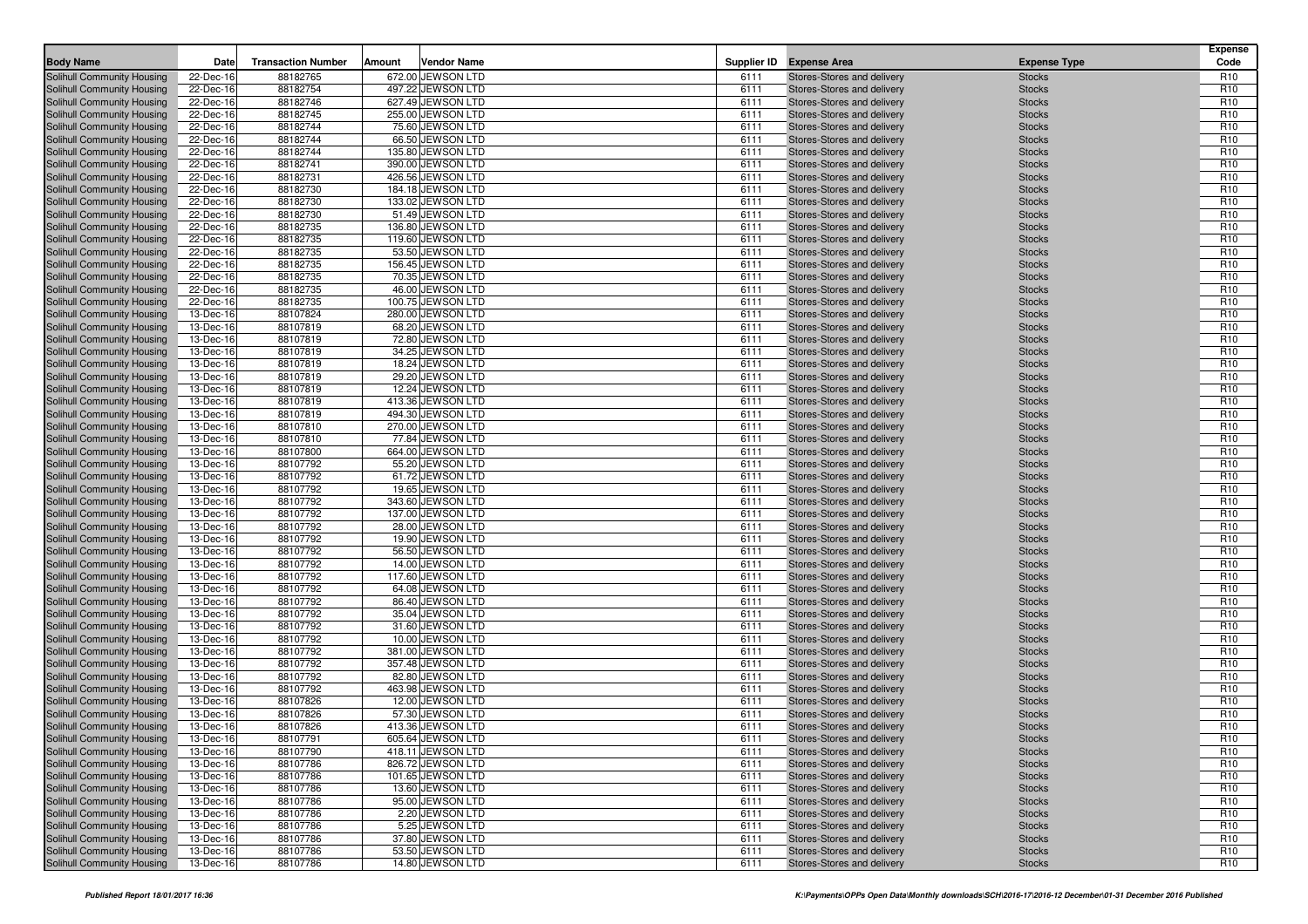| <b>Body Name</b>                                         | Date                   | <b>Transaction Number</b> | Amount | <b>Vendor Name</b>                   |              | Supplier ID Expense Area                                 | <b>Expense Type</b>            | <b>Expense</b><br>Code             |
|----------------------------------------------------------|------------------------|---------------------------|--------|--------------------------------------|--------------|----------------------------------------------------------|--------------------------------|------------------------------------|
| <b>Solihull Community Housing</b>                        | 22-Dec-16              | 88182765                  |        | 672.00 JEWSON LTD                    | 6111         | Stores-Stores and delivery                               | <b>Stocks</b>                  | R <sub>10</sub>                    |
| Solihull Community Housing                               | 22-Dec-16              | 88182754                  |        | 497.22 JEWSON LTD                    | 6111         | Stores-Stores and delivery                               | <b>Stocks</b>                  | R <sub>10</sub>                    |
| Solihull Community Housing                               | 22-Dec-16              | 88182746                  |        | 627.49 JEWSON LTD                    | 6111         | Stores-Stores and delivery                               | <b>Stocks</b>                  | R <sub>10</sub>                    |
| Solihull Community Housing                               | 22-Dec-16              | 88182745                  |        | 255.00 JEWSON LTD                    | 6111         | Stores-Stores and delivery                               | <b>Stocks</b>                  | R <sub>10</sub>                    |
| Solihull Community Housing                               | 22-Dec-16              | 88182744                  |        | 75.60 JEWSON LTD                     | 6111         | Stores-Stores and delivery                               | <b>Stocks</b>                  | R <sub>10</sub>                    |
| Solihull Community Housing                               | 22-Dec-16              | 88182744                  |        | 66.50 JEWSON LTD                     | 6111         | Stores-Stores and delivery                               | <b>Stocks</b>                  | R <sub>10</sub>                    |
| Solihull Community Housing                               | 22-Dec-16              | 88182744                  |        | 135.80 JEWSON LTD                    | 6111         | Stores-Stores and delivery                               | <b>Stocks</b>                  | R <sub>10</sub>                    |
| Solihull Community Housing                               | 22-Dec-16              | 88182741                  |        | 390.00 JEWSON LTD                    | 6111         | Stores-Stores and delivery                               | <b>Stocks</b>                  | R <sub>10</sub>                    |
| Solihull Community Housing                               | 22-Dec-16              | 88182731                  |        | 426.56 JEWSON LTD                    | 6111         | Stores-Stores and delivery                               | <b>Stocks</b>                  | R <sub>10</sub>                    |
| Solihull Community Housing                               | 22-Dec-16              | 88182730                  |        | 184.18 JEWSON LTD                    | 6111         | Stores-Stores and delivery                               | <b>Stocks</b>                  | R <sub>10</sub>                    |
| Solihull Community Housing                               | 22-Dec-16              | 88182730                  |        | 133.02 JEWSON LTD                    | 6111         | Stores-Stores and delivery                               | <b>Stocks</b>                  | R <sub>10</sub>                    |
| Solihull Community Housing                               | 22-Dec-16              | 88182730                  |        | 51.49 JEWSON LTD                     | 6111         | Stores-Stores and delivery                               | <b>Stocks</b>                  | R <sub>10</sub>                    |
| <b>Solihull Community Housing</b>                        | 22-Dec-16              | 88182735                  |        | 136.80 JEWSON LTD                    | 6111         | Stores-Stores and delivery                               | <b>Stocks</b>                  | R <sub>10</sub>                    |
| Solihull Community Housing                               | 22-Dec-16              | 88182735                  |        | 119.60 JEWSON LTD                    | 6111         | Stores-Stores and delivery                               | <b>Stocks</b>                  | R <sub>10</sub>                    |
| Solihull Community Housing                               | 22-Dec-16              | 88182735                  |        | 53.50 JEWSON LTD                     | 6111         | Stores-Stores and delivery                               | <b>Stocks</b>                  | R <sub>10</sub>                    |
| Solihull Community Housing                               | 22-Dec-16              | 88182735                  |        | 156.45 JEWSON LTD                    | 6111         | Stores-Stores and delivery                               | <b>Stocks</b>                  | R <sub>10</sub>                    |
| Solihull Community Housing                               | 22-Dec-16              | 88182735                  |        | 70.35 JEWSON LTD                     | 6111         | Stores-Stores and delivery                               | <b>Stocks</b>                  | R <sub>10</sub>                    |
| Solihull Community Housing                               | 22-Dec-16              | 88182735                  |        | 46.00 JEWSON LTD                     | 6111         | Stores-Stores and delivery                               | <b>Stocks</b>                  | R <sub>10</sub>                    |
| Solihull Community Housing                               | 22-Dec-16              | 88182735                  |        | 100.75 JEWSON LTD                    | 6111         | Stores-Stores and delivery                               | <b>Stocks</b>                  | R <sub>10</sub>                    |
| Solihull Community Housing                               | 13-Dec-16              | 88107824                  |        | 280.00 JEWSON LTD                    | 6111         | Stores-Stores and delivery                               | <b>Stocks</b>                  | R <sub>10</sub>                    |
| Solihull Community Housing                               | 13-Dec-16              | 88107819                  |        | 68.20 JEWSON LTD                     | 6111         | Stores-Stores and delivery                               | <b>Stocks</b>                  | R <sub>10</sub>                    |
| Solihull Community Housing                               | 13-Dec-16              | 88107819                  |        | 72.80 JEWSON LTD                     | 6111         | Stores-Stores and delivery                               | <b>Stocks</b>                  | R <sub>10</sub>                    |
| Solihull Community Housing                               | 13-Dec-16              | 88107819                  |        | 34.25 JEWSON LTD                     | 6111         | Stores-Stores and delivery                               | <b>Stocks</b>                  | R <sub>10</sub>                    |
| Solihull Community Housing                               | 13-Dec-16              | 88107819                  |        | 18.24 JEWSON LTD                     | 6111         | Stores-Stores and delivery                               | <b>Stocks</b>                  | R <sub>10</sub>                    |
| Solihull Community Housing                               | 13-Dec-16              | 88107819                  |        | 29.20 JEWSON LTD                     | 6111         | Stores-Stores and delivery                               | <b>Stocks</b>                  | R <sub>10</sub>                    |
| Solihull Community Housing                               | 13-Dec-16              | 88107819                  |        | 12.24 JEWSON LTD                     | 6111         | Stores-Stores and delivery                               | <b>Stocks</b>                  | R <sub>10</sub>                    |
| Solihull Community Housing                               | 13-Dec-16              | 88107819                  |        | 413.36 JEWSON LTD                    | 6111         | Stores-Stores and delivery                               | <b>Stocks</b>                  | R <sub>10</sub>                    |
| Solihull Community Housing                               | 13-Dec-16              | 88107819                  |        | 494.30 JEWSON LTD                    | 6111         | Stores-Stores and delivery                               | <b>Stocks</b>                  | R <sub>10</sub>                    |
| Solihull Community Housing                               | 13-Dec-16              | 88107810                  |        | 270.00 JEWSON LTD                    | 6111         | Stores-Stores and delivery                               | <b>Stocks</b>                  | R <sub>10</sub>                    |
| Solihull Community Housing                               | 13-Dec-16              | 88107810                  |        | 77.84 JEWSON LTD                     | 6111         | Stores-Stores and delivery                               | <b>Stocks</b>                  | R <sub>10</sub>                    |
| Solihull Community Housing                               | 13-Dec-16              | 88107800                  |        | 664.00 JEWSON LTD                    | 6111         | Stores-Stores and delivery                               | <b>Stocks</b>                  | R <sub>10</sub>                    |
| Solihull Community Housing                               | 13-Dec-16              | 88107792                  |        | 55.20 JEWSON LTD                     | 6111         | Stores-Stores and delivery                               | <b>Stocks</b>                  | R <sub>10</sub>                    |
| Solihull Community Housing                               | 13-Dec-16              | 88107792                  |        | 61.72 JEWSON LTD                     | 6111         | Stores-Stores and delivery                               | <b>Stocks</b>                  | R <sub>10</sub>                    |
| Solihull Community Housing                               | 13-Dec-16              | 88107792                  |        | 19.65 JEWSON LTD                     | 6111         | Stores-Stores and delivery                               | <b>Stocks</b>                  | R <sub>10</sub>                    |
| Solihull Community Housing                               | 13-Dec-16              | 88107792                  |        | 343.60 JEWSON LTD                    | 6111         | Stores-Stores and delivery                               | <b>Stocks</b>                  | R <sub>10</sub>                    |
| Solihull Community Housing                               | 13-Dec-16              | 88107792                  |        | 137.00 JEWSON LTD                    | 6111         | Stores-Stores and delivery                               | <b>Stocks</b>                  | R <sub>10</sub>                    |
| Solihull Community Housing                               | 13-Dec-16              | 88107792<br>88107792      |        | 28.00 JEWSON LTD<br>19.90 JEWSON LTD | 6111<br>6111 | Stores-Stores and delivery<br>Stores-Stores and delivery | <b>Stocks</b>                  | R <sub>10</sub><br>R <sub>10</sub> |
| Solihull Community Housing<br>Solihull Community Housing | 13-Dec-16<br>13-Dec-16 | 88107792                  |        | 56.50 JEWSON LTD                     | 6111         | Stores-Stores and delivery                               | <b>Stocks</b><br><b>Stocks</b> | R <sub>10</sub>                    |
| Solihull Community Housing                               | 13-Dec-16              | 88107792                  |        | 14.00 JEWSON LTD                     | 6111         | Stores-Stores and delivery                               | <b>Stocks</b>                  | R <sub>10</sub>                    |
| Solihull Community Housing                               | 13-Dec-16              | 88107792                  |        | 117.60 JEWSON LTD                    | 6111         | Stores-Stores and delivery                               | <b>Stocks</b>                  | R <sub>10</sub>                    |
| Solihull Community Housing                               | 13-Dec-16              | 88107792                  |        | 64.08 JEWSON LTD                     | 6111         | Stores-Stores and delivery                               | <b>Stocks</b>                  | R <sub>10</sub>                    |
| Solihull Community Housing                               | 13-Dec-16              | 88107792                  |        | 86.40 JEWSON LTD                     | 6111         | Stores-Stores and delivery                               | <b>Stocks</b>                  | R <sub>10</sub>                    |
| Solihull Community Housing                               | 13-Dec-16              | 88107792                  |        | 35.04 JEWSON LTD                     | 6111         | Stores-Stores and delivery                               | <b>Stocks</b>                  | R <sub>10</sub>                    |
| Solihull Community Housing                               | 13-Dec-16              | 88107792                  |        | 31.60 JEWSON LTD                     | 6111         | Stores-Stores and delivery                               | <b>Stocks</b>                  | R <sub>10</sub>                    |
| Solihull Community Housing                               | 13-Dec-16              | 88107792                  |        | 10.00 JEWSON LTD                     | 6111         | Stores-Stores and delivery                               | <b>Stocks</b>                  | R <sub>10</sub>                    |
| Solihull Community Housing                               | 13-Dec-16              | 88107792                  |        | 381.00 JEWSON LTD                    | 6111         | Stores-Stores and delivery                               | <b>Stocks</b>                  | R <sub>10</sub>                    |
| Solihull Community Housing                               | 13-Dec-16              | 88107792                  |        | 357.48 JEWSON LTD                    | 6111         | Stores-Stores and delivery                               | <b>Stocks</b>                  | R <sub>10</sub>                    |
| Solihull Community Housing                               | 13-Dec-16              | 88107792                  |        | 82.80 JEWSON LTD                     | 6111         | Stores-Stores and delivery                               | <b>Stocks</b>                  | R <sub>10</sub>                    |
| Solihull Community Housing                               | 13-Dec-16              | 88107792                  |        | 463.98 JEWSON LTD                    | 6111         | Stores-Stores and delivery                               | <b>Stocks</b>                  | R <sub>10</sub>                    |
| Solihull Community Housing                               | 13-Dec-16              | 88107826                  |        | 12.00 JEWSON LTD                     | 6111         | Stores-Stores and delivery                               | <b>Stocks</b>                  | R <sub>10</sub>                    |
| Solihull Community Housing                               | 13-Dec-16              | 88107826                  |        | 57.30 JEWSON LTD                     | 6111         | Stores-Stores and delivery                               | <b>Stocks</b>                  | R <sub>10</sub>                    |
| Solihull Community Housing                               | 13-Dec-16              | 88107826                  |        | 413.36 JEWSON LTD                    | 6111         | Stores-Stores and delivery                               | <b>Stocks</b>                  | R <sub>10</sub>                    |
| Solihull Community Housing                               | 13-Dec-16              | 88107791                  |        | 605.64 JEWSON LTD                    | 6111         | Stores-Stores and delivery                               | <b>Stocks</b>                  | R <sub>10</sub>                    |
| Solihull Community Housing                               | 13-Dec-16              | 88107790                  |        | 418.11 JEWSON LTD                    | 6111         | Stores-Stores and delivery                               | <b>Stocks</b>                  | R <sub>10</sub>                    |
| Solihull Community Housing                               | 13-Dec-16              | 88107786                  |        | 826.72 JEWSON LTD                    | 6111         | Stores-Stores and delivery                               | <b>Stocks</b>                  | R <sub>10</sub>                    |
| Solihull Community Housing                               | 13-Dec-16              | 88107786                  |        | 101.65 JEWSON LTD                    | 6111         | Stores-Stores and delivery                               | <b>Stocks</b>                  | R <sub>10</sub>                    |
| Solihull Community Housing                               | 13-Dec-16              | 88107786                  |        | 13.60 JEWSON LTD                     | 6111         | Stores-Stores and delivery                               | <b>Stocks</b>                  | R <sub>10</sub>                    |
| Solihull Community Housing                               | 13-Dec-16              | 88107786                  |        | 95.00 JEWSON LTD                     | 6111         | Stores-Stores and delivery                               | <b>Stocks</b>                  | R <sub>10</sub>                    |
| Solihull Community Housing                               | 13-Dec-16              | 88107786                  |        | 2.20 JEWSON LTD                      | 6111         | Stores-Stores and delivery                               | <b>Stocks</b>                  | R <sub>10</sub>                    |
| Solihull Community Housing                               | 13-Dec-16              | 88107786                  |        | 5.25 JEWSON LTD                      | 6111         | Stores-Stores and delivery                               | <b>Stocks</b>                  | R <sub>10</sub>                    |
| Solihull Community Housing                               | 13-Dec-16              | 88107786                  |        | 37.80 JEWSON LTD                     | 6111         | Stores-Stores and delivery                               | <b>Stocks</b>                  | R <sub>10</sub>                    |
| Solihull Community Housing                               | 13-Dec-16              | 88107786                  |        | 53.50 JEWSON LTD                     | 6111         | Stores-Stores and delivery                               | <b>Stocks</b>                  | R <sub>10</sub>                    |
| Solihull Community Housing                               | 13-Dec-16              | 88107786                  |        | 14.80 JEWSON LTD                     | 6111         | Stores-Stores and delivery                               | <b>Stocks</b>                  | R <sub>10</sub>                    |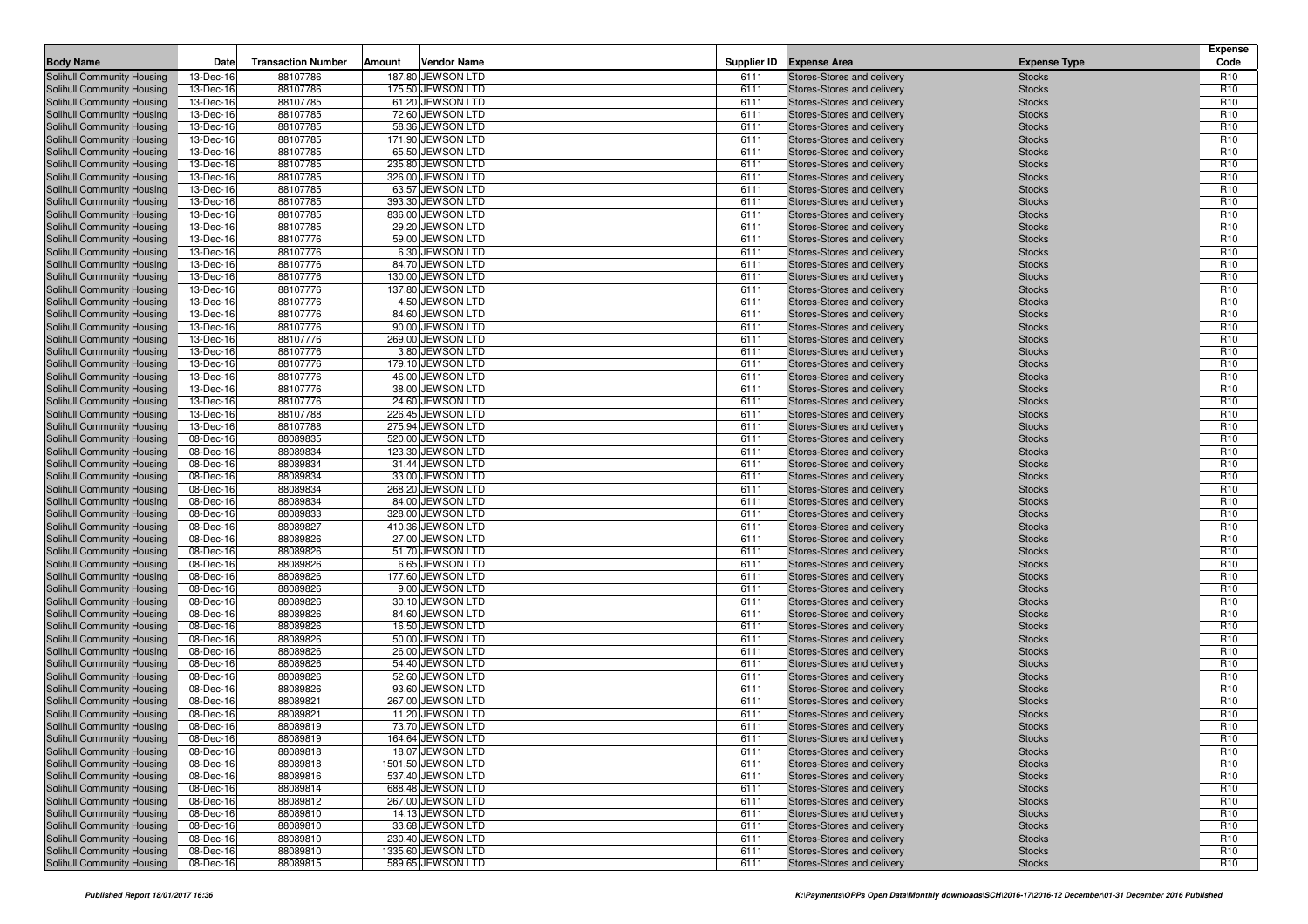| <b>Body Name</b>                                         | Date                   | <b>Transaction Number</b> | Amount | <b>Vendor Name</b>                   |              | Supplier ID Expense Area                                 | <b>Expense Type</b>            | <b>Expense</b><br>Code             |
|----------------------------------------------------------|------------------------|---------------------------|--------|--------------------------------------|--------------|----------------------------------------------------------|--------------------------------|------------------------------------|
| <b>Solihull Community Housing</b>                        | 13-Dec-16              | 88107786                  |        | 187.80 JEWSON LTD                    | 6111         | Stores-Stores and delivery                               | <b>Stocks</b>                  | R <sub>10</sub>                    |
| Solihull Community Housing                               | 13-Dec-16              | 88107786                  |        | 175.50 JEWSON LTD                    | 6111         | Stores-Stores and delivery                               | <b>Stocks</b>                  | R <sub>10</sub>                    |
| Solihull Community Housing                               | 13-Dec-16              | 88107785                  |        | 61.20 JEWSON LTD                     | 6111         | Stores-Stores and delivery                               | <b>Stocks</b>                  | R <sub>10</sub>                    |
| Solihull Community Housing                               | 13-Dec-16              | 88107785                  |        | 72.60 JEWSON LTD                     | 6111         | Stores-Stores and delivery                               | <b>Stocks</b>                  | R <sub>10</sub>                    |
| Solihull Community Housing                               | 13-Dec-16              | 88107785                  |        | 58.36 JEWSON LTD                     | 6111         | Stores-Stores and delivery                               | <b>Stocks</b>                  | R <sub>10</sub>                    |
| Solihull Community Housing                               | 13-Dec-16              | 88107785                  |        | 171.90 JEWSON LTD                    | 6111         | Stores-Stores and delivery                               | <b>Stocks</b>                  | R <sub>10</sub>                    |
| Solihull Community Housing                               | 13-Dec-16              | 88107785                  |        | 65.50 JEWSON LTD                     | 6111         | Stores-Stores and delivery                               | <b>Stocks</b>                  | R <sub>10</sub>                    |
| Solihull Community Housing                               | 13-Dec-16              | 88107785                  |        | 235.80 JEWSON LTD                    | 6111         | Stores-Stores and delivery                               | <b>Stocks</b>                  | R <sub>10</sub>                    |
| Solihull Community Housing                               | 13-Dec-16              | 88107785                  |        | 326.00 JEWSON LTD                    | 6111         | Stores-Stores and delivery                               | <b>Stocks</b>                  | R <sub>10</sub>                    |
| Solihull Community Housing                               | 13-Dec-16              | 88107785                  |        | 63.57 JEWSON LTD                     | 6111         | Stores-Stores and delivery                               | <b>Stocks</b>                  | R <sub>10</sub>                    |
| Solihull Community Housing                               | 13-Dec-16              | 88107785                  |        | 393.30 JEWSON LTD                    | 6111         | Stores-Stores and delivery                               | <b>Stocks</b>                  | R <sub>10</sub>                    |
| Solihull Community Housing                               | 13-Dec-16              | 88107785                  |        | 836.00 JEWSON LTD                    | 6111         | Stores-Stores and delivery                               | <b>Stocks</b>                  | R <sub>10</sub>                    |
| <b>Solihull Community Housing</b>                        | 13-Dec-16              | 88107785                  |        | 29.20 JEWSON LTD                     | 6111         | Stores-Stores and delivery                               | <b>Stocks</b>                  | R <sub>10</sub>                    |
| Solihull Community Housing                               | 13-Dec-16              | 88107776                  |        | 59.00 JEWSON LTD                     | 6111         | Stores-Stores and delivery                               | <b>Stocks</b>                  | R <sub>10</sub>                    |
| Solihull Community Housing                               | 13-Dec-16              | 88107776                  |        | 6.30 JEWSON LTD                      | 6111         | Stores-Stores and delivery                               | <b>Stocks</b>                  | R <sub>10</sub>                    |
| Solihull Community Housing                               | 13-Dec-16              | 88107776                  |        | 84.70 JEWSON LTD                     | 6111         | Stores-Stores and delivery                               | <b>Stocks</b>                  | R <sub>10</sub>                    |
| Solihull Community Housing                               | 13-Dec-16              | 88107776                  |        | 130.00 JEWSON LTD                    | 6111         | Stores-Stores and delivery                               | <b>Stocks</b>                  | R <sub>10</sub>                    |
| Solihull Community Housing                               | 13-Dec-16              | 88107776                  |        | 137.80 JEWSON LTD                    | 6111         | Stores-Stores and delivery                               | <b>Stocks</b>                  | R <sub>10</sub>                    |
| Solihull Community Housing                               | 13-Dec-16              | 88107776                  |        | 4.50 JEWSON LTD                      | 6111         | Stores-Stores and delivery                               | <b>Stocks</b>                  | R <sub>10</sub><br>R <sub>10</sub> |
| Solihull Community Housing<br>Solihull Community Housing | 13-Dec-16<br>13-Dec-16 | 88107776<br>88107776      |        | 84.60 JEWSON LTD<br>90.00 JEWSON LTD | 6111<br>6111 | Stores-Stores and delivery<br>Stores-Stores and delivery | <b>Stocks</b><br><b>Stocks</b> | R <sub>10</sub>                    |
|                                                          | 13-Dec-16              | 88107776                  |        | 269.00 JEWSON LTD                    | 6111         |                                                          |                                | R <sub>10</sub>                    |
| Solihull Community Housing<br>Solihull Community Housing | 13-Dec-16              | 88107776                  |        | 3.80 JEWSON LTD                      | 6111         | Stores-Stores and delivery<br>Stores-Stores and delivery | <b>Stocks</b><br><b>Stocks</b> | R <sub>10</sub>                    |
| Solihull Community Housing                               | 13-Dec-16              | 88107776                  |        | 179.10 JEWSON LTD                    | 6111         | Stores-Stores and delivery                               | <b>Stocks</b>                  | R <sub>10</sub>                    |
| Solihull Community Housing                               | 13-Dec-16              | 88107776                  |        | 46.00 JEWSON LTD                     | 6111         | Stores-Stores and delivery                               | <b>Stocks</b>                  | R <sub>10</sub>                    |
| Solihull Community Housing                               | 13-Dec-16              | 88107776                  |        | 38.00 JEWSON LTD                     | 6111         | Stores-Stores and delivery                               | <b>Stocks</b>                  | R <sub>10</sub>                    |
| Solihull Community Housing                               | 13-Dec-16              | 88107776                  |        | 24.60 JEWSON LTD                     | 6111         | Stores-Stores and delivery                               | <b>Stocks</b>                  | R <sub>10</sub>                    |
| Solihull Community Housing                               | 13-Dec-16              | 88107788                  |        | 226.45 JEWSON LTD                    | 6111         | Stores-Stores and delivery                               | <b>Stocks</b>                  | R <sub>10</sub>                    |
| Solihull Community Housing                               | 13-Dec-16              | 88107788                  |        | 275.94 JEWSON LTD                    | 6111         | Stores-Stores and delivery                               | <b>Stocks</b>                  | R <sub>10</sub>                    |
| Solihull Community Housing                               | 08-Dec-16              | 88089835                  |        | 520.00 JEWSON LTD                    | 6111         | Stores-Stores and delivery                               | <b>Stocks</b>                  | R <sub>10</sub>                    |
| Solihull Community Housing                               | 08-Dec-16              | 88089834                  |        | 123.30 JEWSON LTD                    | 6111         | Stores-Stores and delivery                               | <b>Stocks</b>                  | R <sub>10</sub>                    |
| Solihull Community Housing                               | 08-Dec-16              | 88089834                  |        | 31.44 JEWSON LTD                     | 6111         | Stores-Stores and delivery                               | <b>Stocks</b>                  | R <sub>10</sub>                    |
| Solihull Community Housing                               | 08-Dec-16              | 88089834                  |        | 33.00 JEWSON LTD                     | 6111         | Stores-Stores and delivery                               | <b>Stocks</b>                  | R <sub>10</sub>                    |
| Solihull Community Housing                               | 08-Dec-16              | 88089834                  |        | 268.20 JEWSON LTD                    | 6111         | Stores-Stores and delivery                               | <b>Stocks</b>                  | R <sub>10</sub>                    |
| Solihull Community Housing                               | 08-Dec-16              | 88089834                  |        | 84.00 JEWSON LTD                     | 6111         | Stores-Stores and delivery                               | <b>Stocks</b>                  | R <sub>10</sub>                    |
| Solihull Community Housing                               | 08-Dec-16              | 88089833                  |        | 328.00 JEWSON LTD                    | 6111         | Stores-Stores and delivery                               | <b>Stocks</b>                  | R <sub>10</sub>                    |
| Solihull Community Housing                               | 08-Dec-16              | 88089827                  |        | 410.36 JEWSON LTD                    | 6111         | Stores-Stores and delivery                               | <b>Stocks</b>                  | R <sub>10</sub>                    |
| Solihull Community Housing                               | 08-Dec-16              | 88089826                  |        | 27.00 JEWSON LTD                     | 6111         | Stores-Stores and delivery                               | <b>Stocks</b>                  | R <sub>10</sub>                    |
| Solihull Community Housing                               | 08-Dec-16              | 88089826                  |        | 51.70 JEWSON LTD                     | 6111         | Stores-Stores and delivery                               | <b>Stocks</b>                  | R <sub>10</sub>                    |
| Solihull Community Housing                               | 08-Dec-16              | 88089826                  |        | 6.65 JEWSON LTD                      | 6111         | Stores-Stores and delivery                               | <b>Stocks</b>                  | R <sub>10</sub>                    |
| Solihull Community Housing                               | 08-Dec-16              | 88089826                  |        | 177.60 JEWSON LTD                    | 6111         | Stores-Stores and delivery                               | <b>Stocks</b>                  | R <sub>10</sub>                    |
| Solihull Community Housing                               | 08-Dec-16              | 88089826                  |        | 9.00 JEWSON LTD                      | 6111         | Stores-Stores and delivery                               | <b>Stocks</b>                  | R <sub>10</sub>                    |
| Solihull Community Housing                               | 08-Dec-16              | 88089826                  |        | 30.10 JEWSON LTD                     | 6111         | Stores-Stores and delivery                               | <b>Stocks</b>                  | R <sub>10</sub>                    |
| Solihull Community Housing                               | 08-Dec-16              | 88089826                  |        | 84.60 JEWSON LTD                     | 6111         | Stores-Stores and delivery                               | <b>Stocks</b>                  | R <sub>10</sub>                    |
| Solihull Community Housing                               | 08-Dec-16              | 88089826                  |        | 16.50 JEWSON LTD                     | 6111         | Stores-Stores and delivery                               | <b>Stocks</b>                  | R <sub>10</sub>                    |
| Solihull Community Housing                               | 08-Dec-16              | 88089826                  |        | 50.00 JEWSON LTD                     | 6111         | Stores-Stores and delivery                               | <b>Stocks</b>                  | R <sub>10</sub>                    |
| Solihull Community Housing<br>Solihull Community Housing | 08-Dec-16<br>08-Dec-16 | 88089826<br>88089826      |        | 26.00 JEWSON LTD<br>54.40 JEWSON LTD | 6111<br>6111 | Stores-Stores and delivery<br>Stores-Stores and delivery | <b>Stocks</b><br><b>Stocks</b> | R <sub>10</sub><br>R <sub>10</sub> |
| Solihull Community Housing                               | 08-Dec-16              | 88089826                  |        | 52.60 JEWSON LTD                     | 6111         | Stores-Stores and delivery                               | <b>Stocks</b>                  | R <sub>10</sub>                    |
| Solihull Community Housing                               | 08-Dec-16              | 88089826                  |        | 93.60 JEWSON LTD                     | 6111         | Stores-Stores and delivery                               | <b>Stocks</b>                  | R <sub>10</sub>                    |
| Solihull Community Housing                               | 08-Dec-16              | 88089821                  |        | 267.00 JEWSON LTD                    | 6111         | Stores-Stores and delivery                               | <b>Stocks</b>                  | R <sub>10</sub>                    |
| Solihull Community Housing                               | 08-Dec-16              | 88089821                  |        | 11.20 JEWSON LTD                     | 6111         | Stores-Stores and delivery                               | <b>Stocks</b>                  | R <sub>10</sub>                    |
| Solihull Community Housing                               | 08-Dec-16              | 88089819                  |        | 73.70 JEWSON LTD                     | 6111         | Stores-Stores and delivery                               | <b>Stocks</b>                  | R <sub>10</sub>                    |
| Solihull Community Housing                               | 08-Dec-16              | 88089819                  |        | 164.64 JEWSON LTD                    | 6111         | Stores-Stores and delivery                               | <b>Stocks</b>                  | R <sub>10</sub>                    |
| Solihull Community Housing                               | 08-Dec-16              | 88089818                  |        | 18.07 JEWSON LTD                     | 6111         | Stores-Stores and delivery                               | <b>Stocks</b>                  | R <sub>10</sub>                    |
| Solihull Community Housing                               | 08-Dec-16              | 88089818                  |        | 1501.50 JEWSON LTD                   | 6111         | Stores-Stores and delivery                               | <b>Stocks</b>                  | R <sub>10</sub>                    |
| Solihull Community Housing                               | 08-Dec-16              | 88089816                  |        | 537.40 JEWSON LTD                    | 6111         | Stores-Stores and delivery                               | <b>Stocks</b>                  | R <sub>10</sub>                    |
| Solihull Community Housing                               | 08-Dec-16              | 88089814                  |        | 688.48 JEWSON LTD                    | 6111         | Stores-Stores and delivery                               | <b>Stocks</b>                  | R <sub>10</sub>                    |
| Solihull Community Housing                               | 08-Dec-16              | 88089812                  |        | 267.00 JEWSON LTD                    | 6111         | Stores-Stores and delivery                               | <b>Stocks</b>                  | R <sub>10</sub>                    |
| Solihull Community Housing                               | 08-Dec-16              | 88089810                  |        | 14.13 JEWSON LTD                     | 6111         | Stores-Stores and delivery                               | <b>Stocks</b>                  | R <sub>10</sub>                    |
| Solihull Community Housing                               | 08-Dec-16              | 88089810                  |        | 33.68 JEWSON LTD                     | 6111         | Stores-Stores and delivery                               | <b>Stocks</b>                  | R <sub>10</sub>                    |
| Solihull Community Housing                               | 08-Dec-16              | 88089810                  |        | 230.40 JEWSON LTD                    | 6111         | Stores-Stores and delivery                               | <b>Stocks</b>                  | R <sub>10</sub>                    |
| Solihull Community Housing                               | 08-Dec-16              | 88089810                  |        | 1335.60 JEWSON LTD                   | 6111         | Stores-Stores and delivery                               | <b>Stocks</b>                  | R <sub>10</sub>                    |
| Solihull Community Housing                               | 08-Dec-16              | 88089815                  |        | 589.65 JEWSON LTD                    | 6111         | Stores-Stores and delivery                               | <b>Stocks</b>                  | R <sub>10</sub>                    |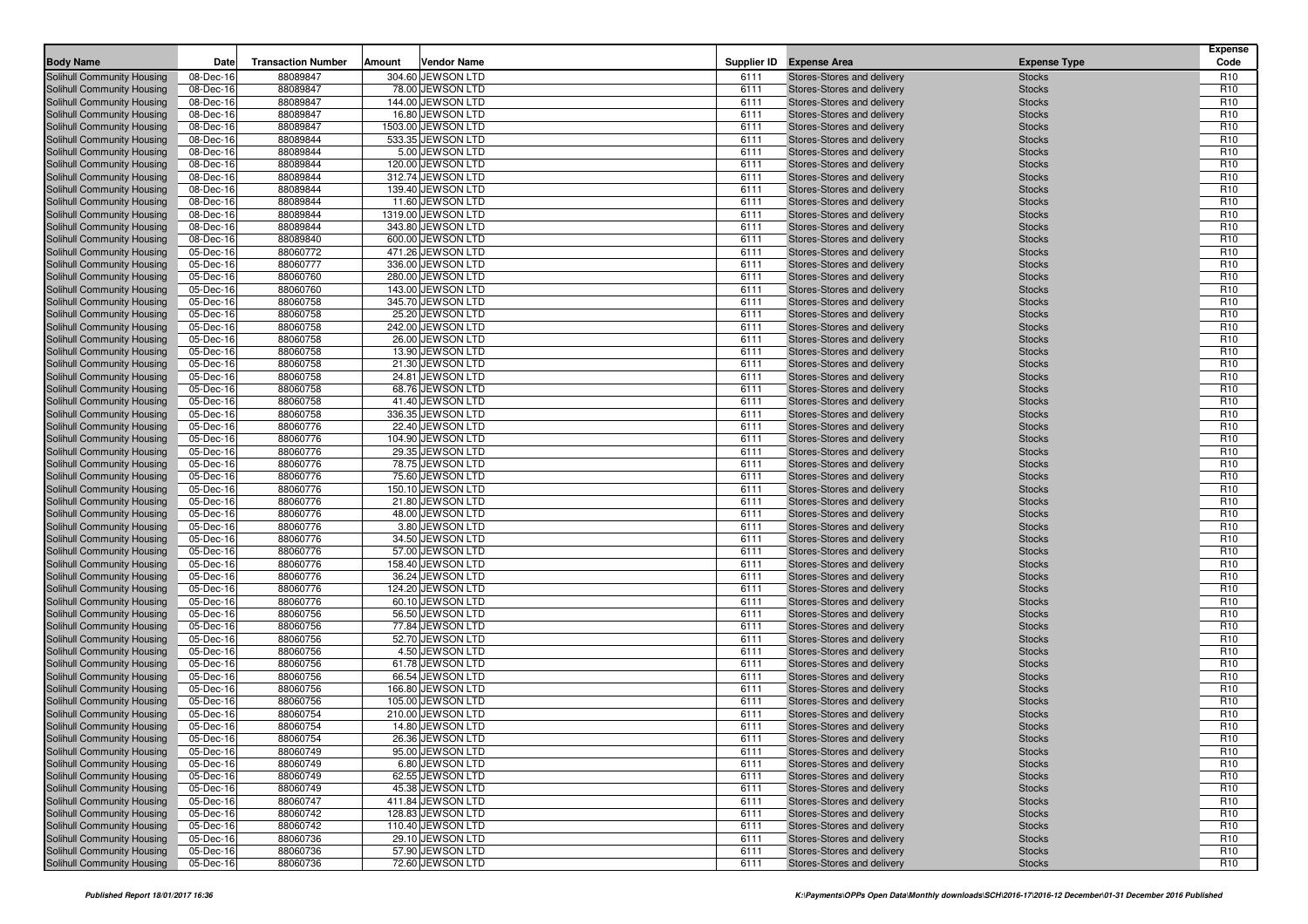| <b>Body Name</b>                                         | Date                   | <b>Transaction Number</b> | Amount | <b>Vendor Name</b>                    |              | Supplier ID Expense Area                                 | <b>Expense Type</b>            | <b>Expense</b><br>Code             |
|----------------------------------------------------------|------------------------|---------------------------|--------|---------------------------------------|--------------|----------------------------------------------------------|--------------------------------|------------------------------------|
| <b>Solihull Community Housing</b>                        | 08-Dec-16              | 88089847                  |        | 304.60 JEWSON LTD                     | 6111         | Stores-Stores and delivery                               | <b>Stocks</b>                  | R <sub>10</sub>                    |
| Solihull Community Housing                               | 08-Dec-16              | 88089847                  |        | 78.00 JEWSON LTD                      | 6111         | Stores-Stores and delivery                               | <b>Stocks</b>                  | R <sub>10</sub>                    |
| Solihull Community Housing                               | 08-Dec-16              | 88089847                  |        | 144.00 JEWSON LTD                     | 6111         | Stores-Stores and delivery                               | <b>Stocks</b>                  | R <sub>10</sub>                    |
| Solihull Community Housing                               | 08-Dec-16              | 88089847                  |        | 16.80 JEWSON LTD                      | 6111         | Stores-Stores and delivery                               | <b>Stocks</b>                  | R <sub>10</sub>                    |
| Solihull Community Housing                               | 08-Dec-16              | 88089847                  |        | 1503.00 JEWSON LTD                    | 6111         | Stores-Stores and delivery                               | <b>Stocks</b>                  | R <sub>10</sub>                    |
| Solihull Community Housing                               | 08-Dec-16              | 88089844                  |        | 533.35 JEWSON LTD                     | 6111         | Stores-Stores and delivery                               | <b>Stocks</b>                  | R <sub>10</sub>                    |
| Solihull Community Housing                               | 08-Dec-16              | 88089844                  |        | 5.00 JEWSON LTD                       | 6111         | Stores-Stores and delivery                               | <b>Stocks</b>                  | R <sub>10</sub>                    |
| Solihull Community Housing                               | 08-Dec-16              | 88089844                  |        | 120.00 JEWSON LTD                     | 6111         | Stores-Stores and delivery                               | <b>Stocks</b>                  | R <sub>10</sub>                    |
| Solihull Community Housing                               | 08-Dec-16              | 88089844                  |        | 312.74 JEWSON LTD                     | 6111         | Stores-Stores and delivery                               | <b>Stocks</b>                  | R <sub>10</sub>                    |
| <b>Solihull Community Housing</b>                        | 08-Dec-16              | 88089844                  |        | 139.40 JEWSON LTD                     | 6111         | Stores-Stores and delivery                               | <b>Stocks</b>                  | R <sub>10</sub>                    |
| Solihull Community Housing                               | 08-Dec-16              | 88089844                  |        | 11.60 JEWSON LTD                      | 6111         | Stores-Stores and delivery                               | <b>Stocks</b>                  | R <sub>10</sub>                    |
| Solihull Community Housing                               | 08-Dec-16              | 88089844                  |        | 1319.00 JEWSON LTD                    | 6111         | Stores-Stores and delivery                               | <b>Stocks</b>                  | R <sub>10</sub>                    |
| <b>Solihull Community Housing</b>                        | 08-Dec-16              | 88089844                  |        | 343.80 JEWSON LTD                     | 6111         | Stores-Stores and delivery                               | <b>Stocks</b>                  | R <sub>10</sub>                    |
| Solihull Community Housing                               | 08-Dec-16              | 88089840                  |        | 600.00 JEWSON LTD                     | 6111         | Stores-Stores and delivery                               | <b>Stocks</b>                  | R <sub>10</sub>                    |
| Solihull Community Housing                               | 05-Dec-16              | 88060772                  |        | 471.26 JEWSON LTD                     | 6111         | Stores-Stores and delivery                               | <b>Stocks</b>                  | R <sub>10</sub>                    |
| Solihull Community Housing                               | 05-Dec-16              | 88060777                  |        | 336.00 JEWSON LTD                     | 6111         | Stores-Stores and delivery                               | <b>Stocks</b>                  | R <sub>10</sub>                    |
| Solihull Community Housing                               | 05-Dec-16              | 88060760                  |        | 280.00 JEWSON LTD                     | 6111         | Stores-Stores and delivery                               | <b>Stocks</b>                  | R <sub>10</sub>                    |
| Solihull Community Housing                               | 05-Dec-16              | 88060760                  |        | 143.00 JEWSON LTD                     | 6111         | Stores-Stores and delivery                               | <b>Stocks</b>                  | R <sub>10</sub>                    |
| Solihull Community Housing                               | 05-Dec-16              | 88060758                  |        | 345.70 JEWSON LTD                     | 6111         | Stores-Stores and delivery                               | <b>Stocks</b>                  | R <sub>10</sub>                    |
| Solihull Community Housing                               | 05-Dec-16              | 88060758                  |        | 25.20 JEWSON LTD                      | 6111         | Stores-Stores and delivery                               | <b>Stocks</b>                  | R <sub>10</sub>                    |
| Solihull Community Housing                               | 05-Dec-16              | 88060758                  |        | 242.00 JEWSON LTD                     | 6111         | Stores-Stores and delivery                               | <b>Stocks</b>                  | R <sub>10</sub>                    |
| Solihull Community Housing                               | 05-Dec-16              | 88060758                  |        | 26.00 JEWSON LTD                      | 6111         | Stores-Stores and delivery                               | <b>Stocks</b>                  | R <sub>10</sub>                    |
| Solihull Community Housing                               | 05-Dec-16              | 88060758                  |        | 13.90 JEWSON LTD                      | 6111         | Stores-Stores and delivery                               | <b>Stocks</b>                  | R <sub>10</sub>                    |
| Solihull Community Housing                               | 05-Dec-16              | 88060758                  |        | 21.30 JEWSON LTD                      | 6111         | Stores-Stores and delivery                               | <b>Stocks</b>                  | R <sub>10</sub>                    |
| Solihull Community Housing                               | 05-Dec-16              | 88060758                  |        | 24.81 JEWSON LTD                      | 6111         | Stores-Stores and delivery                               | <b>Stocks</b>                  | R <sub>10</sub>                    |
| Solihull Community Housing                               | 05-Dec-16              | 88060758                  |        | 68.76 JEWSON LTD                      | 6111         | Stores-Stores and delivery                               | <b>Stocks</b>                  | R <sub>10</sub>                    |
| Solihull Community Housing                               | 05-Dec-16              | 88060758                  |        | 41.40 JEWSON LTD                      | 6111         | Stores-Stores and delivery                               | <b>Stocks</b>                  | R <sub>10</sub>                    |
| Solihull Community Housing                               | 05-Dec-16              | 88060758                  |        | 336.35 JEWSON LTD                     | 6111         | Stores-Stores and delivery                               | <b>Stocks</b>                  | R <sub>10</sub>                    |
| Solihull Community Housing                               | 05-Dec-16              | 88060776                  |        | 22.40 JEWSON LTD                      | 6111         | Stores-Stores and delivery                               | <b>Stocks</b>                  | R <sub>10</sub>                    |
| Solihull Community Housing                               | 05-Dec-16              | 88060776                  |        | 104.90 JEWSON LTD                     | 6111         | Stores-Stores and delivery                               | <b>Stocks</b>                  | R <sub>10</sub>                    |
| Solihull Community Housing                               | 05-Dec-16              | 88060776                  |        | 29.35 JEWSON LTD                      | 6111         | Stores-Stores and delivery                               | <b>Stocks</b>                  | R <sub>10</sub>                    |
| Solihull Community Housing                               | 05-Dec-16              | 88060776                  |        | 78.75 JEWSON LTD                      | 6111         | Stores-Stores and delivery                               | <b>Stocks</b>                  | R <sub>10</sub>                    |
| Solihull Community Housing                               | 05-Dec-16              | 88060776                  |        | 75.60 JEWSON LTD                      | 6111         | Stores-Stores and delivery                               | <b>Stocks</b>                  | R <sub>10</sub>                    |
| Solihull Community Housing                               | 05-Dec-16              | 88060776                  |        | 150.10 JEWSON LTD                     | 6111         | Stores-Stores and delivery                               | <b>Stocks</b>                  | R <sub>10</sub>                    |
| Solihull Community Housing                               | 05-Dec-16              | 88060776                  |        | 21.80 JEWSON LTD                      | 6111         | Stores-Stores and delivery                               | <b>Stocks</b>                  | R <sub>10</sub>                    |
| Solihull Community Housing                               | 05-Dec-16              | 88060776                  |        | 48.00 JEWSON LTD                      | 6111         | Stores-Stores and delivery                               | <b>Stocks</b>                  | R <sub>10</sub>                    |
| Solihull Community Housing                               | 05-Dec-16              | 88060776                  |        | 3.80 JEWSON LTD                       | 6111         | Stores-Stores and delivery                               | <b>Stocks</b>                  | R <sub>10</sub>                    |
| Solihull Community Housing                               | 05-Dec-16              | 88060776                  |        | 34.50 JEWSON LTD                      | 6111         | Stores-Stores and delivery                               | <b>Stocks</b>                  | R <sub>10</sub>                    |
| Solihull Community Housing                               | 05-Dec-16              | 88060776                  |        | 57.00 JEWSON LTD                      | 6111         | Stores-Stores and delivery                               | <b>Stocks</b>                  | R <sub>10</sub><br>R <sub>10</sub> |
| Solihull Community Housing<br>Solihull Community Housing | 05-Dec-16<br>05-Dec-16 | 88060776<br>88060776      |        | 158.40 JEWSON LTD<br>36.24 JEWSON LTD | 6111<br>6111 | Stores-Stores and delivery<br>Stores-Stores and delivery | <b>Stocks</b><br><b>Stocks</b> | R <sub>10</sub>                    |
|                                                          |                        |                           |        |                                       | 6111         |                                                          |                                |                                    |
| Solihull Community Housing<br>Solihull Community Housing | 05-Dec-16<br>05-Dec-16 | 88060776<br>88060776      |        | 124.20 JEWSON LTD<br>60.10 JEWSON LTD | 6111         | Stores-Stores and delivery<br>Stores-Stores and delivery | <b>Stocks</b><br><b>Stocks</b> | R <sub>10</sub><br>R <sub>10</sub> |
| Solihull Community Housing                               | 05-Dec-16              | 88060756                  |        | 56.50 JEWSON LTD                      | 6111         | Stores-Stores and delivery                               | <b>Stocks</b>                  | R <sub>10</sub>                    |
| Solihull Community Housing                               | 05-Dec-16              | 88060756                  |        | 77.84 JEWSON LTD                      | 6111         | Stores-Stores and delivery                               | <b>Stocks</b>                  | R <sub>10</sub>                    |
| Solihull Community Housing                               | 05-Dec-16              | 88060756                  |        | 52.70 JEWSON LTD                      | 6111         | Stores-Stores and delivery                               | <b>Stocks</b>                  | R <sub>10</sub>                    |
| Solihull Community Housing                               | 05-Dec-16              | 88060756                  |        | 4.50 JEWSON LTD                       | 6111         | Stores-Stores and delivery                               | <b>Stocks</b>                  | R <sub>10</sub>                    |
| Solihull Community Housing                               | 05-Dec-16              | 88060756                  |        | 61.78 JEWSON LTD                      | 6111         | Stores-Stores and delivery                               | <b>Stocks</b>                  | R <sub>10</sub>                    |
| Solihull Community Housing                               | 05-Dec-16              | 88060756                  |        | 66.54 JEWSON LTD                      | 6111         | Stores-Stores and delivery                               | <b>Stocks</b>                  | R <sub>10</sub>                    |
| Solihull Community Housing                               | 05-Dec-16              | 88060756                  |        | 166.80 JEWSON LTD                     | 6111         | Stores-Stores and delivery                               | <b>Stocks</b>                  | R <sub>10</sub>                    |
| Solihull Community Housing                               | 05-Dec-16              | 88060756                  |        | 105.00 JEWSON LTD                     | 6111         | Stores-Stores and delivery                               | <b>Stocks</b>                  | R <sub>10</sub>                    |
| Solihull Community Housing                               | 05-Dec-16              | 88060754                  |        | 210.00 JEWSON LTD                     | 6111         | Stores-Stores and delivery                               | <b>Stocks</b>                  | R <sub>10</sub>                    |
| Solihull Community Housing                               | 05-Dec-16              | 88060754                  |        | 14.80 JEWSON LTD                      | 6111         | Stores-Stores and delivery                               | <b>Stocks</b>                  | R <sub>10</sub>                    |
| Solihull Community Housing                               | 05-Dec-16              | 88060754                  |        | 26.36 JEWSON LTD                      | 6111         | Stores-Stores and delivery                               | <b>Stocks</b>                  | R <sub>10</sub>                    |
| Solihull Community Housing                               | 05-Dec-16              | 88060749                  |        | 95.00 JEWSON LTD                      | 6111         | Stores-Stores and delivery                               | <b>Stocks</b>                  | R <sub>10</sub>                    |
| Solihull Community Housing                               | 05-Dec-16              | 88060749                  |        | 6.80 JEWSON LTD                       | 6111         | Stores-Stores and delivery                               | <b>Stocks</b>                  | R <sub>10</sub>                    |
| Solihull Community Housing                               | 05-Dec-16              | 88060749                  |        | 62.55 JEWSON LTD                      | 6111         | Stores-Stores and delivery                               | <b>Stocks</b>                  | R <sub>10</sub>                    |
| Solihull Community Housing                               | 05-Dec-16              | 88060749                  |        | 45.38 JEWSON LTD                      | 6111         | Stores-Stores and delivery                               | <b>Stocks</b>                  | R <sub>10</sub>                    |
| Solihull Community Housing                               | 05-Dec-16              | 88060747                  |        | 411.84 JEWSON LTD                     | 6111         | Stores-Stores and delivery                               | <b>Stocks</b>                  | R <sub>10</sub>                    |
| Solihull Community Housing                               | 05-Dec-16              | 88060742                  |        | 128.83 JEWSON LTD                     | 6111         | Stores-Stores and delivery                               | <b>Stocks</b>                  | R <sub>10</sub>                    |
| Solihull Community Housing                               | 05-Dec-16              | 88060742                  |        | 110.40 JEWSON LTD                     | 6111         | Stores-Stores and delivery                               | <b>Stocks</b>                  | R <sub>10</sub>                    |
| Solihull Community Housing                               | 05-Dec-16              | 88060736                  |        | 29.10 JEWSON LTD                      | 6111         | Stores-Stores and delivery                               | <b>Stocks</b>                  | R <sub>10</sub>                    |
| Solihull Community Housing                               | 05-Dec-16              | 88060736                  |        | 57.90 JEWSON LTD                      | 6111         | Stores-Stores and delivery                               | <b>Stocks</b>                  | R <sub>10</sub>                    |
| Solihull Community Housing                               | 05-Dec-16              | 88060736                  |        | 72.60 JEWSON LTD                      | 6111         | Stores-Stores and delivery                               | <b>Stocks</b>                  | R <sub>10</sub>                    |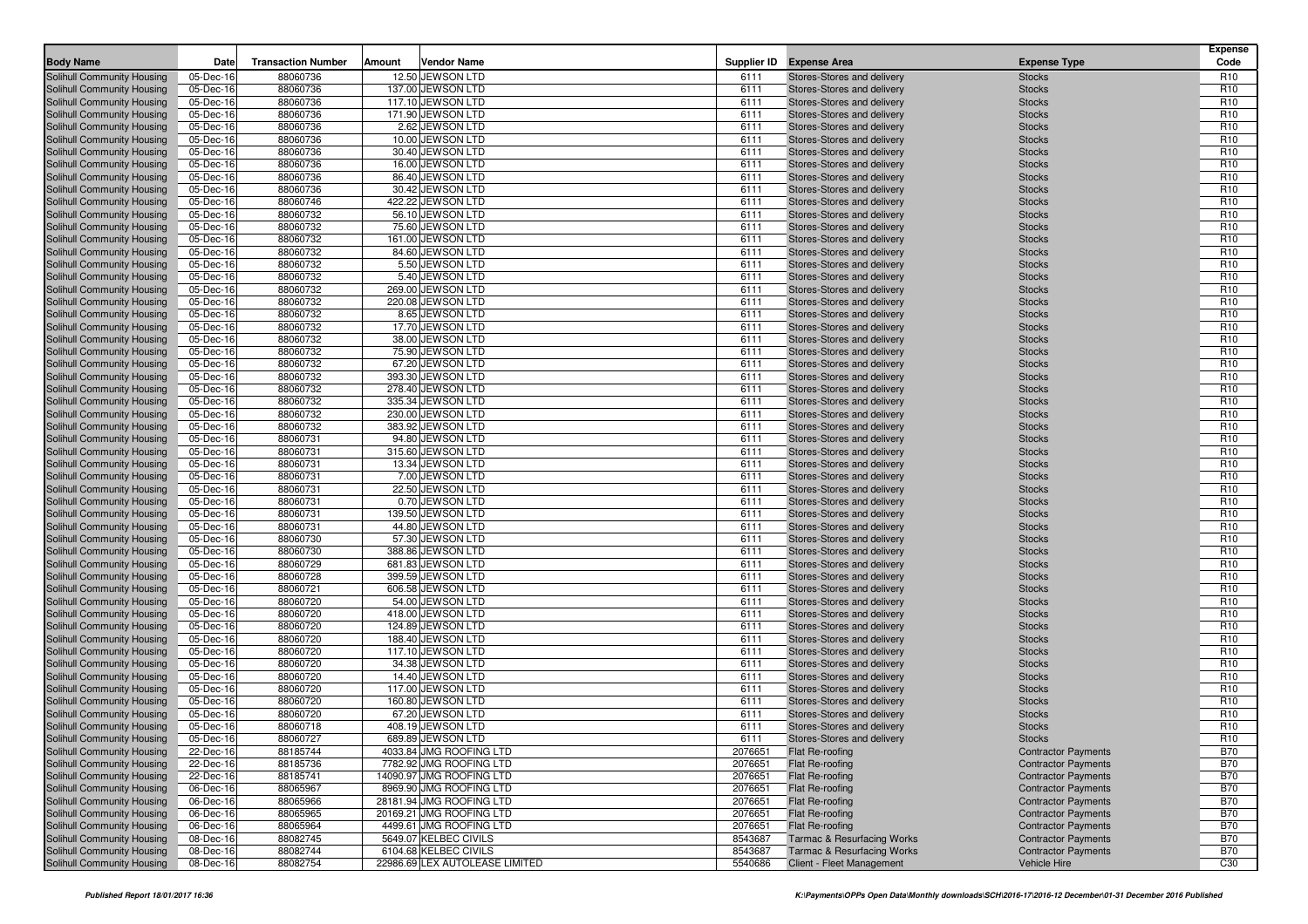| <b>Body Name</b>                                         | Date                   | <b>Transaction Number</b> | Amount | <b>Vendor Name</b>                     |              | Supplier ID Expense Area                                 | <b>Expense Type</b>            | <b>Expense</b><br>Code             |
|----------------------------------------------------------|------------------------|---------------------------|--------|----------------------------------------|--------------|----------------------------------------------------------|--------------------------------|------------------------------------|
|                                                          |                        |                           |        |                                        |              |                                                          |                                |                                    |
| Solihull Community Housing                               | 05-Dec-16              | 88060736                  |        | 12.50 JEWSON LTD                       | 6111         | Stores-Stores and delivery                               | <b>Stocks</b>                  | R <sub>10</sub>                    |
| Solihull Community Housing                               | 05-Dec-16              | 88060736                  |        | 137.00 JEWSON LTD                      | 6111         | Stores-Stores and delivery                               | <b>Stocks</b>                  | R <sub>10</sub><br>R <sub>10</sub> |
| Solihull Community Housing                               | 05-Dec-16              | 88060736<br>88060736      |        | 117.10 JEWSON LTD<br>171.90 JEWSON LTD | 6111<br>6111 | Stores-Stores and delivery                               | <b>Stocks</b>                  | R <sub>10</sub>                    |
| Solihull Community Housing<br>Solihull Community Housing | 05-Dec-16<br>05-Dec-16 | 88060736                  |        | 2.62 JEWSON LTD                        | 6111         | Stores-Stores and delivery<br>Stores-Stores and delivery | <b>Stocks</b><br><b>Stocks</b> | R <sub>10</sub>                    |
| Solihull Community Housing                               | 05-Dec-16              | 88060736                  |        | 10.00 JEWSON LTD                       | 6111         | Stores-Stores and delivery                               | <b>Stocks</b>                  | R <sub>10</sub>                    |
| Solihull Community Housing                               | 05-Dec-16              | 88060736                  |        | 30.40 JEWSON LTD                       | 6111         | Stores-Stores and delivery                               | <b>Stocks</b>                  | R <sub>10</sub>                    |
| Solihull Community Housing                               | 05-Dec-16              | 88060736                  |        | 16.00 JEWSON LTD                       | 6111         | Stores-Stores and delivery                               | <b>Stocks</b>                  | R <sub>10</sub>                    |
| Solihull Community Housing                               | 05-Dec-16              | 88060736                  |        | 86.40 JEWSON LTD                       | 6111         | Stores-Stores and delivery                               | <b>Stocks</b>                  | R <sub>10</sub>                    |
| Solihull Community Housing                               | 05-Dec-16              | 88060736                  |        | 30.42 JEWSON LTD                       | 6111         | Stores-Stores and delivery                               | <b>Stocks</b>                  | R <sub>10</sub>                    |
| Solihull Community Housing                               | 05-Dec-16              | 88060746                  |        | 422.22 JEWSON LTD                      | 6111         | Stores-Stores and delivery                               | <b>Stocks</b>                  | R <sub>10</sub>                    |
| Solihull Community Housing                               | 05-Dec-16              | 88060732                  |        | 56.10 JEWSON LTD                       | 6111         | Stores-Stores and delivery                               | <b>Stocks</b>                  | R <sub>10</sub>                    |
| <b>Solihull Community Housing</b>                        | 05-Dec-16              | 88060732                  |        | 75.60 JEWSON LTD                       | 6111         | Stores-Stores and delivery                               | <b>Stocks</b>                  | R <sub>10</sub>                    |
| Solihull Community Housing                               | 05-Dec-16              | 88060732                  |        | 161.00 JEWSON LTD                      | 6111         | Stores-Stores and delivery                               | <b>Stocks</b>                  | R <sub>10</sub>                    |
| Solihull Community Housing                               | 05-Dec-16              | 88060732                  |        | 84.60 JEWSON LTD                       | 6111         | Stores-Stores and delivery                               | <b>Stocks</b>                  | R <sub>10</sub>                    |
| Solihull Community Housing                               | 05-Dec-16              | 88060732                  |        | 5.50 JEWSON LTD                        | 6111         | Stores-Stores and delivery                               | <b>Stocks</b>                  | R <sub>10</sub>                    |
| Solihull Community Housing                               | 05-Dec-16              | 88060732                  |        | 5.40 JEWSON LTD                        | 6111         | Stores-Stores and delivery                               | <b>Stocks</b>                  | R <sub>10</sub>                    |
| Solihull Community Housing                               | 05-Dec-16              | 88060732                  |        | 269.00 JEWSON LTD                      | 6111         | Stores-Stores and delivery                               | <b>Stocks</b>                  | R <sub>10</sub>                    |
| Solihull Community Housing                               | 05-Dec-16              | 88060732                  |        | 220.08 JEWSON LTD                      | 6111         | Stores-Stores and delivery                               | <b>Stocks</b>                  | R <sub>10</sub>                    |
| Solihull Community Housing                               | 05-Dec-16              | 88060732                  |        | 8.65 JEWSON LTD                        | 6111         | Stores-Stores and delivery                               | <b>Stocks</b>                  | R <sub>10</sub>                    |
| Solihull Community Housing                               | 05-Dec-16              | 88060732                  |        | 17.70 JEWSON LTD                       | 6111         | Stores-Stores and delivery                               | <b>Stocks</b>                  | R <sub>10</sub>                    |
| Solihull Community Housing                               | 05-Dec-16              | 88060732                  |        | 38.00 JEWSON LTD                       | 6111         | Stores-Stores and delivery                               | <b>Stocks</b>                  | R <sub>10</sub>                    |
| Solihull Community Housing                               | 05-Dec-16              | 88060732                  |        | 75.90 JEWSON LTD                       | 6111         | Stores-Stores and delivery                               | <b>Stocks</b>                  | R <sub>10</sub>                    |
| Solihull Community Housing                               | 05-Dec-16              | 88060732                  |        | 67.20 JEWSON LTD                       | 6111         | Stores-Stores and delivery                               | <b>Stocks</b>                  | R <sub>10</sub>                    |
| Solihull Community Housing                               | 05-Dec-16              | 88060732                  |        | 393.30 JEWSON LTD                      | 6111         | Stores-Stores and delivery                               | <b>Stocks</b>                  | R <sub>10</sub>                    |
| Solihull Community Housing                               | 05-Dec-16              | 88060732                  |        | 278.40 JEWSON LTD                      | 6111         | Stores-Stores and delivery                               | <b>Stocks</b>                  | R <sub>10</sub>                    |
| Solihull Community Housing                               | 05-Dec-16              | 88060732                  |        | 335.34 JEWSON LTD                      | 6111         | Stores-Stores and delivery                               | <b>Stocks</b>                  | R <sub>10</sub>                    |
| Solihull Community Housing                               | 05-Dec-16              | 88060732                  |        | 230.00 JEWSON LTD                      | 6111         | Stores-Stores and delivery                               | <b>Stocks</b>                  | R <sub>10</sub>                    |
| Solihull Community Housing                               | 05-Dec-16              | 88060732                  |        | 383.92 JEWSON LTD                      | 6111         | Stores-Stores and delivery                               | <b>Stocks</b>                  | R <sub>10</sub>                    |
| Solihull Community Housing                               | 05-Dec-16              | 88060731                  |        | 94.80 JEWSON LTD                       | 6111         | Stores-Stores and delivery                               | <b>Stocks</b>                  | R <sub>10</sub>                    |
| Solihull Community Housing                               | 05-Dec-16              | 88060731                  |        | 315.60 JEWSON LTD                      | 6111         | Stores-Stores and delivery                               | <b>Stocks</b>                  | R <sub>10</sub>                    |
| Solihull Community Housing                               | 05-Dec-16              | 88060731                  |        | 13.34 JEWSON LTD                       | 6111         | Stores-Stores and delivery                               | <b>Stocks</b>                  | R <sub>10</sub>                    |
| Solihull Community Housing                               | 05-Dec-16              | 88060731                  |        | 7.00 JEWSON LTD                        | 6111         | Stores-Stores and delivery                               | <b>Stocks</b>                  | R <sub>10</sub>                    |
| Solihull Community Housing                               | 05-Dec-16              | 88060731                  |        | 22.50 JEWSON LTD                       | 6111         | Stores-Stores and delivery                               | <b>Stocks</b>                  | R <sub>10</sub>                    |
| Solihull Community Housing                               | 05-Dec-16              | 88060731                  |        | 0.70 JEWSON LTD                        | 6111         | Stores-Stores and delivery                               | <b>Stocks</b>                  | R <sub>10</sub>                    |
| Solihull Community Housing                               | 05-Dec-16              | 88060731                  |        | 139.50 JEWSON LTD                      | 6111         | Stores-Stores and delivery                               | <b>Stocks</b>                  | R <sub>10</sub>                    |
| Solihull Community Housing                               | 05-Dec-16              | 88060731                  |        | 44.80 JEWSON LTD                       | 6111         | Stores-Stores and delivery                               | <b>Stocks</b>                  | R <sub>10</sub>                    |
| Solihull Community Housing                               | 05-Dec-16              | 88060730                  |        | 57.30 JEWSON LTD                       | 6111         | Stores-Stores and delivery                               | <b>Stocks</b>                  | R <sub>10</sub>                    |
| Solihull Community Housing                               | 05-Dec-16              | 88060730                  |        | 388.86 JEWSON LTD<br>681.83 JEWSON LTD | 6111         | Stores-Stores and delivery                               | <b>Stocks</b>                  | R <sub>10</sub><br>R <sub>10</sub> |
| Solihull Community Housing<br>Solihull Community Housing | 05-Dec-16<br>05-Dec-16 | 88060729<br>88060728      |        | 399.59 JEWSON LTD                      | 6111<br>6111 | Stores-Stores and delivery<br>Stores-Stores and delivery | <b>Stocks</b><br><b>Stocks</b> | R <sub>10</sub>                    |
| Solihull Community Housing                               | 05-Dec-16              | 88060721                  |        | 606.58 JEWSON LTD                      | 6111         | Stores-Stores and delivery                               | <b>Stocks</b>                  | R <sub>10</sub>                    |
| Solihull Community Housing                               | 05-Dec-16              | 88060720                  |        | 54.00 JEWSON LTD                       | 6111         | Stores-Stores and delivery                               | <b>Stocks</b>                  | R <sub>10</sub>                    |
| Solihull Community Housing                               | 05-Dec-16              | 88060720                  |        | 418.00 JEWSON LTD                      | 6111         | Stores-Stores and delivery                               | <b>Stocks</b>                  | R <sub>10</sub>                    |
| Solihull Community Housing                               | 05-Dec-16              | 88060720                  |        | 124.89 JEWSON LTD                      | 6111         | Stores-Stores and delivery                               | <b>Stocks</b>                  | R <sub>10</sub>                    |
| Solihull Community Housing                               | 05-Dec-16              | 88060720                  |        | 188.40 JEWSON LTD                      | 6111         | Stores-Stores and delivery                               | <b>Stocks</b>                  | R <sub>10</sub>                    |
| Solihull Community Housing                               | 05-Dec-16              | 88060720                  |        | 117.10 JEWSON LTD                      | 6111         | Stores-Stores and delivery                               | <b>Stocks</b>                  | R <sub>10</sub>                    |
| Solihull Community Housing                               | 05-Dec-16              | 88060720                  |        | 34.38 JEWSON LTD                       | 6111         | Stores-Stores and delivery                               | <b>Stocks</b>                  | R <sub>10</sub>                    |
| Solihull Community Housing                               | 05-Dec-16              | 88060720                  |        | 14.40 JEWSON LTD                       | 6111         | Stores-Stores and delivery                               | <b>Stocks</b>                  | R <sub>10</sub>                    |
| Solihull Community Housing                               | 05-Dec-16              | 88060720                  |        | 117.00 JEWSON LTD                      | 6111         | Stores-Stores and delivery                               | <b>Stocks</b>                  | R <sub>10</sub>                    |
| Solihull Community Housing                               | 05-Dec-16              | 88060720                  |        | 160.80 JEWSON LTD                      | 6111         | Stores-Stores and delivery                               | <b>Stocks</b>                  | R <sub>10</sub>                    |
| Solihull Community Housing                               | 05-Dec-16              | 88060720                  |        | 67.20 JEWSON LTD                       | 6111         | Stores-Stores and delivery                               | <b>Stocks</b>                  | R <sub>10</sub>                    |
| Solihull Community Housing                               | 05-Dec-16              | 88060718                  |        | 408.19 JEWSON LTD                      | 6111         | Stores-Stores and delivery                               | <b>Stocks</b>                  | R <sub>10</sub>                    |
| Solihull Community Housing                               | 05-Dec-16              | 88060727                  |        | 689.89 JEWSON LTD                      | 6111         | Stores-Stores and delivery                               | Stocks                         | R <sub>10</sub>                    |
| Solihull Community Housing                               | 22-Dec-16              | 88185744                  |        | 4033.84 JMG ROOFING LTD                | 2076651      | Flat Re-roofing                                          | <b>Contractor Payments</b>     | <b>B70</b>                         |
| Solihull Community Housing                               | 22-Dec-16              | 88185736                  |        | 7782.92 JMG ROOFING LTD                | 2076651      | Flat Re-roofing                                          | <b>Contractor Payments</b>     | <b>B70</b>                         |
| Solihull Community Housing                               | 22-Dec-16              | 88185741                  |        | 14090.97 JMG ROOFING LTD               | 2076651      | Flat Re-roofing                                          | <b>Contractor Payments</b>     | <b>B70</b>                         |
| Solihull Community Housing                               | 06-Dec-16              | 88065967                  |        | 8969.90 JMG ROOFING LTD                | 2076651      | Flat Re-roofing                                          | <b>Contractor Payments</b>     | <b>B70</b>                         |
| Solihull Community Housing                               | 06-Dec-16              | 88065966                  |        | 28181.94 JMG ROOFING LTD               | 2076651      | <b>Flat Re-roofing</b>                                   | <b>Contractor Payments</b>     | <b>B70</b>                         |
| Solihull Community Housing                               | 06-Dec-16              | 88065965                  |        | 20169.21 JMG ROOFING LTD               | 2076651      | Flat Re-roofing                                          | <b>Contractor Payments</b>     | <b>B70</b>                         |
| Solihull Community Housing                               | 06-Dec-16              | 88065964                  |        | 4499.61 JMG ROOFING LTD                | 2076651      | Flat Re-roofing                                          | <b>Contractor Payments</b>     | <b>B70</b>                         |
| Solihull Community Housing                               | 08-Dec-16              | 88082745                  |        | 5649.07 KELBEC CIVILS                  | 8543687      | <b>Tarmac &amp; Resurfacing Works</b>                    | <b>Contractor Payments</b>     | <b>B70</b>                         |
| Solihull Community Housing                               | 08-Dec-16              | 88082744                  |        | 6104.68 KELBEC CIVILS                  | 8543687      | <b>Tarmac &amp; Resurfacing Works</b>                    | <b>Contractor Payments</b>     | <b>B70</b>                         |
| Solihull Community Housing                               | 08-Dec-16              | 88082754                  |        | 22986.69 LEX AUTOLEASE LIMITED         | 5540686      | Client - Fleet Management                                | Vehicle Hire                   | C30                                |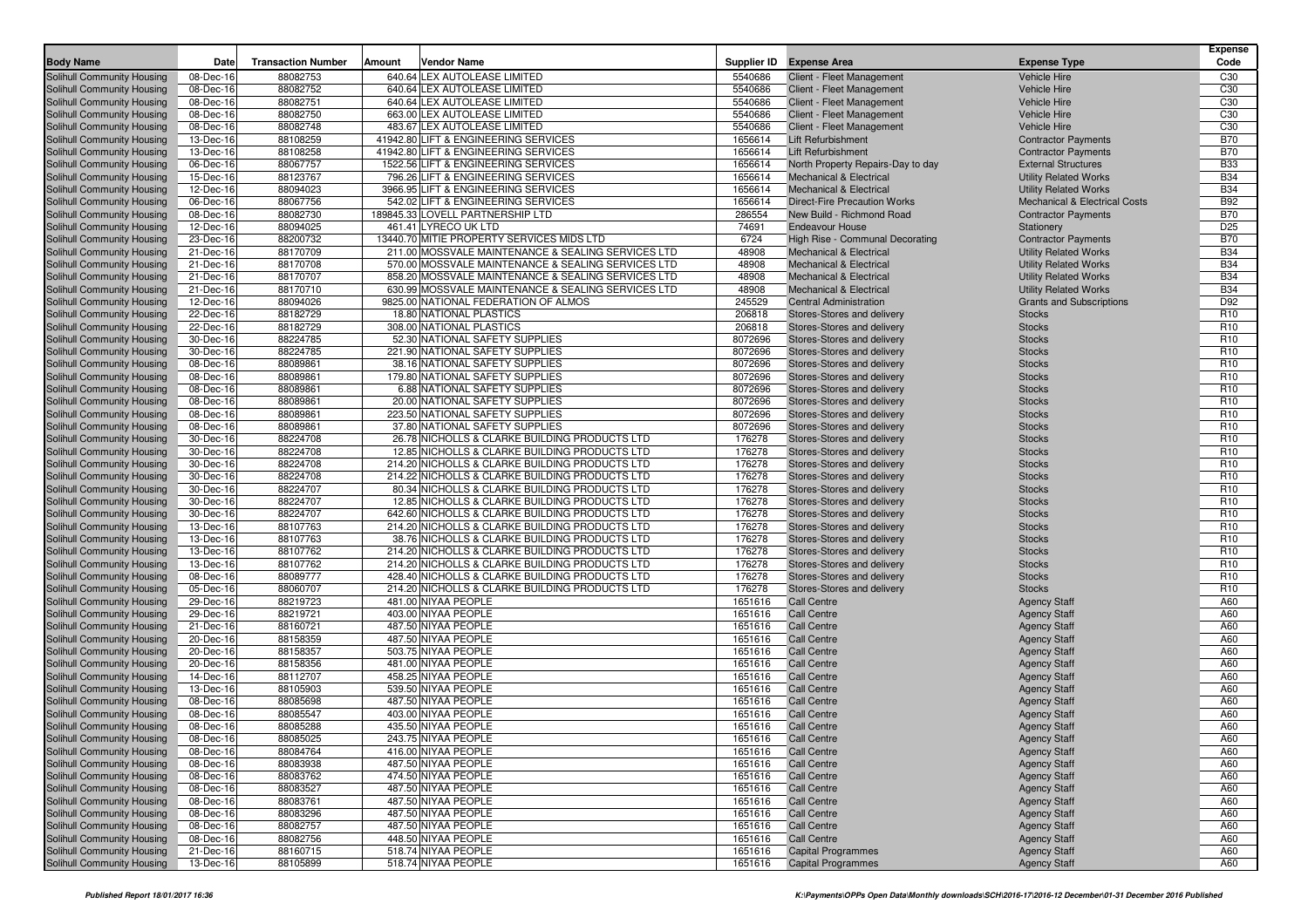| <b>Body Name</b>                                         | Date                   | <b>Transaction Number</b> | Amount | <b>Vendor Name</b>                                                                              | Supplier ID      | <b>Expense Area</b>                                      | <b>Expense Type</b>                      | <b>Expense</b><br>Code             |
|----------------------------------------------------------|------------------------|---------------------------|--------|-------------------------------------------------------------------------------------------------|------------------|----------------------------------------------------------|------------------------------------------|------------------------------------|
| Solihull Community Housing                               | 08-Dec-16              | 88082753                  |        | 640.64 LEX AUTOLEASE LIMITED                                                                    | 5540686          | Client - Fleet Management                                | <b>Vehicle Hire</b>                      | C30                                |
| Solihull Community Housing                               | 08-Dec-16              | 88082752                  |        | 640.64 LEX AUTOLEASE LIMITED                                                                    | 5540686          | Client - Fleet Management                                | <b>Vehicle Hire</b>                      | C30                                |
| Solihull Community Housing                               | 08-Dec-16              | 88082751                  |        | 640.64 LEX AUTOLEASE LIMITED                                                                    | 5540686          | Client - Fleet Management                                | <b>Vehicle Hire</b>                      | C <sub>30</sub>                    |
| Solihull Community Housing                               | 08-Dec-16              | 88082750                  |        | 663.00 LEX AUTOLEASE LIMITED                                                                    | 5540686          | Client - Fleet Management                                | <b>Vehicle Hire</b>                      | C30                                |
| Solihull Community Housing                               | 08-Dec-16              | 88082748                  |        | 483.67 LEX AUTOLEASE LIMITED                                                                    | 5540686          | Client - Fleet Management                                | <b>Vehicle Hire</b>                      | C30                                |
| Solihull Community Housing                               | 13-Dec-16              | 88108259                  |        | 41942.80 LIFT & ENGINEERING SERVICES                                                            | 1656614          | Lift Refurbishment                                       | <b>Contractor Payments</b>               | <b>B70</b>                         |
| Solihull Community Housing                               | 13-Dec-16              | 88108258                  |        | 41942.80 LIFT & ENGINEERING SERVICES                                                            | 1656614          | Lift Refurbishment                                       | <b>Contractor Payments</b>               | <b>B70</b>                         |
| Solihull Community Housing                               | 06-Dec-16              | 88067757                  |        | 1522.56 LIFT & ENGINEERING SERVICES                                                             | 1656614          | North Property Repairs-Day to day                        | <b>External Structures</b>               | <b>B33</b>                         |
| Solihull Community Housing                               | 15-Dec-16              | 88123767                  |        | 796.26 LIFT & ENGINEERING SERVICES                                                              | 1656614          | <b>Mechanical &amp; Electrical</b>                       | <b>Utility Related Works</b>             | <b>B34</b>                         |
| Solihull Community Housing                               | 12-Dec-16              | 88094023                  |        | 3966.95 LIFT & ENGINEERING SERVICES                                                             | 1656614          | <b>Mechanical &amp; Electrical</b>                       | <b>Utility Related Works</b>             | <b>B34</b>                         |
| Solihull Community Housing                               | 06-Dec-16              | 88067756                  |        | 542.02 LIFT & ENGINEERING SERVICES                                                              | 1656614          | <b>Direct-Fire Precaution Works</b>                      | <b>Mechanical &amp; Electrical Costs</b> | <b>B92</b>                         |
| Solihull Community Housing                               | 08-Dec-16              | 88082730                  |        | 189845.33 LOVELL PARTNERSHIP LTD                                                                | 286554           | New Build - Richmond Road                                | <b>Contractor Payments</b>               | <b>B70</b>                         |
| Solihull Community Housing                               | 12-Dec-16              | 88094025                  |        | 461.41 LYRECO UK LTD                                                                            | 74691            | <b>Endeavour House</b>                                   | Stationery                               | D <sub>25</sub>                    |
| Solihull Community Housing                               | 23-Dec-16              | 88200732                  |        | 13440.70 MITIE PROPERTY SERVICES MIDS LTD                                                       | 6724             | High Rise - Communal Decorating                          | <b>Contractor Payments</b>               | <b>B70</b>                         |
| Solihull Community Housing                               | 21-Dec-16              | 88170709                  |        | 211.00 MOSSVALE MAINTENANCE & SEALING SERVICES LTD                                              | 48908            | <b>Mechanical &amp; Electrical</b>                       | <b>Utility Related Works</b>             | <b>B34</b>                         |
| Solihull Community Housing                               | 21-Dec-16              | 88170708                  |        | 570.00 MOSSVALE MAINTENANCE & SEALING SERVICES LTD                                              | 48908            | <b>Mechanical &amp; Electrical</b>                       | <b>Utility Related Works</b>             | <b>B34</b>                         |
| Solihull Community Housing                               | 21-Dec-16              | 88170707                  |        | 858.20 MOSSVALE MAINTENANCE & SEALING SERVICES LTD                                              | 48908            | <b>Mechanical &amp; Electrical</b>                       | <b>Utility Related Works</b>             | <b>B34</b>                         |
| Solihull Community Housing                               | 21-Dec-16              | 88170710                  |        | 630.99 MOSSVALE MAINTENANCE & SEALING SERVICES LTD                                              | 48908            | <b>Mechanical &amp; Electrical</b>                       | <b>Utility Related Works</b>             | <b>B34</b>                         |
| Solihull Community Housing                               | 12-Dec-16              | 88094026                  |        | 9825.00 NATIONAL FEDERATION OF ALMOS                                                            | 245529           | <b>Central Administration</b>                            | <b>Grants and Subscriptions</b>          | D92                                |
| Solihull Community Housing                               | 22-Dec-16              | 88182729                  |        | 18.80 NATIONAL PLASTICS                                                                         | 206818           | Stores-Stores and delivery                               | <b>Stocks</b>                            | R <sub>10</sub>                    |
| Solihull Community Housing                               | 22-Dec-16              | 88182729                  |        | 308.00 NATIONAL PLASTICS                                                                        | 206818           | Stores-Stores and delivery                               | <b>Stocks</b>                            | R <sub>10</sub>                    |
| Solihull Community Housing                               | 30-Dec-16              | 88224785                  |        | 52.30 NATIONAL SAFETY SUPPLIES                                                                  | 8072696          | Stores-Stores and delivery                               | <b>Stocks</b>                            | R <sub>10</sub>                    |
| Solihull Community Housing                               | 30-Dec-16              | 88224785                  |        | 221.90 NATIONAL SAFETY SUPPLIES                                                                 | 8072696          | Stores-Stores and delivery                               | <b>Stocks</b>                            | R <sub>10</sub>                    |
| Solihull Community Housing                               | 08-Dec-16              | 88089861                  |        | 38.16 NATIONAL SAFETY SUPPLIES                                                                  | 8072696          | Stores-Stores and delivery                               | <b>Stocks</b>                            | R <sub>10</sub>                    |
| Solihull Community Housing                               | 08-Dec-16              | 88089861                  |        | 179.80 NATIONAL SAFETY SUPPLIES                                                                 | 8072696          | Stores-Stores and delivery                               | <b>Stocks</b>                            | R <sub>10</sub>                    |
| Solihull Community Housing                               | 08-Dec-16              | 88089861                  |        | 6.88 NATIONAL SAFETY SUPPLIES                                                                   | 8072696          | Stores-Stores and delivery                               | <b>Stocks</b>                            | R <sub>10</sub>                    |
| Solihull Community Housing                               | 08-Dec-16              | 88089861                  |        | 20.00 NATIONAL SAFETY SUPPLIES                                                                  | 8072696          | Stores-Stores and delivery                               | <b>Stocks</b>                            | R <sub>10</sub>                    |
| Solihull Community Housing                               | 08-Dec-16              | 88089861                  |        | 223.50 NATIONAL SAFETY SUPPLIES                                                                 | 8072696          | Stores-Stores and delivery                               | <b>Stocks</b>                            | R <sub>10</sub>                    |
| Solihull Community Housing                               | 08-Dec-16              | 88089861                  |        | 37.80 NATIONAL SAFETY SUPPLIES                                                                  | 8072696          | Stores-Stores and delivery                               | <b>Stocks</b>                            | R <sub>10</sub>                    |
| Solihull Community Housing                               | 30-Dec-16              | 88224708                  |        | 26.78 NICHOLLS & CLARKE BUILDING PRODUCTS LTD                                                   | 176278           | Stores-Stores and delivery                               | <b>Stocks</b>                            | R <sub>10</sub>                    |
| Solihull Community Housing                               | 30-Dec-16              | 88224708                  |        | 12.85 NICHOLLS & CLARKE BUILDING PRODUCTS LTD                                                   | 176278           | Stores-Stores and delivery                               | <b>Stocks</b>                            | R <sub>10</sub>                    |
| Solihull Community Housing                               | 30-Dec-16              | 88224708                  |        | 214.20 NICHOLLS & CLARKE BUILDING PRODUCTS LTD                                                  | 176278           | Stores-Stores and delivery                               | <b>Stocks</b>                            | R <sub>10</sub>                    |
| Solihull Community Housing                               | 30-Dec-16              | 88224708                  |        | 214.22 NICHOLLS & CLARKE BUILDING PRODUCTS LTD                                                  | 176278           | Stores-Stores and delivery                               | <b>Stocks</b>                            | R <sub>10</sub><br>R <sub>10</sub> |
| Solihull Community Housing                               | 30-Dec-16              | 88224707<br>88224707      |        | 80.34 NICHOLLS & CLARKE BUILDING PRODUCTS LTD                                                   | 176278<br>176278 | Stores-Stores and delivery                               | <b>Stocks</b>                            | R <sub>10</sub>                    |
| Solihull Community Housing<br>Solihull Community Housing | 30-Dec-16<br>30-Dec-16 | 88224707                  |        | 12.85 NICHOLLS & CLARKE BUILDING PRODUCTS LTD<br>642.60 NICHOLLS & CLARKE BUILDING PRODUCTS LTD | 176278           | Stores-Stores and delivery<br>Stores-Stores and delivery | <b>Stocks</b><br><b>Stocks</b>           | R <sub>10</sub>                    |
| Solihull Community Housing                               | 13-Dec-16              | 88107763                  |        | 214.20 NICHOLLS & CLARKE BUILDING PRODUCTS LTD                                                  | 176278           | Stores-Stores and delivery                               | <b>Stocks</b>                            | R <sub>10</sub>                    |
| Solihull Community Housing                               | 13-Dec-16              | 88107763                  |        | 38.76 NICHOLLS & CLARKE BUILDING PRODUCTS LTD                                                   | 176278           | Stores-Stores and delivery                               | <b>Stocks</b>                            | R <sub>10</sub>                    |
| Solihull Community Housing                               | 13-Dec-16              | 88107762                  |        | 214.20 NICHOLLS & CLARKE BUILDING PRODUCTS LTD                                                  | 176278           | Stores-Stores and delivery                               | <b>Stocks</b>                            | R <sub>10</sub>                    |
| Solihull Community Housing                               | 13-Dec-16              | 88107762                  |        | 214.20 NICHOLLS & CLARKE BUILDING PRODUCTS LTD                                                  | 176278           | Stores-Stores and delivery                               | <b>Stocks</b>                            | R <sub>10</sub>                    |
| Solihull Community Housing                               | 08-Dec-16              | 88089777                  |        | 428.40 NICHOLLS & CLARKE BUILDING PRODUCTS LTD                                                  | 176278           | Stores-Stores and delivery                               | <b>Stocks</b>                            | R <sub>10</sub>                    |
| Solihull Community Housing                               | 05-Dec-16              | 88060707                  |        | 214.20 NICHOLLS & CLARKE BUILDING PRODUCTS LTD                                                  | 176278           | Stores-Stores and delivery                               | <b>Stocks</b>                            | R <sub>10</sub>                    |
| Solihull Community Housing                               | 29-Dec-16              | 88219723                  |        | 481.00 NIYAA PEOPLE                                                                             | 1651616          | <b>Call Centre</b>                                       | <b>Agency Staff</b>                      | A60                                |
| Solihull Community Housing                               | 29-Dec-16              | 88219721                  |        | 403.00 NIYAA PEOPLE                                                                             | 1651616          | <b>Call Centre</b>                                       | <b>Agency Staff</b>                      | A60                                |
| Solihull Community Housing                               | 21-Dec-16              | 88160721                  |        | 487.50 NIYAA PEOPLE                                                                             | 1651616          | <b>Call Centre</b>                                       | <b>Agency Staff</b>                      | A60                                |
| Solihull Community Housing                               | 20-Dec-16              | 88158359                  |        | 487.50 NIYAA PEOPLE                                                                             | 1651616          | <b>Call Centre</b>                                       | <b>Agency Staff</b>                      | A60                                |
| Solihull Community Housing                               | 20-Dec-16              | 88158357                  |        | 503.75 NIYAA PEOPLE                                                                             | 1651616          | <b>Call Centre</b>                                       | <b>Agency Staff</b>                      | A60                                |
| Solihull Community Housing                               | 20-Dec-16              | 88158356                  |        | 481.00 NIYAA PEOPLE                                                                             | 1651616          | <b>Call Centre</b>                                       | <b>Agency Staff</b>                      | A60                                |
| Solihull Community Housing                               | 14-Dec-16              | 88112707                  |        | 458.25 NIYAA PEOPLE                                                                             | 1651616          | <b>Call Centre</b>                                       | <b>Agency Staff</b>                      | A60                                |
| Solihull Community Housing                               | 13-Dec-16              | 88105903                  |        | 539.50 NIYAA PEOPLE                                                                             | 1651616          | <b>Call Centre</b>                                       | <b>Agency Staff</b>                      | A60                                |
| Solihull Community Housing                               | 08-Dec-16              | 88085698                  |        | 487.50 NIYAA PEOPLE                                                                             | 1651616          | <b>Call Centre</b>                                       | <b>Agency Staff</b>                      | A60                                |
| Solihull Community Housing                               | 08-Dec-16              | 88085547                  |        | 403.00 NIYAA PEOPLE                                                                             | 1651616          | <b>Call Centre</b>                                       | <b>Agency Staff</b>                      | A60                                |
| Solihull Community Housing                               | 08-Dec-16              | 88085288                  |        | 435.50 NIYAA PEOPLE                                                                             | 1651616          | <b>Call Centre</b>                                       | <b>Agency Staff</b>                      | A60                                |
| Solihull Community Housing                               | 08-Dec-16              | 88085025                  |        | 243.75 NIYAA PEOPLE                                                                             | 1651616          | <b>Call Centre</b>                                       | <b>Agency Staff</b>                      | A60                                |
| Solihull Community Housing                               | 08-Dec-16              | 88084764                  |        | 416.00 NIYAA PEOPLE                                                                             | 1651616          | <b>Call Centre</b>                                       | <b>Agency Staff</b>                      | A60                                |
| Solihull Community Housing                               | 08-Dec-16              | 88083938                  |        | 487.50 NIYAA PEOPLE                                                                             | 1651616          | <b>Call Centre</b>                                       | <b>Agency Staff</b>                      | A60                                |
| Solihull Community Housing                               | 08-Dec-16              | 88083762                  |        | 474.50 NIYAA PEOPLE                                                                             | 1651616          | <b>Call Centre</b>                                       | <b>Agency Staff</b>                      | A60                                |
| Solihull Community Housing                               | 08-Dec-16              | 88083527                  |        | 487.50 NIYAA PEOPLE                                                                             | 1651616          | <b>Call Centre</b>                                       | <b>Agency Staff</b>                      | A60                                |
| Solihull Community Housing                               | 08-Dec-16              | 88083761                  |        | 487.50 NIYAA PEOPLE                                                                             | 1651616          | <b>Call Centre</b>                                       | <b>Agency Staff</b>                      | A60                                |
| Solihull Community Housing                               | 08-Dec-16              | 88083296                  |        | 487.50 NIYAA PEOPLE                                                                             | 1651616          | <b>Call Centre</b>                                       | <b>Agency Staff</b>                      | A60                                |
| Solihull Community Housing                               | 08-Dec-16              | 88082757                  |        | 487.50 NIYAA PEOPLE                                                                             | 1651616          | <b>Call Centre</b>                                       | <b>Agency Staff</b>                      | A60                                |
| Solihull Community Housing                               | 08-Dec-16              | 88082756                  |        | 448.50 NIYAA PEOPLE                                                                             | 1651616          | <b>Call Centre</b>                                       | <b>Agency Staff</b>                      | A60                                |
| Solihull Community Housing                               | 21-Dec-16              | 88160715                  |        | 518.74 NIYAA PEOPLE                                                                             | 1651616          | <b>Capital Programmes</b>                                | <b>Agency Staff</b>                      | A60                                |
| Solihull Community Housing                               | 13-Dec-16              | 88105899                  |        | 518.74 NIYAA PEOPLE                                                                             | 1651616          | <b>Capital Programmes</b>                                | <b>Agency Staff</b>                      | A60                                |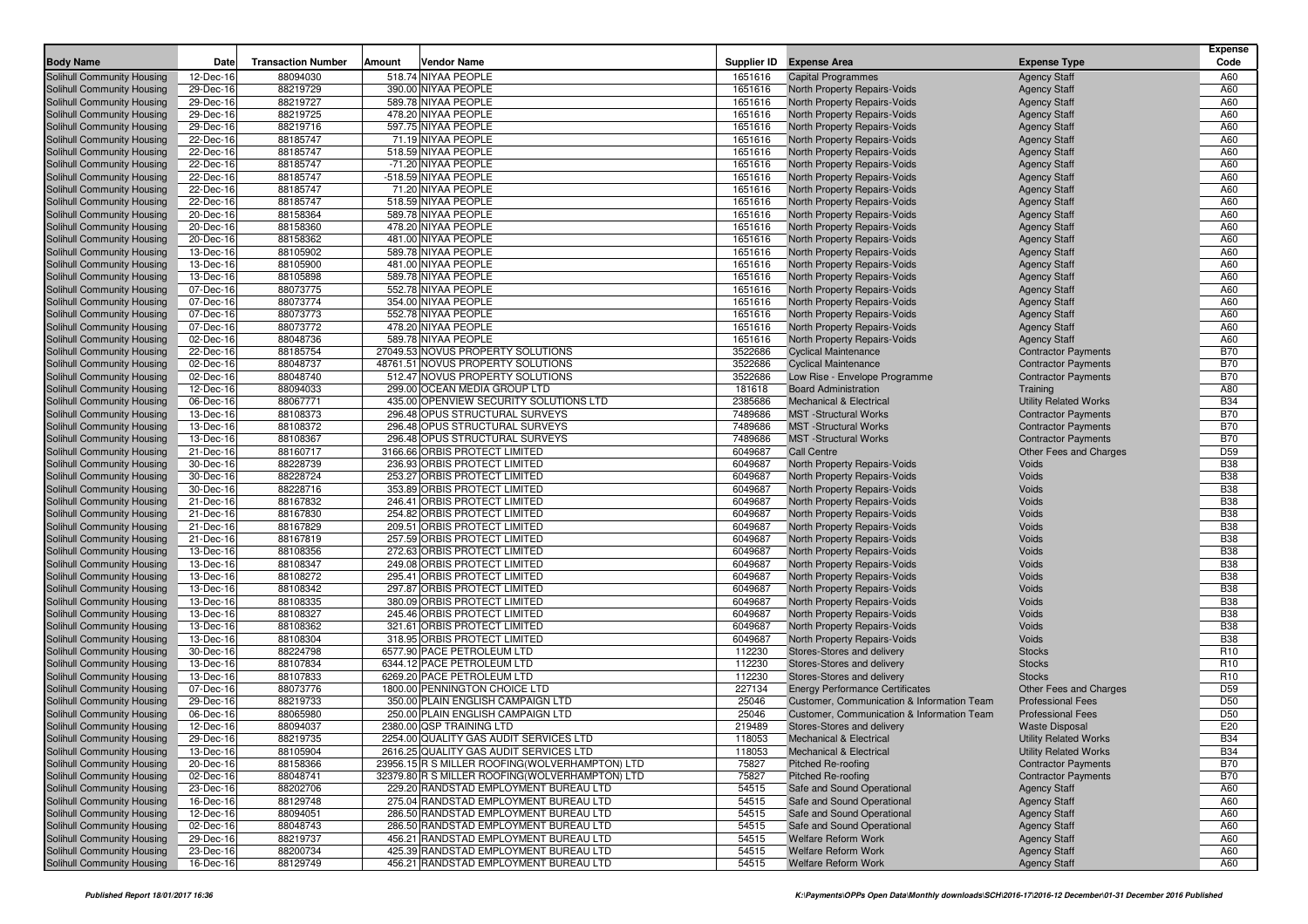|                                                          |           |                           |        |                                                |         |                                            |                              | <b>Expense</b>           |
|----------------------------------------------------------|-----------|---------------------------|--------|------------------------------------------------|---------|--------------------------------------------|------------------------------|--------------------------|
| <b>Body Name</b>                                         | Date      | <b>Transaction Number</b> | Amount | Vendor Name                                    |         | Supplier ID Expense Area                   | <b>Expense Type</b>          | Code                     |
| Solihull Community Housing                               | 12-Dec-16 | 88094030                  |        | 518.74 NIYAA PEOPLE                            | 1651616 | <b>Capital Programmes</b>                  | <b>Agency Staff</b>          | A60                      |
| Solihull Community Housing                               | 29-Dec-16 | 88219729                  |        | 390.00 NIYAA PEOPLE                            | 1651616 | <b>North Property Repairs-Voids</b>        | <b>Agency Staff</b>          | A60                      |
| Solihull Community Housing                               | 29-Dec-16 | 88219727                  |        | 589.78 NIYAA PEOPLE                            | 1651616 | North Property Repairs-Voids               | <b>Agency Staff</b>          | A60                      |
| Solihull Community Housing                               | 29-Dec-16 | 88219725                  |        | 478.20 NIYAA PEOPLE                            | 1651616 | North Property Repairs-Voids               | <b>Agency Staff</b>          | A60                      |
| Solihull Community Housing                               | 29-Dec-16 | 88219716                  |        | 597.75 NIYAA PEOPLE                            | 1651616 | North Property Repairs-Voids               | <b>Agency Staff</b>          | A60                      |
| Solihull Community Housing                               | 22-Dec-16 | 88185747                  |        | 71.19 NIYAA PEOPLE                             | 1651616 | North Property Repairs-Voids               | <b>Agency Staff</b>          | A60                      |
| Solihull Community Housing                               | 22-Dec-16 | 88185747                  |        | 518.59 NIYAA PEOPLE                            | 1651616 | North Property Repairs-Voids               | <b>Agency Staff</b>          | A60                      |
| Solihull Community Housing                               | 22-Dec-16 | 88185747                  |        | -71.20 NIYAA PEOPLE                            | 1651616 | North Property Repairs-Voids               | <b>Agency Staff</b>          | A60                      |
| Solihull Community Housing                               | 22-Dec-16 | 88185747                  |        | -518.59 NIYAA PEOPLE                           | 1651616 | North Property Repairs-Voids               | <b>Agency Staff</b>          | A60                      |
| Solihull Community Housing                               | 22-Dec-16 | 88185747                  |        | 71.20 NIYAA PEOPLE                             | 1651616 | North Property Repairs-Voids               | <b>Agency Staff</b>          | A60                      |
| Solihull Community Housing                               | 22-Dec-16 | 88185747                  |        | 518.59 NIYAA PEOPLE                            | 1651616 | North Property Repairs-Voids               | <b>Agency Staff</b>          | A60                      |
| Solihull Community Housing                               | 20-Dec-16 | 88158364                  |        | 589.78 NIYAA PEOPLE                            | 1651616 | North Property Repairs-Voids               | <b>Agency Staff</b>          | A60                      |
| Solihull Community Housing                               | 20-Dec-16 | 88158360                  |        | 478.20 NIYAA PEOPLE                            | 1651616 | <b>North Property Repairs-Voids</b>        | <b>Agency Staff</b>          | A60                      |
| Solihull Community Housing                               | 20-Dec-16 | 88158362                  |        | 481.00 NIYAA PEOPLE                            | 1651616 | North Property Repairs-Voids               | <b>Agency Staff</b>          | A60                      |
| Solihull Community Housing                               | 13-Dec-16 | 88105902                  |        | 589.78 NIYAA PEOPLE                            | 1651616 | North Property Repairs-Voids               | <b>Agency Staff</b>          | A60                      |
| Solihull Community Housing                               | 13-Dec-16 | 88105900                  |        | 481.00 NIYAA PEOPLE                            | 1651616 | North Property Repairs-Voids               | <b>Agency Staff</b>          | A60                      |
| Solihull Community Housing                               | 13-Dec-16 | 88105898                  |        | 589.78 NIYAA PEOPLE                            | 1651616 | North Property Repairs-Voids               | <b>Agency Staff</b>          | A60                      |
| Solihull Community Housing                               | 07-Dec-16 | 88073775                  |        | 552.78 NIYAA PEOPLE                            | 1651616 | North Property Repairs-Voids               | <b>Agency Staff</b>          | A60                      |
| Solihull Community Housing                               | 07-Dec-16 | 88073774                  |        | 354.00 NIYAA PEOPLE                            | 1651616 | North Property Repairs-Voids               | <b>Agency Staff</b>          | A60                      |
| Solihull Community Housing                               | 07-Dec-16 | 88073773                  |        | 552.78 NIYAA PEOPLE                            | 1651616 | North Property Repairs-Voids               | <b>Agency Staff</b>          | A60                      |
| Solihull Community Housing                               | 07-Dec-16 | 88073772                  |        | 478.20 NIYAA PEOPLE                            | 1651616 | North Property Repairs-Voids               | <b>Agency Staff</b>          | A60                      |
|                                                          |           |                           |        | 589.78 NIYAA PEOPLE                            |         |                                            |                              | A60                      |
| Solihull Community Housing                               | 02-Dec-16 | 88048736                  |        |                                                | 1651616 | North Property Repairs-Voids               | <b>Agency Staff</b>          | <b>B70</b>               |
| Solihull Community Housing                               | 22-Dec-16 | 88185754                  |        | 27049.53 NOVUS PROPERTY SOLUTIONS              | 3522686 | <b>Cyclical Maintenance</b>                | <b>Contractor Payments</b>   |                          |
| Solihull Community Housing                               | 02-Dec-16 | 88048737                  |        | 48761.51 NOVUS PROPERTY SOLUTIONS              | 3522686 | <b>Cyclical Maintenance</b>                | <b>Contractor Payments</b>   | <b>B70</b>               |
| Solihull Community Housing                               | 02-Dec-16 | 88048740                  |        | 512.47 NOVUS PROPERTY SOLUTIONS                | 3522686 | Low Rise - Envelope Programme              | <b>Contractor Payments</b>   | <b>B70</b>               |
| Solihull Community Housing                               | 12-Dec-16 | 88094033                  |        | 299.00 OCEAN MEDIA GROUP LTD                   | 181618  | <b>Board Administration</b>                | Training                     | A80                      |
| Solihull Community Housing                               | 06-Dec-16 | 88067771                  |        | 435.00 OPENVIEW SECURITY SOLUTIONS LTD         | 2385686 | <b>Mechanical &amp; Electrical</b>         | <b>Utility Related Works</b> | <b>B34</b>               |
| Solihull Community Housing                               | 13-Dec-16 | 88108373                  |        | 296.48 OPUS STRUCTURAL SURVEYS                 | 7489686 | <b>MST</b> -Structural Works               | <b>Contractor Payments</b>   | <b>B70</b>               |
| Solihull Community Housing                               | 13-Dec-16 | 88108372                  |        | 296.48 OPUS STRUCTURAL SURVEYS                 | 7489686 | <b>MST</b> -Structural Works               | <b>Contractor Payments</b>   | <b>B70</b>               |
| Solihull Community Housing                               | 13-Dec-16 | 88108367                  |        | 296.48 OPUS STRUCTURAL SURVEYS                 | 7489686 | <b>MST</b> -Structural Works               | <b>Contractor Payments</b>   | <b>B70</b>               |
| Solihull Community Housing                               | 21-Dec-16 | 88160717                  |        | 3166.66 ORBIS PROTECT LIMITED                  | 6049687 | Call Centre                                | Other Fees and Charges       | D <sub>59</sub>          |
| Solihull Community Housing                               | 30-Dec-16 | 88228739                  |        | 236.93 ORBIS PROTECT LIMITED                   | 6049687 | <b>North Property Repairs-Voids</b>        | Voids                        | <b>B38</b>               |
| Solihull Community Housing                               | 30-Dec-16 | 88228724                  |        | 253.27 ORBIS PROTECT LIMITED                   | 6049687 | North Property Repairs-Voids               | Voids                        | <b>B38</b>               |
| Solihull Community Housing                               | 30-Dec-16 | 88228716                  |        | 353.89 ORBIS PROTECT LIMITED                   | 6049687 | North Property Repairs-Voids               | Voids                        | <b>B38</b>               |
| Solihull Community Housing                               | 21-Dec-16 | 88167832                  |        | 246.41 ORBIS PROTECT LIMITED                   | 6049687 | North Property Repairs-Voids               | Voids                        | <b>B38</b>               |
| Solihull Community Housing                               | 21-Dec-16 | 88167830                  |        | 254.82 ORBIS PROTECT LIMITED                   | 6049687 | <b>North Property Repairs-Voids</b>        | Voids                        | <b>B38</b>               |
| Solihull Community Housing                               | 21-Dec-16 | 88167829                  |        | 209.51 ORBIS PROTECT LIMITED                   | 6049687 | North Property Repairs-Voids               | Voids                        | <b>B38</b>               |
| Solihull Community Housing                               | 21-Dec-16 | 88167819                  |        | 257.59 ORBIS PROTECT LIMITED                   | 6049687 | North Property Repairs-Voids               | Voids                        | <b>B38</b>               |
| Solihull Community Housing                               | 13-Dec-16 | 88108356                  |        | 272.63 ORBIS PROTECT LIMITED                   | 6049687 | <b>North Property Repairs-Voids</b>        | Voids                        | <b>B38</b>               |
| Solihull Community Housing                               | 13-Dec-16 | 88108347                  |        | 249.08 ORBIS PROTECT LIMITED                   | 6049687 | North Property Repairs-Voids               | Voids                        | <b>B38</b>               |
| Solihull Community Housing                               | 13-Dec-16 | 88108272                  |        | 295.41 ORBIS PROTECT LIMITED                   | 6049687 | North Property Repairs-Voids               | Voids                        | <b>B38</b>               |
| Solihull Community Housing                               | 13-Dec-16 | 88108342                  |        | 297.87 ORBIS PROTECT LIMITED                   | 6049687 | North Property Repairs-Voids               | Voids                        | <b>B38</b>               |
| Solihull Community Housing                               | 13-Dec-16 | 88108335                  |        | 380.09 ORBIS PROTECT LIMITED                   | 6049687 | North Property Repairs-Voids               | Voids                        | <b>B38</b>               |
| Solihull Community Housing                               | 13-Dec-16 | 88108327                  |        | 245.46 ORBIS PROTECT LIMITED                   | 6049687 | North Property Repairs-Voids               | Voids                        | <b>B38</b>               |
| Solihull Community Housing                               | 13-Dec-16 | 88108362                  |        | 321.61 ORBIS PROTECT LIMITED                   | 6049687 | North Property Repairs-Voids               | Voids                        | <b>B38</b>               |
| Solihull Community Housing                               | 13-Dec-16 | 88108304                  |        | 318.95 ORBIS PROTECT LIMITED                   | 6049687 | North Property Repairs-Voids               | Voids                        | <b>B38</b>               |
| Solihull Community Housing                               | 30-Dec-16 | 88224798                  |        | 6577.90 PACE PETROLEUM LTD                     | 112230  | Stores-Stores and delivery                 | <b>Stocks</b>                | R <sub>10</sub>          |
| Solihull Community Housing                               | 13-Dec-16 | 88107834                  |        | 6344.12 PACE PETROLEUM LTD                     | 112230  | Stores-Stores and delivery                 | <b>Stocks</b>                | R <sub>10</sub>          |
| Solihull Community Housing                               | 13-Dec-16 | 88107833                  |        | 6269.20 PACE PETROLEUM LTD                     | 112230  | Stores-Stores and delivery                 | <b>Stocks</b>                | R <sub>10</sub>          |
| Solihull Community Housing                               | 07-Dec-16 | 88073776                  |        | 1800.00 PENNINGTON CHOICE LTD                  | 227134  | <b>Energy Performance Certificates</b>     | Other Fees and Charges       | D <sub>59</sub>          |
| Solihull Community Housing                               | 29-Dec-16 | 88219733                  |        | 350.00 PLAIN ENGLISH CAMPAIGN LTD              | 25046   | Customer, Communication & Information Team | <b>Professional Fees</b>     | D <sub>50</sub>          |
| Solihull Community Housing                               | 06-Dec-16 | 88065980                  |        | 250.00 PLAIN ENGLISH CAMPAIGN LTD              | 25046   | Customer, Communication & Information Team | <b>Professional Fees</b>     | D <sub>50</sub>          |
| Solihull Community Housing                               | 12-Dec-16 | 88094037                  |        | 2380.00 QSP TRAINING LTD                       | 219489  | Stores-Stores and delivery                 | <b>Waste Disposal</b>        | E20                      |
| Solihull Community Housing                               | 29-Dec-16 | 88219735                  |        | 2254.00 QUALITY GAS AUDIT SERVICES LTD         | 118053  | Mechanical & Electrical                    | <b>Utility Related Works</b> | <b>B34</b>               |
|                                                          |           |                           |        | 2616.25 QUALITY GAS AUDIT SERVICES LTD         |         |                                            |                              |                          |
| Solihull Community Housing<br>Solihull Community Housing | 13-Dec-16 | 88105904                  |        | 23956.15 R S MILLER ROOFING(WOLVERHAMPTON) LTD | 118053  | <b>Mechanical &amp; Electrical</b>         | <b>Utility Related Works</b> | <b>B34</b><br><b>B70</b> |
|                                                          | 20-Dec-16 | 88158366                  |        |                                                | 75827   | <b>Pitched Re-roofing</b>                  | <b>Contractor Payments</b>   |                          |
| Solihull Community Housing                               | 02-Dec-16 | 88048741                  |        | 32379.80 R S MILLER ROOFING(WOLVERHAMPTON) LTD | 75827   | <b>Pitched Re-roofing</b>                  | <b>Contractor Payments</b>   | <b>B70</b>               |
| Solihull Community Housing                               | 23-Dec-16 | 88202706                  |        | 229.20 RANDSTAD EMPLOYMENT BUREAU LTD          | 54515   | Safe and Sound Operational                 | <b>Agency Staff</b>          | A60                      |
| <b>Solihull Community Housing</b>                        | 16-Dec-16 | 88129748                  |        | 275.04 RANDSTAD EMPLOYMENT BUREAU LTD          | 54515   | Safe and Sound Operational                 | <b>Agency Staff</b>          | A60                      |
| Solihull Community Housing                               | 12-Dec-16 | 88094051                  |        | 286.50 RANDSTAD EMPLOYMENT BUREAU LTD          | 54515   | Safe and Sound Operational                 | <b>Agency Staff</b>          | A60                      |
| Solihull Community Housing                               | 02-Dec-16 | 88048743                  |        | 286.50 RANDSTAD EMPLOYMENT BUREAU LTD          | 54515   | Safe and Sound Operational                 | <b>Agency Staff</b>          | A60                      |
| Solihull Community Housing                               | 29-Dec-16 | 88219737                  |        | 456.21 RANDSTAD EMPLOYMENT BUREAU LTD          | 54515   | Welfare Reform Work                        | <b>Agency Staff</b>          | A60                      |
| Solihull Community Housing                               | 23-Dec-16 | 88200734                  |        | 425.39 RANDSTAD EMPLOYMENT BUREAU LTD          | 54515   | <b>Welfare Reform Work</b>                 | <b>Agency Staff</b>          | A60                      |
| Solihull Community Housing                               | 16-Dec-16 | 88129749                  |        | 456.21 RANDSTAD EMPLOYMENT BUREAU LTD          | 54515   | Welfare Reform Work                        | <b>Agency Staff</b>          | A60                      |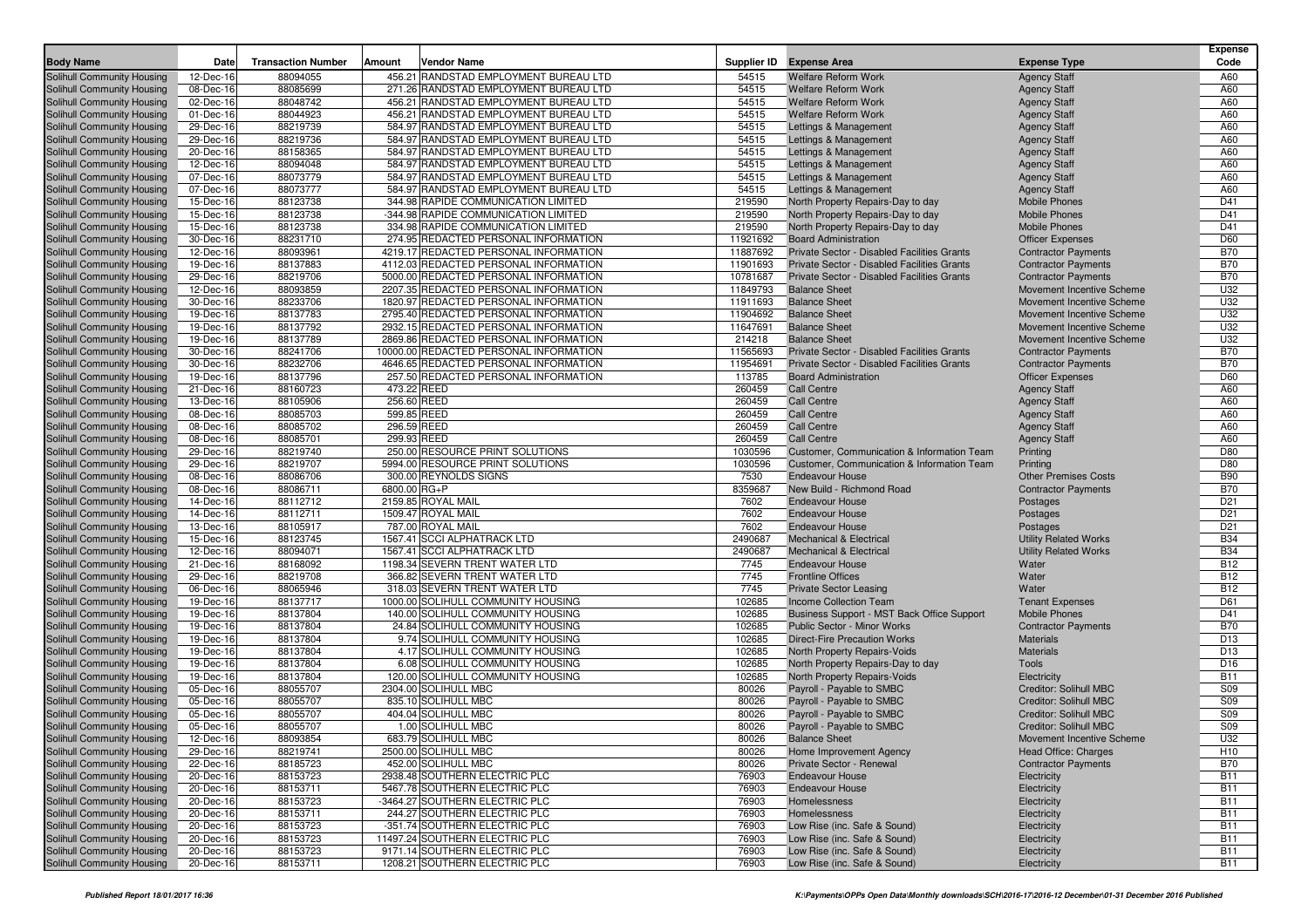| Supplier ID Expense Area<br><b>Body Name</b><br><b>Transaction Number</b><br>Amount<br><b>Vendor Name</b><br><b>Expense Type</b><br>Date<br><b>Solihull Community Housing</b><br>12-Dec-16<br>88094055<br>456.21 RANDSTAD EMPLOYMENT BUREAU LTD<br>54515<br><b>Welfare Reform Work</b><br><b>Agency Staff</b><br>88085699<br>271.26 RANDSTAD EMPLOYMENT BUREAU LTD<br>54515<br>Solihull Community Housing<br>08-Dec-16<br><b>Welfare Reform Work</b><br><b>Agency Staff</b><br>88048742<br>456.21 RANDSTAD EMPLOYMENT BUREAU LTD<br>54515<br>Solihull Community Housing<br>02-Dec-16<br><b>Welfare Reform Work</b><br><b>Agency Staff</b><br>88044923<br>456.21 RANDSTAD EMPLOYMENT BUREAU LTD<br>54515<br><b>Welfare Reform Work</b><br>Solihull Community Housing<br>01-Dec-16<br><b>Agency Staff</b><br>88219739<br>584.97 RANDSTAD EMPLOYMENT BUREAU LTD<br>54515<br>Solihull Community Housing<br>29-Dec-16<br>Lettings & Management<br><b>Agency Staff</b><br>584.97 RANDSTAD EMPLOYMENT BUREAU LTD<br>54515<br>Solihull Community Housing<br>29-Dec-16<br>88219736<br>Lettings & Management<br><b>Agency Staff</b><br>88158365<br>584.97 RANDSTAD EMPLOYMENT BUREAU LTD<br>54515<br>Solihull Community Housing<br>20-Dec-16<br>Lettings & Management<br><b>Agency Staff</b><br>54515<br>88094048<br>584.97 RANDSTAD EMPLOYMENT BUREAU LTD<br>Solihull Community Housing<br>12-Dec-16<br>Lettings & Management<br><b>Agency Staff</b><br>54515<br>Solihull Community Housing<br>07-Dec-16<br>88073779<br>584.97 RANDSTAD EMPLOYMENT BUREAU LTD<br>Lettings & Management<br><b>Agency Staff</b><br>07-Dec-16<br>88073777<br>584.97 RANDSTAD EMPLOYMENT BUREAU LTD<br>54515<br>Solihull Community Housing<br>Lettings & Management<br><b>Agency Staff</b><br>88123738<br>344.98 RAPIDE COMMUNICATION LIMITED<br>219590<br>Solihull Community Housing<br>15-Dec-16<br>North Property Repairs-Day to day<br><b>Mobile Phones</b> | Code<br>A60<br>A60<br>A60<br>A60<br>A60<br>A60<br>A60<br>A60<br>A60<br>A60<br>D41<br>D41<br>D41<br>D60<br><b>B70</b><br><b>B70</b><br><b>B70</b><br>U32 |
|------------------------------------------------------------------------------------------------------------------------------------------------------------------------------------------------------------------------------------------------------------------------------------------------------------------------------------------------------------------------------------------------------------------------------------------------------------------------------------------------------------------------------------------------------------------------------------------------------------------------------------------------------------------------------------------------------------------------------------------------------------------------------------------------------------------------------------------------------------------------------------------------------------------------------------------------------------------------------------------------------------------------------------------------------------------------------------------------------------------------------------------------------------------------------------------------------------------------------------------------------------------------------------------------------------------------------------------------------------------------------------------------------------------------------------------------------------------------------------------------------------------------------------------------------------------------------------------------------------------------------------------------------------------------------------------------------------------------------------------------------------------------------------------------------------------------------------------------------------------------------------------------------------------------------------|---------------------------------------------------------------------------------------------------------------------------------------------------------|
|                                                                                                                                                                                                                                                                                                                                                                                                                                                                                                                                                                                                                                                                                                                                                                                                                                                                                                                                                                                                                                                                                                                                                                                                                                                                                                                                                                                                                                                                                                                                                                                                                                                                                                                                                                                                                                                                                                                                    |                                                                                                                                                         |
|                                                                                                                                                                                                                                                                                                                                                                                                                                                                                                                                                                                                                                                                                                                                                                                                                                                                                                                                                                                                                                                                                                                                                                                                                                                                                                                                                                                                                                                                                                                                                                                                                                                                                                                                                                                                                                                                                                                                    |                                                                                                                                                         |
|                                                                                                                                                                                                                                                                                                                                                                                                                                                                                                                                                                                                                                                                                                                                                                                                                                                                                                                                                                                                                                                                                                                                                                                                                                                                                                                                                                                                                                                                                                                                                                                                                                                                                                                                                                                                                                                                                                                                    |                                                                                                                                                         |
|                                                                                                                                                                                                                                                                                                                                                                                                                                                                                                                                                                                                                                                                                                                                                                                                                                                                                                                                                                                                                                                                                                                                                                                                                                                                                                                                                                                                                                                                                                                                                                                                                                                                                                                                                                                                                                                                                                                                    |                                                                                                                                                         |
|                                                                                                                                                                                                                                                                                                                                                                                                                                                                                                                                                                                                                                                                                                                                                                                                                                                                                                                                                                                                                                                                                                                                                                                                                                                                                                                                                                                                                                                                                                                                                                                                                                                                                                                                                                                                                                                                                                                                    |                                                                                                                                                         |
|                                                                                                                                                                                                                                                                                                                                                                                                                                                                                                                                                                                                                                                                                                                                                                                                                                                                                                                                                                                                                                                                                                                                                                                                                                                                                                                                                                                                                                                                                                                                                                                                                                                                                                                                                                                                                                                                                                                                    |                                                                                                                                                         |
|                                                                                                                                                                                                                                                                                                                                                                                                                                                                                                                                                                                                                                                                                                                                                                                                                                                                                                                                                                                                                                                                                                                                                                                                                                                                                                                                                                                                                                                                                                                                                                                                                                                                                                                                                                                                                                                                                                                                    |                                                                                                                                                         |
|                                                                                                                                                                                                                                                                                                                                                                                                                                                                                                                                                                                                                                                                                                                                                                                                                                                                                                                                                                                                                                                                                                                                                                                                                                                                                                                                                                                                                                                                                                                                                                                                                                                                                                                                                                                                                                                                                                                                    |                                                                                                                                                         |
|                                                                                                                                                                                                                                                                                                                                                                                                                                                                                                                                                                                                                                                                                                                                                                                                                                                                                                                                                                                                                                                                                                                                                                                                                                                                                                                                                                                                                                                                                                                                                                                                                                                                                                                                                                                                                                                                                                                                    |                                                                                                                                                         |
|                                                                                                                                                                                                                                                                                                                                                                                                                                                                                                                                                                                                                                                                                                                                                                                                                                                                                                                                                                                                                                                                                                                                                                                                                                                                                                                                                                                                                                                                                                                                                                                                                                                                                                                                                                                                                                                                                                                                    |                                                                                                                                                         |
|                                                                                                                                                                                                                                                                                                                                                                                                                                                                                                                                                                                                                                                                                                                                                                                                                                                                                                                                                                                                                                                                                                                                                                                                                                                                                                                                                                                                                                                                                                                                                                                                                                                                                                                                                                                                                                                                                                                                    |                                                                                                                                                         |
| 219590<br><b>Mobile Phones</b><br>Solihull Community Housing<br>15-Dec-16<br>88123738<br>-344.98 RAPIDE COMMUNICATION LIMITED<br>North Property Repairs-Day to day                                                                                                                                                                                                                                                                                                                                                                                                                                                                                                                                                                                                                                                                                                                                                                                                                                                                                                                                                                                                                                                                                                                                                                                                                                                                                                                                                                                                                                                                                                                                                                                                                                                                                                                                                                 |                                                                                                                                                         |
| 88123738<br>334.98 RAPIDE COMMUNICATION LIMITED<br>219590<br><b>Mobile Phones</b><br>Solihull Community Housing<br>15-Dec-16<br>North Property Repairs-Day to day                                                                                                                                                                                                                                                                                                                                                                                                                                                                                                                                                                                                                                                                                                                                                                                                                                                                                                                                                                                                                                                                                                                                                                                                                                                                                                                                                                                                                                                                                                                                                                                                                                                                                                                                                                  |                                                                                                                                                         |
| 88231710<br>274.95 REDACTED PERSONAL INFORMATION<br>11921692<br>Solihull Community Housing<br>30-Dec-16<br><b>Board Administration</b><br><b>Officer Expenses</b>                                                                                                                                                                                                                                                                                                                                                                                                                                                                                                                                                                                                                                                                                                                                                                                                                                                                                                                                                                                                                                                                                                                                                                                                                                                                                                                                                                                                                                                                                                                                                                                                                                                                                                                                                                  |                                                                                                                                                         |
| 88093961<br>4219.17 REDACTED PERSONAL INFORMATION<br>11887692<br>Private Sector - Disabled Facilities Grants<br>Solihull Community Housing<br>12-Dec-16<br><b>Contractor Payments</b>                                                                                                                                                                                                                                                                                                                                                                                                                                                                                                                                                                                                                                                                                                                                                                                                                                                                                                                                                                                                                                                                                                                                                                                                                                                                                                                                                                                                                                                                                                                                                                                                                                                                                                                                              |                                                                                                                                                         |
| 88137883<br>4112.03 REDACTED PERSONAL INFORMATION<br>11901693<br>Private Sector - Disabled Facilities Grants<br>Solihull Community Housing<br>19-Dec-16<br><b>Contractor Payments</b>                                                                                                                                                                                                                                                                                                                                                                                                                                                                                                                                                                                                                                                                                                                                                                                                                                                                                                                                                                                                                                                                                                                                                                                                                                                                                                                                                                                                                                                                                                                                                                                                                                                                                                                                              |                                                                                                                                                         |
| 88219706<br>5000.00 REDACTED PERSONAL INFORMATION<br>10781687<br>Private Sector - Disabled Facilities Grants<br>Solihull Community Housing<br>29-Dec-16<br><b>Contractor Payments</b>                                                                                                                                                                                                                                                                                                                                                                                                                                                                                                                                                                                                                                                                                                                                                                                                                                                                                                                                                                                                                                                                                                                                                                                                                                                                                                                                                                                                                                                                                                                                                                                                                                                                                                                                              |                                                                                                                                                         |
| 88093859<br>2207.35 REDACTED PERSONAL INFORMATION<br>11849793<br>Solihull Community Housing<br>12-Dec-16<br><b>Balance Sheet</b><br>Movement Incentive Scheme                                                                                                                                                                                                                                                                                                                                                                                                                                                                                                                                                                                                                                                                                                                                                                                                                                                                                                                                                                                                                                                                                                                                                                                                                                                                                                                                                                                                                                                                                                                                                                                                                                                                                                                                                                      |                                                                                                                                                         |
| 88233706<br>1820.97 REDACTED PERSONAL INFORMATION<br>11911693<br><b>Balance Sheet</b><br>Solihull Community Housing<br>30-Dec-16<br>Movement Incentive Scheme                                                                                                                                                                                                                                                                                                                                                                                                                                                                                                                                                                                                                                                                                                                                                                                                                                                                                                                                                                                                                                                                                                                                                                                                                                                                                                                                                                                                                                                                                                                                                                                                                                                                                                                                                                      | U32                                                                                                                                                     |
| 88137783<br>2795.40 REDACTED PERSONAL INFORMATION<br>11904692<br>Solihull Community Housing<br>19-Dec-16<br><b>Balance Sheet</b><br>Movement Incentive Scheme                                                                                                                                                                                                                                                                                                                                                                                                                                                                                                                                                                                                                                                                                                                                                                                                                                                                                                                                                                                                                                                                                                                                                                                                                                                                                                                                                                                                                                                                                                                                                                                                                                                                                                                                                                      | U32                                                                                                                                                     |
| 88137792<br>2932.15 REDACTED PERSONAL INFORMATION<br>Solihull Community Housing<br>19-Dec-16<br>11647691<br><b>Balance Sheet</b><br>Movement Incentive Scheme                                                                                                                                                                                                                                                                                                                                                                                                                                                                                                                                                                                                                                                                                                                                                                                                                                                                                                                                                                                                                                                                                                                                                                                                                                                                                                                                                                                                                                                                                                                                                                                                                                                                                                                                                                      | U32                                                                                                                                                     |
| 88137789<br>2869.86 REDACTED PERSONAL INFORMATION<br>214218<br>Solihull Community Housing<br>19-Dec-16<br><b>Balance Sheet</b><br>Movement Incentive Scheme                                                                                                                                                                                                                                                                                                                                                                                                                                                                                                                                                                                                                                                                                                                                                                                                                                                                                                                                                                                                                                                                                                                                                                                                                                                                                                                                                                                                                                                                                                                                                                                                                                                                                                                                                                        | U32                                                                                                                                                     |
| 88241706<br>10000.00 REDACTED PERSONAL INFORMATION<br>11565693<br>Solihull Community Housing<br>30-Dec-16<br>Private Sector - Disabled Facilities Grants<br><b>Contractor Payments</b>                                                                                                                                                                                                                                                                                                                                                                                                                                                                                                                                                                                                                                                                                                                                                                                                                                                                                                                                                                                                                                                                                                                                                                                                                                                                                                                                                                                                                                                                                                                                                                                                                                                                                                                                             | <b>B70</b>                                                                                                                                              |
| 88232706<br>4646.65 REDACTED PERSONAL INFORMATION<br>11954691<br>Private Sector - Disabled Facilities Grants<br>Solihull Community Housing<br>30-Dec-16<br><b>Contractor Payments</b>                                                                                                                                                                                                                                                                                                                                                                                                                                                                                                                                                                                                                                                                                                                                                                                                                                                                                                                                                                                                                                                                                                                                                                                                                                                                                                                                                                                                                                                                                                                                                                                                                                                                                                                                              | <b>B70</b>                                                                                                                                              |
| 88137796<br>257.50 REDACTED PERSONAL INFORMATION<br>113785<br>Solihull Community Housing<br>19-Dec-16<br><b>Board Administration</b><br><b>Officer Expenses</b>                                                                                                                                                                                                                                                                                                                                                                                                                                                                                                                                                                                                                                                                                                                                                                                                                                                                                                                                                                                                                                                                                                                                                                                                                                                                                                                                                                                                                                                                                                                                                                                                                                                                                                                                                                    | D60                                                                                                                                                     |
| 260459<br>88160723<br>473.22 REED<br><b>Call Centre</b><br><b>Agency Staff</b><br>Solihull Community Housing<br>21-Dec-16                                                                                                                                                                                                                                                                                                                                                                                                                                                                                                                                                                                                                                                                                                                                                                                                                                                                                                                                                                                                                                                                                                                                                                                                                                                                                                                                                                                                                                                                                                                                                                                                                                                                                                                                                                                                          | A60                                                                                                                                                     |
| 256.60 REED<br>260459<br><b>Call Centre</b><br>Solihull Community Housing<br>13-Dec-16<br>88105906<br><b>Agency Staff</b>                                                                                                                                                                                                                                                                                                                                                                                                                                                                                                                                                                                                                                                                                                                                                                                                                                                                                                                                                                                                                                                                                                                                                                                                                                                                                                                                                                                                                                                                                                                                                                                                                                                                                                                                                                                                          | A60                                                                                                                                                     |
| 88085703<br>599.85 REED<br>260459<br>Solihull Community Housing<br>08-Dec-16<br><b>Call Centre</b><br><b>Agency Staff</b>                                                                                                                                                                                                                                                                                                                                                                                                                                                                                                                                                                                                                                                                                                                                                                                                                                                                                                                                                                                                                                                                                                                                                                                                                                                                                                                                                                                                                                                                                                                                                                                                                                                                                                                                                                                                          | A60                                                                                                                                                     |
| 88085702<br>296.59 REED<br>260459<br><b>Call Centre</b><br>Solihull Community Housing<br>08-Dec-16<br><b>Agency Staff</b>                                                                                                                                                                                                                                                                                                                                                                                                                                                                                                                                                                                                                                                                                                                                                                                                                                                                                                                                                                                                                                                                                                                                                                                                                                                                                                                                                                                                                                                                                                                                                                                                                                                                                                                                                                                                          | A60                                                                                                                                                     |
| <b>Call Centre</b><br>Solihull Community Housing<br>08-Dec-16<br>88085701<br>299.93 REED<br>260459<br><b>Agency Staff</b>                                                                                                                                                                                                                                                                                                                                                                                                                                                                                                                                                                                                                                                                                                                                                                                                                                                                                                                                                                                                                                                                                                                                                                                                                                                                                                                                                                                                                                                                                                                                                                                                                                                                                                                                                                                                          | A60                                                                                                                                                     |
| 88219740<br>250.00 RESOURCE PRINT SOLUTIONS<br>1030596<br>Solihull Community Housing<br>29-Dec-16<br>Customer, Communication & Information Team<br>Printing                                                                                                                                                                                                                                                                                                                                                                                                                                                                                                                                                                                                                                                                                                                                                                                                                                                                                                                                                                                                                                                                                                                                                                                                                                                                                                                                                                                                                                                                                                                                                                                                                                                                                                                                                                        | D80                                                                                                                                                     |
| 88219707<br>5994.00 RESOURCE PRINT SOLUTIONS<br>1030596<br>Solihull Community Housing<br>29-Dec-16<br>Customer, Communication & Information Team<br>Printing                                                                                                                                                                                                                                                                                                                                                                                                                                                                                                                                                                                                                                                                                                                                                                                                                                                                                                                                                                                                                                                                                                                                                                                                                                                                                                                                                                                                                                                                                                                                                                                                                                                                                                                                                                       | D80                                                                                                                                                     |
| 88086706<br>300.00 REYNOLDS SIGNS<br>7530<br>Solihull Community Housing<br>08-Dec-16<br><b>Endeavour House</b><br><b>Other Premises Costs</b>                                                                                                                                                                                                                                                                                                                                                                                                                                                                                                                                                                                                                                                                                                                                                                                                                                                                                                                                                                                                                                                                                                                                                                                                                                                                                                                                                                                                                                                                                                                                                                                                                                                                                                                                                                                      | <b>B90</b>                                                                                                                                              |
| 8359687<br>Solihull Community Housing<br>08-Dec-16<br>88086711<br>6800.00 RG+P<br>New Build - Richmond Road<br><b>Contractor Payments</b>                                                                                                                                                                                                                                                                                                                                                                                                                                                                                                                                                                                                                                                                                                                                                                                                                                                                                                                                                                                                                                                                                                                                                                                                                                                                                                                                                                                                                                                                                                                                                                                                                                                                                                                                                                                          | <b>B70</b>                                                                                                                                              |
| 88112712<br>2159.85 ROYAL MAIL<br>7602<br>Solihull Community Housing<br>14-Dec-16<br><b>Endeavour House</b><br>Postages                                                                                                                                                                                                                                                                                                                                                                                                                                                                                                                                                                                                                                                                                                                                                                                                                                                                                                                                                                                                                                                                                                                                                                                                                                                                                                                                                                                                                                                                                                                                                                                                                                                                                                                                                                                                            | D <sub>21</sub>                                                                                                                                         |
| 7602<br>Solihull Community Housing<br>14-Dec-16<br>88112711<br>1509.47 ROYAL MAIL<br><b>Endeavour House</b><br>Postages                                                                                                                                                                                                                                                                                                                                                                                                                                                                                                                                                                                                                                                                                                                                                                                                                                                                                                                                                                                                                                                                                                                                                                                                                                                                                                                                                                                                                                                                                                                                                                                                                                                                                                                                                                                                            | D <sub>21</sub>                                                                                                                                         |
| 88105917<br>787.00 ROYAL MAIL<br>7602<br>Solihull Community Housing<br>13-Dec-16<br><b>Endeavour House</b><br>Postages                                                                                                                                                                                                                                                                                                                                                                                                                                                                                                                                                                                                                                                                                                                                                                                                                                                                                                                                                                                                                                                                                                                                                                                                                                                                                                                                                                                                                                                                                                                                                                                                                                                                                                                                                                                                             | D <sub>21</sub>                                                                                                                                         |
| 88123745<br>1567.41 SCCI ALPHATRACK LTD<br>2490687<br><b>Utility Related Works</b><br>Solihull Community Housing<br>15-Dec-16<br><b>Mechanical &amp; Electrical</b>                                                                                                                                                                                                                                                                                                                                                                                                                                                                                                                                                                                                                                                                                                                                                                                                                                                                                                                                                                                                                                                                                                                                                                                                                                                                                                                                                                                                                                                                                                                                                                                                                                                                                                                                                                | <b>B34</b>                                                                                                                                              |
| 2490687<br>Solihull Community Housing<br>12-Dec-16<br>88094071<br>1567.41 SCCI ALPHATRACK LTD<br><b>Mechanical &amp; Electrical</b><br><b>Utility Related Works</b>                                                                                                                                                                                                                                                                                                                                                                                                                                                                                                                                                                                                                                                                                                                                                                                                                                                                                                                                                                                                                                                                                                                                                                                                                                                                                                                                                                                                                                                                                                                                                                                                                                                                                                                                                                | <b>B34</b>                                                                                                                                              |
| 88168092<br>1198.34 SEVERN TRENT WATER LTD<br>7745<br>Solihull Community Housing<br>21-Dec-16<br><b>Endeavour House</b><br>Water                                                                                                                                                                                                                                                                                                                                                                                                                                                                                                                                                                                                                                                                                                                                                                                                                                                                                                                                                                                                                                                                                                                                                                                                                                                                                                                                                                                                                                                                                                                                                                                                                                                                                                                                                                                                   | <b>B12</b>                                                                                                                                              |
| 88219708<br>366.82 SEVERN TRENT WATER LTD<br>7745<br><b>Frontline Offices</b><br>Solihull Community Housing<br>29-Dec-16<br>Water                                                                                                                                                                                                                                                                                                                                                                                                                                                                                                                                                                                                                                                                                                                                                                                                                                                                                                                                                                                                                                                                                                                                                                                                                                                                                                                                                                                                                                                                                                                                                                                                                                                                                                                                                                                                  | <b>B12</b>                                                                                                                                              |
| 88065946<br>318.03 SEVERN TRENT WATER LTD<br>7745<br>Solihull Community Housing<br>06-Dec-16<br><b>Private Sector Leasing</b><br>Water                                                                                                                                                                                                                                                                                                                                                                                                                                                                                                                                                                                                                                                                                                                                                                                                                                                                                                                                                                                                                                                                                                                                                                                                                                                                                                                                                                                                                                                                                                                                                                                                                                                                                                                                                                                             | <b>B12</b>                                                                                                                                              |
| 88137717<br>1000.00 SOLIHULL COMMUNITY HOUSING<br>102685<br>Solihull Community Housing<br>19-Dec-16<br><b>Income Collection Team</b><br><b>Tenant Expenses</b>                                                                                                                                                                                                                                                                                                                                                                                                                                                                                                                                                                                                                                                                                                                                                                                                                                                                                                                                                                                                                                                                                                                                                                                                                                                                                                                                                                                                                                                                                                                                                                                                                                                                                                                                                                     | D61                                                                                                                                                     |
| 88137804<br>140.00 SOLIHULL COMMUNITY HOUSING<br>102685<br><b>Mobile Phones</b><br>Solihull Community Housing<br>19-Dec-16<br>Business Support - MST Back Office Support<br>102685<br><b>Public Sector - Minor Works</b>                                                                                                                                                                                                                                                                                                                                                                                                                                                                                                                                                                                                                                                                                                                                                                                                                                                                                                                                                                                                                                                                                                                                                                                                                                                                                                                                                                                                                                                                                                                                                                                                                                                                                                           | D41<br><b>B70</b>                                                                                                                                       |
| Solihull Community Housing<br>19-Dec-16<br>88137804<br>24.84 SOLIHULL COMMUNITY HOUSING<br><b>Contractor Payments</b><br>88137804<br>9.74 SOLIHULL COMMUNITY HOUSING<br>102685<br><b>Direct-Fire Precaution Works</b>                                                                                                                                                                                                                                                                                                                                                                                                                                                                                                                                                                                                                                                                                                                                                                                                                                                                                                                                                                                                                                                                                                                                                                                                                                                                                                                                                                                                                                                                                                                                                                                                                                                                                                              | D <sub>13</sub>                                                                                                                                         |
| Solihull Community Housing<br>19-Dec-16<br><b>Materials</b><br>88137804<br>4.17 SOLIHULL COMMUNITY HOUSING<br>102685<br><b>Materials</b><br>Solihull Community Housing<br>19-Dec-16<br>North Property Repairs-Voids                                                                                                                                                                                                                                                                                                                                                                                                                                                                                                                                                                                                                                                                                                                                                                                                                                                                                                                                                                                                                                                                                                                                                                                                                                                                                                                                                                                                                                                                                                                                                                                                                                                                                                                | D <sub>13</sub>                                                                                                                                         |
| 102685<br>Solihull Community Housing<br>19-Dec-16<br>88137804<br>6.08 SOLIHULL COMMUNITY HOUSING<br>North Property Repairs-Day to day<br>Tools                                                                                                                                                                                                                                                                                                                                                                                                                                                                                                                                                                                                                                                                                                                                                                                                                                                                                                                                                                                                                                                                                                                                                                                                                                                                                                                                                                                                                                                                                                                                                                                                                                                                                                                                                                                     | D <sub>16</sub>                                                                                                                                         |
| 88137804<br>120.00 SOLIHULL COMMUNITY HOUSING<br>102685<br>North Property Repairs-Voids<br>Solihull Community Housing<br>19-Dec-16<br>Electricity                                                                                                                                                                                                                                                                                                                                                                                                                                                                                                                                                                                                                                                                                                                                                                                                                                                                                                                                                                                                                                                                                                                                                                                                                                                                                                                                                                                                                                                                                                                                                                                                                                                                                                                                                                                  | <b>B11</b>                                                                                                                                              |
| 88055707<br>2304.00 SOLIHULL MBC<br>80026<br>Solihull Community Housing<br>05-Dec-16<br>Payroll - Payable to SMBC<br>Creditor: Solihull MBC                                                                                                                                                                                                                                                                                                                                                                                                                                                                                                                                                                                                                                                                                                                                                                                                                                                                                                                                                                                                                                                                                                                                                                                                                                                                                                                                                                                                                                                                                                                                                                                                                                                                                                                                                                                        | S09                                                                                                                                                     |
| 88055707<br>835.10 SOLIHULL MBC<br>80026<br>Solihull Community Housing<br>05-Dec-16<br>Payroll - Payable to SMBC<br>Creditor: Solihull MBC                                                                                                                                                                                                                                                                                                                                                                                                                                                                                                                                                                                                                                                                                                                                                                                                                                                                                                                                                                                                                                                                                                                                                                                                                                                                                                                                                                                                                                                                                                                                                                                                                                                                                                                                                                                         | <b>S09</b>                                                                                                                                              |
| 80026<br>Solihull Community Housing<br>05-Dec-16<br>88055707<br>404.04 SOLIHULL MBC<br>Payroll - Payable to SMBC<br><b>Creditor: Solihull MBC</b>                                                                                                                                                                                                                                                                                                                                                                                                                                                                                                                                                                                                                                                                                                                                                                                                                                                                                                                                                                                                                                                                                                                                                                                                                                                                                                                                                                                                                                                                                                                                                                                                                                                                                                                                                                                  | S09                                                                                                                                                     |
| Solihull Community Housing<br>88055707<br>1.00 SOLIHULL MBC<br>80026<br>05-Dec-16<br>Payroll - Payable to SMBC<br>Creditor: Solihull MBC                                                                                                                                                                                                                                                                                                                                                                                                                                                                                                                                                                                                                                                                                                                                                                                                                                                                                                                                                                                                                                                                                                                                                                                                                                                                                                                                                                                                                                                                                                                                                                                                                                                                                                                                                                                           | S <sub>09</sub>                                                                                                                                         |
| Solihull Community Housing<br>12-Dec-16<br>88093854<br>683.79 SOLIHULL MBC<br>80026<br><b>Balance Sheet</b><br>Movement Incentive Scheme                                                                                                                                                                                                                                                                                                                                                                                                                                                                                                                                                                                                                                                                                                                                                                                                                                                                                                                                                                                                                                                                                                                                                                                                                                                                                                                                                                                                                                                                                                                                                                                                                                                                                                                                                                                           | U32                                                                                                                                                     |
| Solihull Community Housing<br>88219741<br>2500.00 SOLIHULL MBC<br>80026<br>29-Dec-16<br>Home Improvement Agency<br>Head Office: Charges                                                                                                                                                                                                                                                                                                                                                                                                                                                                                                                                                                                                                                                                                                                                                                                                                                                                                                                                                                                                                                                                                                                                                                                                                                                                                                                                                                                                                                                                                                                                                                                                                                                                                                                                                                                            | H <sub>10</sub>                                                                                                                                         |
| Solihull Community Housing<br>452.00 SOLIHULL MBC<br>22-Dec-16<br>88185723<br>80026<br>Private Sector - Renewal<br><b>Contractor Payments</b>                                                                                                                                                                                                                                                                                                                                                                                                                                                                                                                                                                                                                                                                                                                                                                                                                                                                                                                                                                                                                                                                                                                                                                                                                                                                                                                                                                                                                                                                                                                                                                                                                                                                                                                                                                                      | <b>B70</b>                                                                                                                                              |
| Solihull Community Housing<br>88153723<br>2938.48 SOUTHERN ELECTRIC PLC<br>20-Dec-16<br>76903<br><b>Endeavour House</b><br>Electricity                                                                                                                                                                                                                                                                                                                                                                                                                                                                                                                                                                                                                                                                                                                                                                                                                                                                                                                                                                                                                                                                                                                                                                                                                                                                                                                                                                                                                                                                                                                                                                                                                                                                                                                                                                                             | <b>B11</b>                                                                                                                                              |
| Solihull Community Housing<br>88153711<br>5467.78 SOUTHERN ELECTRIC PLC<br>76903<br>Endeavour House<br>Electricity<br>20-Dec-16                                                                                                                                                                                                                                                                                                                                                                                                                                                                                                                                                                                                                                                                                                                                                                                                                                                                                                                                                                                                                                                                                                                                                                                                                                                                                                                                                                                                                                                                                                                                                                                                                                                                                                                                                                                                    | <b>B11</b>                                                                                                                                              |
| -3464.27 SOUTHERN ELECTRIC PLC<br>76903<br>Solihull Community Housing<br>20-Dec-16<br>88153723<br>Homelessness<br>Electricity                                                                                                                                                                                                                                                                                                                                                                                                                                                                                                                                                                                                                                                                                                                                                                                                                                                                                                                                                                                                                                                                                                                                                                                                                                                                                                                                                                                                                                                                                                                                                                                                                                                                                                                                                                                                      | <b>B11</b>                                                                                                                                              |
| Solihull Community Housing<br>88153711<br>244.27 SOUTHERN ELECTRIC PLC<br>76903<br>20-Dec-16<br>Homelessness<br>Electricity                                                                                                                                                                                                                                                                                                                                                                                                                                                                                                                                                                                                                                                                                                                                                                                                                                                                                                                                                                                                                                                                                                                                                                                                                                                                                                                                                                                                                                                                                                                                                                                                                                                                                                                                                                                                        | <b>B11</b>                                                                                                                                              |
| Solihull Community Housing<br>76903<br>Low Rise (inc. Safe & Sound)<br>20-Dec-16<br>88153723<br>-351.74 SOUTHERN ELECTRIC PLC<br>Electricity                                                                                                                                                                                                                                                                                                                                                                                                                                                                                                                                                                                                                                                                                                                                                                                                                                                                                                                                                                                                                                                                                                                                                                                                                                                                                                                                                                                                                                                                                                                                                                                                                                                                                                                                                                                       | <b>B11</b>                                                                                                                                              |
| Solihull Community Housing<br>88153723<br>11497.24 SOUTHERN ELECTRIC PLC<br>76903<br>Low Rise (inc. Safe & Sound)<br>20-Dec-16<br>Electricity                                                                                                                                                                                                                                                                                                                                                                                                                                                                                                                                                                                                                                                                                                                                                                                                                                                                                                                                                                                                                                                                                                                                                                                                                                                                                                                                                                                                                                                                                                                                                                                                                                                                                                                                                                                      | <b>B11</b>                                                                                                                                              |
| 88153723<br>9171.14 SOUTHERN ELECTRIC PLC<br>76903<br>Solihull Community Housing<br>20-Dec-16<br>Low Rise (inc. Safe & Sound)<br>Electricity                                                                                                                                                                                                                                                                                                                                                                                                                                                                                                                                                                                                                                                                                                                                                                                                                                                                                                                                                                                                                                                                                                                                                                                                                                                                                                                                                                                                                                                                                                                                                                                                                                                                                                                                                                                       | <b>B11</b>                                                                                                                                              |
| Solihull Community Housing<br>88153711<br>1208.21 SOUTHERN ELECTRIC PLC<br>76903<br>Electricity<br>20-Dec-16<br>Low Rise (inc. Safe & Sound)                                                                                                                                                                                                                                                                                                                                                                                                                                                                                                                                                                                                                                                                                                                                                                                                                                                                                                                                                                                                                                                                                                                                                                                                                                                                                                                                                                                                                                                                                                                                                                                                                                                                                                                                                                                       | <b>B11</b>                                                                                                                                              |